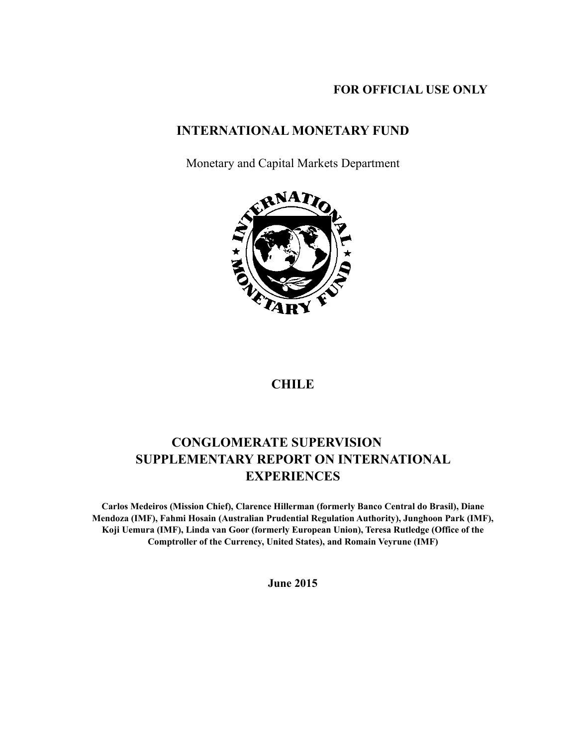## **FOR OFFICIAL USE ONLY**

## **INTERNATIONAL MONETARY FUND**

Monetary and Capital Markets Department



## **CHILE**

# **CONGLOMERATE SUPERVISION SUPPLEMENTARY REPORT ON INTERNATIONAL EXPERIENCES**

**Carlos Medeiros (Mission Chief), Clarence Hillerman (formerly Banco Central do Brasil), Diane Mendoza (IMF), Fahmi Hosain (Australian Prudential Regulation Authority), Junghoon Park (IMF), Koji Uemura (IMF), Linda van Goor (formerly European Union), Teresa Rutledge (Office of the Comptroller of the Currency, United States), and Romain Veyrune (IMF)** 

**June 2015**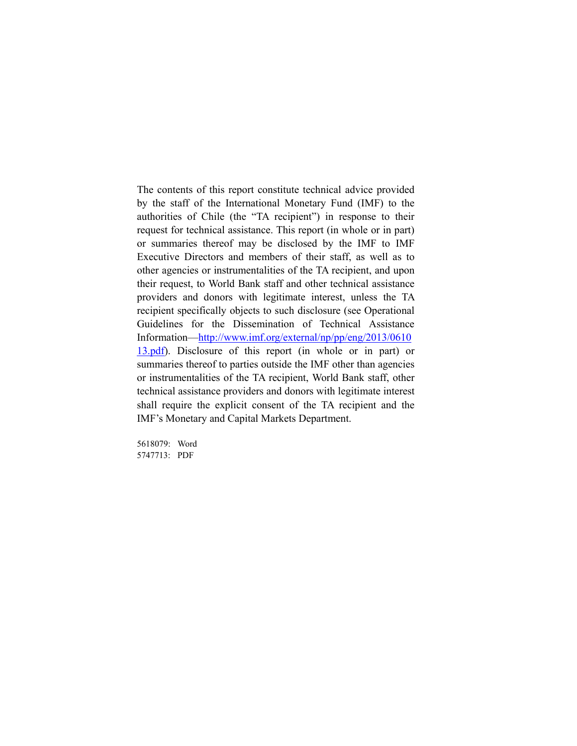The contents of this report constitute technical advice provided by the staff of the International Monetary Fund (IMF) to the authorities of Chile (the "TA recipient") in response to their request for technical assistance. This report (in whole or in part) or summaries thereof may be disclosed by the IMF to IMF Executive Directors and members of their staff, as well as to other agencies or instrumentalities of the TA recipient, and upon their request, to World Bank staff and other technical assistance providers and donors with legitimate interest, unless the TA recipient specifically objects to such disclosure (see Operational Guidelines for the Dissemination of Technical Assistance Information—http://www.imf.org/external/np/pp/eng/2013/0610 13.pdf). Disclosure of this report (in whole or in part) or summaries thereof to parties outside the IMF other than agencies or instrumentalities of the TA recipient, World Bank staff, other technical assistance providers and donors with legitimate interest shall require the explicit consent of the TA recipient and the IMF's Monetary and Capital Markets Department.

5618079: Word 5747713: PDF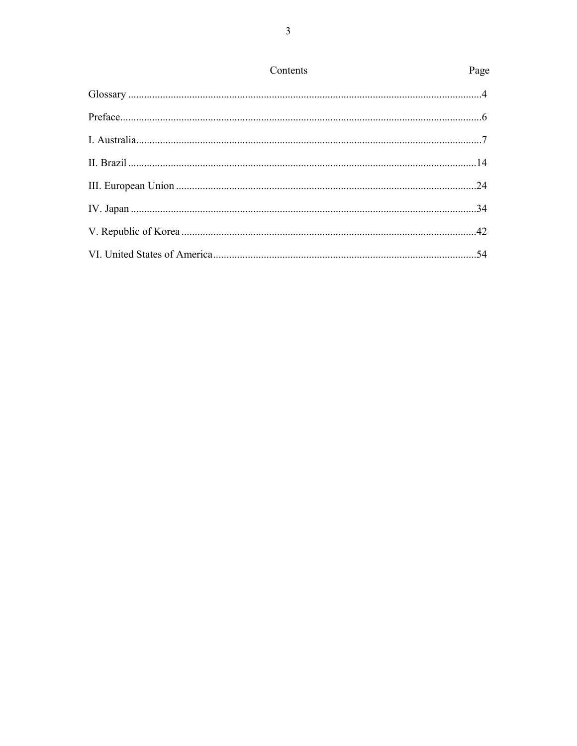| Contents<br>Page                                                                                                                                                                                                                                                                                                                                                                                                                                                                                                                             |
|----------------------------------------------------------------------------------------------------------------------------------------------------------------------------------------------------------------------------------------------------------------------------------------------------------------------------------------------------------------------------------------------------------------------------------------------------------------------------------------------------------------------------------------------|
| $\begin{minipage}{.4\linewidth} \textbf{Glossary} \end{minipage} \begin{minipage}{.4\linewidth} \textbf{Glossary} \end{minipage} \begin{minipage}{.4\linewidth} \textbf{Glossary} \end{minipage} \begin{minipage}{.4\linewidth} \textbf{Glossary} \end{minipage} \begin{minipage}{.4\linewidth} \textbf{Glossary} \end{minipage} \begin{minipage}{.4\linewidth} \textbf{Glossary} \end{minipage} \begin{minipage}{.4\linewidth} \textbf{Glossary} \end{minipage} \begin{minipage}{.4\linewidth} \textbf{Glossary} \end{minipage} \begin{min$ |
|                                                                                                                                                                                                                                                                                                                                                                                                                                                                                                                                              |
|                                                                                                                                                                                                                                                                                                                                                                                                                                                                                                                                              |
|                                                                                                                                                                                                                                                                                                                                                                                                                                                                                                                                              |
|                                                                                                                                                                                                                                                                                                                                                                                                                                                                                                                                              |
|                                                                                                                                                                                                                                                                                                                                                                                                                                                                                                                                              |
|                                                                                                                                                                                                                                                                                                                                                                                                                                                                                                                                              |
|                                                                                                                                                                                                                                                                                                                                                                                                                                                                                                                                              |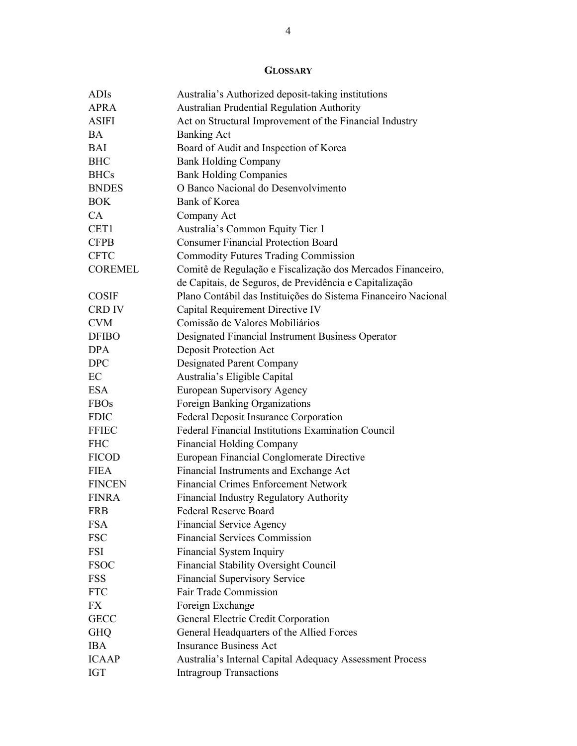## **GLOSSARY**

| ADIs           | Australia's Authorized deposit-taking institutions             |
|----------------|----------------------------------------------------------------|
| <b>APRA</b>    | Australian Prudential Regulation Authority                     |
| <b>ASIFI</b>   | Act on Structural Improvement of the Financial Industry        |
| <b>BA</b>      | <b>Banking Act</b>                                             |
| <b>BAI</b>     | Board of Audit and Inspection of Korea                         |
| <b>BHC</b>     | <b>Bank Holding Company</b>                                    |
| <b>BHCs</b>    | <b>Bank Holding Companies</b>                                  |
| <b>BNDES</b>   | O Banco Nacional do Desenvolvimento                            |
| <b>BOK</b>     | Bank of Korea                                                  |
| CA             | Company Act                                                    |
| CET1           | Australia's Common Equity Tier 1                               |
| <b>CFPB</b>    | <b>Consumer Financial Protection Board</b>                     |
| <b>CFTC</b>    | <b>Commodity Futures Trading Commission</b>                    |
| <b>COREMEL</b> | Comitê de Regulação e Fiscalização dos Mercados Financeiro,    |
|                | de Capitais, de Seguros, de Previdência e Capitalização        |
| <b>COSIF</b>   | Plano Contábil das Instituições do Sistema Financeiro Nacional |
| <b>CRD IV</b>  | Capital Requirement Directive IV                               |
| <b>CVM</b>     | Comissão de Valores Mobiliários                                |
| <b>DFIBO</b>   | Designated Financial Instrument Business Operator              |
| <b>DPA</b>     | <b>Deposit Protection Act</b>                                  |
| <b>DPC</b>     | <b>Designated Parent Company</b>                               |
| EC             | Australia's Eligible Capital                                   |
| <b>ESA</b>     | <b>European Supervisory Agency</b>                             |
| <b>FBOs</b>    | Foreign Banking Organizations                                  |
| <b>FDIC</b>    | <b>Federal Deposit Insurance Corporation</b>                   |
| <b>FFIEC</b>   | Federal Financial Institutions Examination Council             |
| <b>FHC</b>     | <b>Financial Holding Company</b>                               |
| <b>FICOD</b>   | European Financial Conglomerate Directive                      |
| <b>FIEA</b>    | Financial Instruments and Exchange Act                         |
| <b>FINCEN</b>  | <b>Financial Crimes Enforcement Network</b>                    |
| <b>FINRA</b>   | <b>Financial Industry Regulatory Authority</b>                 |
| <b>FRB</b>     | <b>Federal Reserve Board</b>                                   |
| <b>FSA</b>     | <b>Financial Service Agency</b>                                |
| <b>FSC</b>     | <b>Financial Services Commission</b>                           |
| <b>FSI</b>     | Financial System Inquiry                                       |
| <b>FSOC</b>    | <b>Financial Stability Oversight Council</b>                   |
| <b>FSS</b>     | <b>Financial Supervisory Service</b>                           |
| <b>FTC</b>     | Fair Trade Commission                                          |
| <b>FX</b>      | Foreign Exchange                                               |
| <b>GECC</b>    | General Electric Credit Corporation                            |
| <b>GHQ</b>     | General Headquarters of the Allied Forces                      |
| <b>IBA</b>     | <b>Insurance Business Act</b>                                  |
| <b>ICAAP</b>   | Australia's Internal Capital Adequacy Assessment Process       |
| <b>IGT</b>     | <b>Intragroup Transactions</b>                                 |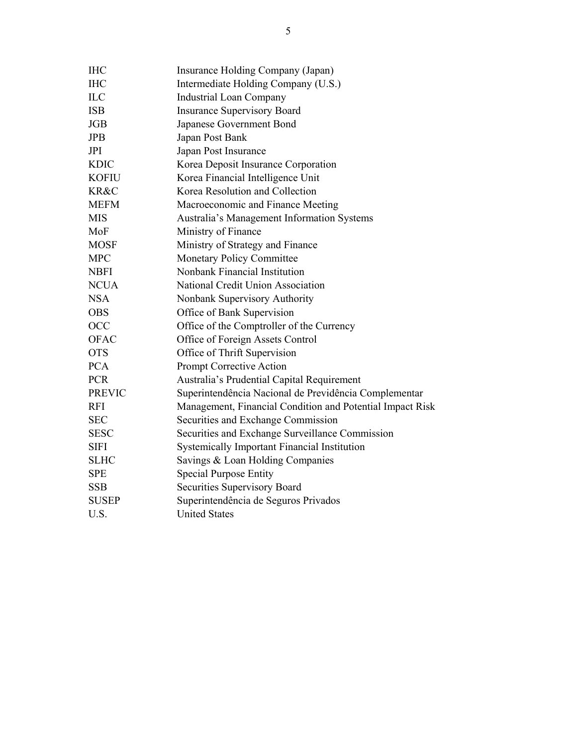| <b>IHC</b>    | Insurance Holding Company (Japan)                         |
|---------------|-----------------------------------------------------------|
| <b>IHC</b>    | Intermediate Holding Company (U.S.)                       |
| <b>ILC</b>    | <b>Industrial Loan Company</b>                            |
| <b>ISB</b>    | <b>Insurance Supervisory Board</b>                        |
| <b>JGB</b>    | Japanese Government Bond                                  |
| <b>JPB</b>    | Japan Post Bank                                           |
| JPI           | Japan Post Insurance                                      |
| <b>KDIC</b>   | Korea Deposit Insurance Corporation                       |
| <b>KOFIU</b>  | Korea Financial Intelligence Unit                         |
| KR&C          | Korea Resolution and Collection                           |
| <b>MEFM</b>   | Macroeconomic and Finance Meeting                         |
| <b>MIS</b>    | Australia's Management Information Systems                |
| MoF           | Ministry of Finance                                       |
| <b>MOSF</b>   | Ministry of Strategy and Finance                          |
| <b>MPC</b>    | Monetary Policy Committee                                 |
| <b>NBFI</b>   | Nonbank Financial Institution                             |
| <b>NCUA</b>   | National Credit Union Association                         |
| <b>NSA</b>    | Nonbank Supervisory Authority                             |
| <b>OBS</b>    | Office of Bank Supervision                                |
| OCC           | Office of the Comptroller of the Currency                 |
| <b>OFAC</b>   | Office of Foreign Assets Control                          |
| <b>OTS</b>    | Office of Thrift Supervision                              |
| <b>PCA</b>    | Prompt Corrective Action                                  |
| <b>PCR</b>    | Australia's Prudential Capital Requirement                |
| <b>PREVIC</b> | Superintendência Nacional de Previdência Complementar     |
| <b>RFI</b>    | Management, Financial Condition and Potential Impact Risk |
| <b>SEC</b>    | Securities and Exchange Commission                        |
| <b>SESC</b>   | Securities and Exchange Surveillance Commission           |
| <b>SIFI</b>   | <b>Systemically Important Financial Institution</b>       |
| <b>SLHC</b>   | Savings & Loan Holding Companies                          |
| <b>SPE</b>    | <b>Special Purpose Entity</b>                             |
| <b>SSB</b>    | Securities Supervisory Board                              |
| <b>SUSEP</b>  | Superintendência de Seguros Privados                      |
| U.S.          | <b>United States</b>                                      |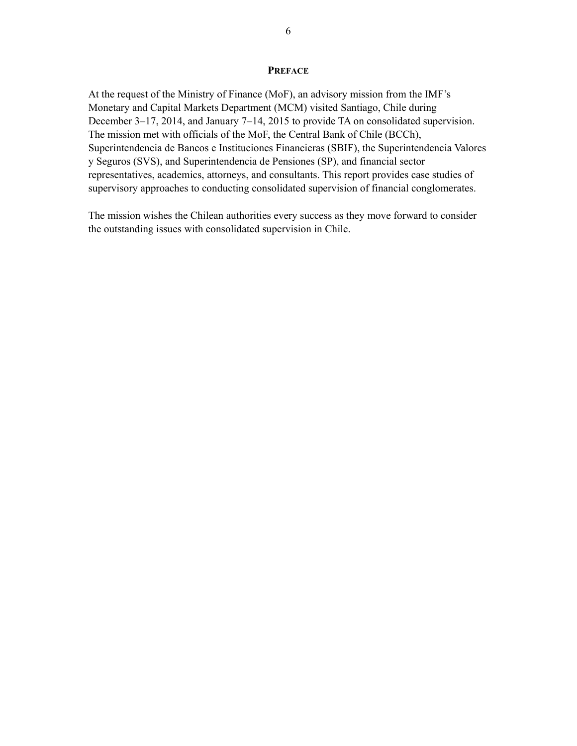#### **PREFACE**

At the request of the Ministry of Finance (MoF), an advisory mission from the IMF's Monetary and Capital Markets Department (MCM) visited Santiago, Chile during December 3–17, 2014, and January 7–14, 2015 to provide TA on consolidated supervision. The mission met with officials of the MoF, the Central Bank of Chile (BCCh), Superintendencia de Bancos e Instituciones Financieras (SBIF), the Superintendencia Valores y Seguros (SVS), and Superintendencia de Pensiones (SP), and financial sector representatives, academics, attorneys, and consultants. This report provides case studies of supervisory approaches to conducting consolidated supervision of financial conglomerates.

The mission wishes the Chilean authorities every success as they move forward to consider the outstanding issues with consolidated supervision in Chile.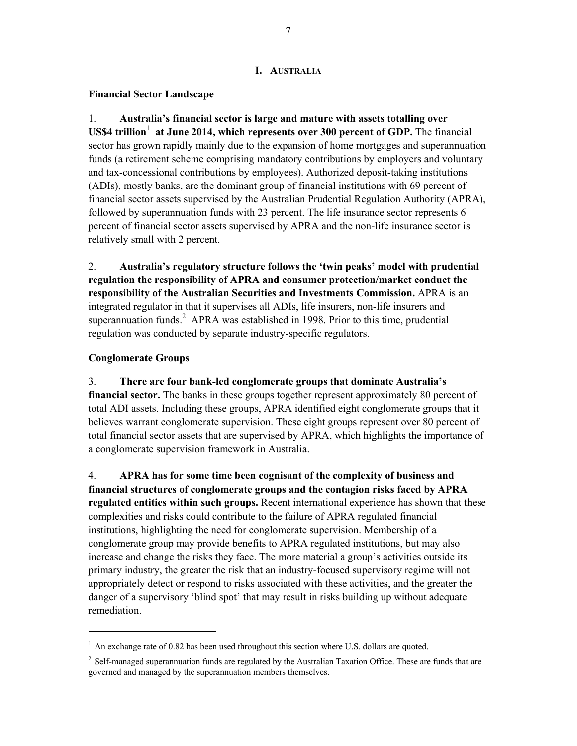#### **I. AUSTRALIA**

#### **Financial Sector Landscape**

1. **Australia's financial sector is large and mature with assets totalling over**  US\$4 trillion<sup>1</sup> at June 2014, which represents over 300 percent of GDP. The financial sector has grown rapidly mainly due to the expansion of home mortgages and superannuation funds (a retirement scheme comprising mandatory contributions by employers and voluntary and tax-concessional contributions by employees). Authorized deposit-taking institutions (ADIs), mostly banks, are the dominant group of financial institutions with 69 percent of financial sector assets supervised by the Australian Prudential Regulation Authority (APRA), followed by superannuation funds with 23 percent. The life insurance sector represents 6 percent of financial sector assets supervised by APRA and the non-life insurance sector is relatively small with 2 percent.

2. **Australia's regulatory structure follows the 'twin peaks' model with prudential regulation the responsibility of APRA and consumer protection/market conduct the responsibility of the Australian Securities and Investments Commission.** APRA is an integrated regulator in that it supervises all ADIs, life insurers, non-life insurers and superannuation funds. $2$  APRA was established in 1998. Prior to this time, prudential regulation was conducted by separate industry-specific regulators.

#### **Conglomerate Groups**

-

3. **There are four bank-led conglomerate groups that dominate Australia's financial sector.** The banks in these groups together represent approximately 80 percent of total ADI assets. Including these groups, APRA identified eight conglomerate groups that it believes warrant conglomerate supervision. These eight groups represent over 80 percent of total financial sector assets that are supervised by APRA, which highlights the importance of a conglomerate supervision framework in Australia.

4. **APRA has for some time been cognisant of the complexity of business and financial structures of conglomerate groups and the contagion risks faced by APRA regulated entities within such groups.** Recent international experience has shown that these complexities and risks could contribute to the failure of APRA regulated financial institutions, highlighting the need for conglomerate supervision. Membership of a conglomerate group may provide benefits to APRA regulated institutions, but may also increase and change the risks they face. The more material a group's activities outside its primary industry, the greater the risk that an industry-focused supervisory regime will not appropriately detect or respond to risks associated with these activities, and the greater the danger of a supervisory 'blind spot' that may result in risks building up without adequate remediation.

 $<sup>1</sup>$  An exchange rate of 0.82 has been used throughout this section where U.S. dollars are quoted.</sup>

 $2$  Self-managed superannuation funds are regulated by the Australian Taxation Office. These are funds that are governed and managed by the superannuation members themselves.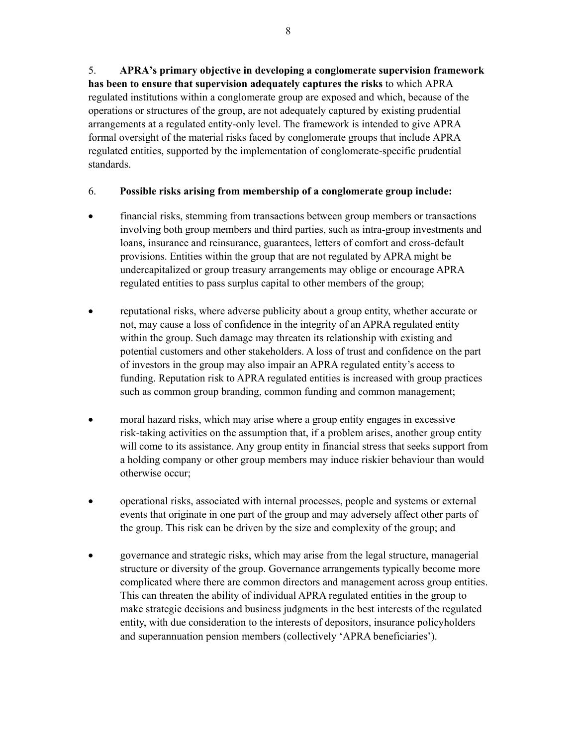5. **APRA's primary objective in developing a conglomerate supervision framework has been to ensure that supervision adequately captures the risks** to which APRA regulated institutions within a conglomerate group are exposed and which, because of the operations or structures of the group, are not adequately captured by existing prudential arrangements at a regulated entity-only level. The framework is intended to give APRA formal oversight of the material risks faced by conglomerate groups that include APRA regulated entities, supported by the implementation of conglomerate-specific prudential standards.

### 6. **Possible risks arising from membership of a conglomerate group include:**

- financial risks, stemming from transactions between group members or transactions involving both group members and third parties, such as intra-group investments and loans, insurance and reinsurance, guarantees, letters of comfort and cross-default provisions. Entities within the group that are not regulated by APRA might be undercapitalized or group treasury arrangements may oblige or encourage APRA regulated entities to pass surplus capital to other members of the group;
- reputational risks, where adverse publicity about a group entity, whether accurate or not, may cause a loss of confidence in the integrity of an APRA regulated entity within the group. Such damage may threaten its relationship with existing and potential customers and other stakeholders. A loss of trust and confidence on the part of investors in the group may also impair an APRA regulated entity's access to funding. Reputation risk to APRA regulated entities is increased with group practices such as common group branding, common funding and common management;
- moral hazard risks, which may arise where a group entity engages in excessive risk-taking activities on the assumption that, if a problem arises, another group entity will come to its assistance. Any group entity in financial stress that seeks support from a holding company or other group members may induce riskier behaviour than would otherwise occur;
- operational risks, associated with internal processes, people and systems or external events that originate in one part of the group and may adversely affect other parts of the group. This risk can be driven by the size and complexity of the group; and
- governance and strategic risks, which may arise from the legal structure, managerial structure or diversity of the group. Governance arrangements typically become more complicated where there are common directors and management across group entities. This can threaten the ability of individual APRA regulated entities in the group to make strategic decisions and business judgments in the best interests of the regulated entity, with due consideration to the interests of depositors, insurance policyholders and superannuation pension members (collectively 'APRA beneficiaries').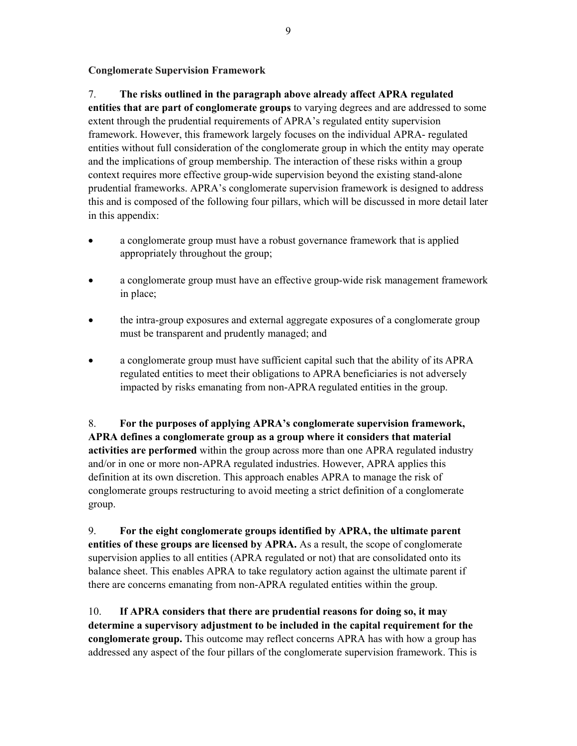**Conglomerate Supervision Framework** 

7. **The risks outlined in the paragraph above already affect APRA regulated entities that are part of conglomerate groups** to varying degrees and are addressed to some extent through the prudential requirements of APRA's regulated entity supervision framework. However, this framework largely focuses on the individual APRA- regulated entities without full consideration of the conglomerate group in which the entity may operate and the implications of group membership. The interaction of these risks within a group context requires more effective group-wide supervision beyond the existing stand-alone prudential frameworks. APRA's conglomerate supervision framework is designed to address this and is composed of the following four pillars, which will be discussed in more detail later in this appendix:

- a conglomerate group must have a robust governance framework that is applied appropriately throughout the group;
- a conglomerate group must have an effective group-wide risk management framework in place;
- the intra-group exposures and external aggregate exposures of a conglomerate group must be transparent and prudently managed; and
- a conglomerate group must have sufficient capital such that the ability of its APRA regulated entities to meet their obligations to APRA beneficiaries is not adversely impacted by risks emanating from non-APRA regulated entities in the group.

8. **For the purposes of applying APRA's conglomerate supervision framework, APRA defines a conglomerate group as a group where it considers that material activities are performed** within the group across more than one APRA regulated industry and/or in one or more non-APRA regulated industries. However, APRA applies this definition at its own discretion. This approach enables APRA to manage the risk of conglomerate groups restructuring to avoid meeting a strict definition of a conglomerate group.

9. **For the eight conglomerate groups identified by APRA, the ultimate parent entities of these groups are licensed by APRA.** As a result, the scope of conglomerate supervision applies to all entities (APRA regulated or not) that are consolidated onto its balance sheet. This enables APRA to take regulatory action against the ultimate parent if there are concerns emanating from non-APRA regulated entities within the group.

10. **If APRA considers that there are prudential reasons for doing so, it may determine a supervisory adjustment to be included in the capital requirement for the conglomerate group.** This outcome may reflect concerns APRA has with how a group has addressed any aspect of the four pillars of the conglomerate supervision framework. This is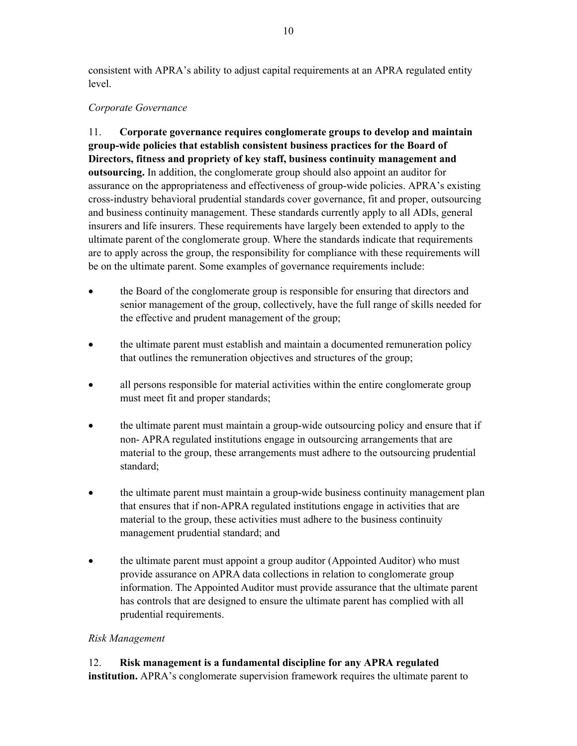consistent with APRA's ability to adjust capital requirements at an APRA regulated entity level.

### *Corporate Governance*

11. **Corporate governance requires conglomerate groups to develop and maintain group-wide policies that establish consistent business practices for the Board of Directors, fitness and propriety of key staff, business continuity management and outsourcing.** In addition, the conglomerate group should also appoint an auditor for assurance on the appropriateness and effectiveness of group-wide policies. APRA's existing cross-industry behavioral prudential standards cover governance, fit and proper, outsourcing and business continuity management. These standards currently apply to all ADIs, general insurers and life insurers. These requirements have largely been extended to apply to the ultimate parent of the conglomerate group. Where the standards indicate that requirements are to apply across the group, the responsibility for compliance with these requirements will be on the ultimate parent. Some examples of governance requirements include:

- the Board of the conglomerate group is responsible for ensuring that directors and senior management of the group, collectively, have the full range of skills needed for the effective and prudent management of the group;
- the ultimate parent must establish and maintain a documented remuneration policy that outlines the remuneration objectives and structures of the group;
- all persons responsible for material activities within the entire conglomerate group must meet fit and proper standards;
- the ultimate parent must maintain a group-wide outsourcing policy and ensure that if non- APRA regulated institutions engage in outsourcing arrangements that are material to the group, these arrangements must adhere to the outsourcing prudential standard;
- the ultimate parent must maintain a group-wide business continuity management plan that ensures that if non-APRA regulated institutions engage in activities that are material to the group, these activities must adhere to the business continuity management prudential standard; and
- the ultimate parent must appoint a group auditor (Appointed Auditor) who must provide assurance on APRA data collections in relation to conglomerate group information. The Appointed Auditor must provide assurance that the ultimate parent has controls that are designed to ensure the ultimate parent has complied with all prudential requirements.

### *Risk Management*

12. **Risk management is a fundamental discipline for any APRA regulated institution.** APRA's conglomerate supervision framework requires the ultimate parent to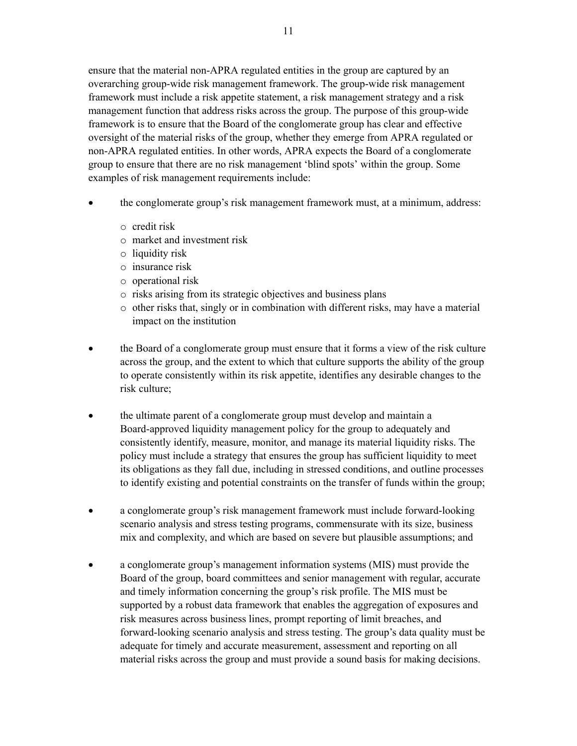ensure that the material non-APRA regulated entities in the group are captured by an overarching group-wide risk management framework. The group-wide risk management framework must include a risk appetite statement, a risk management strategy and a risk management function that address risks across the group. The purpose of this group-wide framework is to ensure that the Board of the conglomerate group has clear and effective oversight of the material risks of the group, whether they emerge from APRA regulated or non-APRA regulated entities. In other words, APRA expects the Board of a conglomerate group to ensure that there are no risk management 'blind spots' within the group. Some examples of risk management requirements include:

- the conglomerate group's risk management framework must, at a minimum, address:
	- o credit risk
	- o market and investment risk
	- o liquidity risk
	- o insurance risk
	- o operational risk
	- o risks arising from its strategic objectives and business plans
	- $\circ$  other risks that, singly or in combination with different risks, may have a material impact on the institution
- the Board of a conglomerate group must ensure that it forms a view of the risk culture across the group, and the extent to which that culture supports the ability of the group to operate consistently within its risk appetite, identifies any desirable changes to the risk culture;
- the ultimate parent of a conglomerate group must develop and maintain a Board-approved liquidity management policy for the group to adequately and consistently identify, measure, monitor, and manage its material liquidity risks. The policy must include a strategy that ensures the group has sufficient liquidity to meet its obligations as they fall due, including in stressed conditions, and outline processes to identify existing and potential constraints on the transfer of funds within the group;
- a conglomerate group's risk management framework must include forward-looking scenario analysis and stress testing programs, commensurate with its size, business mix and complexity, and which are based on severe but plausible assumptions; and
- a conglomerate group's management information systems (MIS) must provide the Board of the group, board committees and senior management with regular, accurate and timely information concerning the group's risk profile. The MIS must be supported by a robust data framework that enables the aggregation of exposures and risk measures across business lines, prompt reporting of limit breaches, and forward-looking scenario analysis and stress testing. The group's data quality must be adequate for timely and accurate measurement, assessment and reporting on all material risks across the group and must provide a sound basis for making decisions.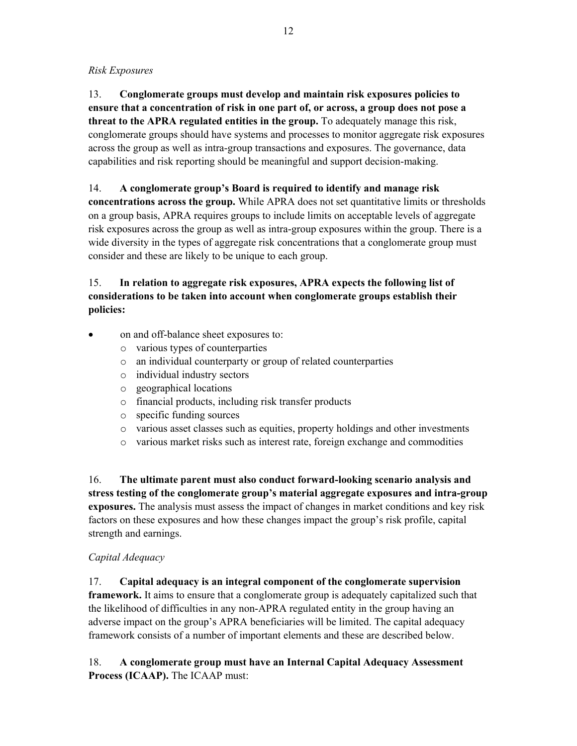*Risk Exposures* 

13. **Conglomerate groups must develop and maintain risk exposures policies to ensure that a concentration of risk in one part of, or across, a group does not pose a threat to the APRA regulated entities in the group.** To adequately manage this risk, conglomerate groups should have systems and processes to monitor aggregate risk exposures across the group as well as intra-group transactions and exposures. The governance, data capabilities and risk reporting should be meaningful and support decision-making.

14. **A conglomerate group's Board is required to identify and manage risk** 

**concentrations across the group.** While APRA does not set quantitative limits or thresholds on a group basis, APRA requires groups to include limits on acceptable levels of aggregate risk exposures across the group as well as intra-group exposures within the group. There is a wide diversity in the types of aggregate risk concentrations that a conglomerate group must consider and these are likely to be unique to each group.

## 15. **In relation to aggregate risk exposures, APRA expects the following list of considerations to be taken into account when conglomerate groups establish their policies:**

- on and off-balance sheet exposures to:
	- o various types of counterparties
	- o an individual counterparty or group of related counterparties
	- o individual industry sectors
	- o geographical locations
	- o financial products, including risk transfer products
	- o specific funding sources
	- o various asset classes such as equities, property holdings and other investments
	- o various market risks such as interest rate, foreign exchange and commodities

16. **The ultimate parent must also conduct forward-looking scenario analysis and stress testing of the conglomerate group's material aggregate exposures and intra-group exposures.** The analysis must assess the impact of changes in market conditions and key risk factors on these exposures and how these changes impact the group's risk profile, capital strength and earnings.

## *Capital Adequacy*

17. **Capital adequacy is an integral component of the conglomerate supervision framework.** It aims to ensure that a conglomerate group is adequately capitalized such that the likelihood of difficulties in any non-APRA regulated entity in the group having an adverse impact on the group's APRA beneficiaries will be limited. The capital adequacy framework consists of a number of important elements and these are described below.

18. **A conglomerate group must have an Internal Capital Adequacy Assessment Process (ICAAP).** The ICAAP must: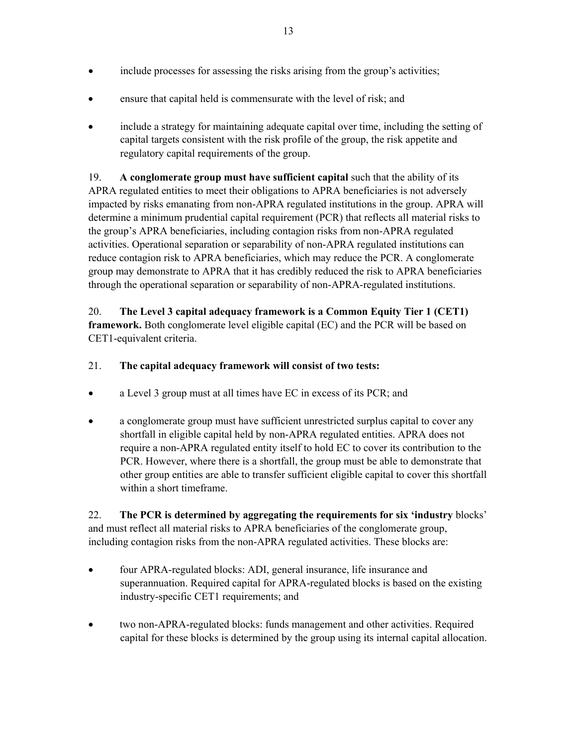- include processes for assessing the risks arising from the group's activities;
- ensure that capital held is commensurate with the level of risk; and
- include a strategy for maintaining adequate capital over time, including the setting of capital targets consistent with the risk profile of the group, the risk appetite and regulatory capital requirements of the group.

19. **A conglomerate group must have sufficient capital** such that the ability of its APRA regulated entities to meet their obligations to APRA beneficiaries is not adversely impacted by risks emanating from non-APRA regulated institutions in the group. APRA will determine a minimum prudential capital requirement (PCR) that reflects all material risks to the group's APRA beneficiaries, including contagion risks from non-APRA regulated activities. Operational separation or separability of non-APRA regulated institutions can reduce contagion risk to APRA beneficiaries, which may reduce the PCR. A conglomerate group may demonstrate to APRA that it has credibly reduced the risk to APRA beneficiaries through the operational separation or separability of non-APRA-regulated institutions.

20. **The Level 3 capital adequacy framework is a Common Equity Tier 1 (CET1) framework.** Both conglomerate level eligible capital (EC) and the PCR will be based on CET1-equivalent criteria.

## 21. **The capital adequacy framework will consist of two tests:**

- a Level 3 group must at all times have EC in excess of its PCR; and
- a conglomerate group must have sufficient unrestricted surplus capital to cover any shortfall in eligible capital held by non-APRA regulated entities. APRA does not require a non-APRA regulated entity itself to hold EC to cover its contribution to the PCR. However, where there is a shortfall, the group must be able to demonstrate that other group entities are able to transfer sufficient eligible capital to cover this shortfall within a short timeframe.

22. **The PCR is determined by aggregating the requirements for six 'industry** blocks' and must reflect all material risks to APRA beneficiaries of the conglomerate group, including contagion risks from the non-APRA regulated activities. These blocks are:

- four APRA-regulated blocks: ADI, general insurance, life insurance and superannuation. Required capital for APRA-regulated blocks is based on the existing industry-specific CET1 requirements; and
- two non-APRA-regulated blocks: funds management and other activities. Required capital for these blocks is determined by the group using its internal capital allocation.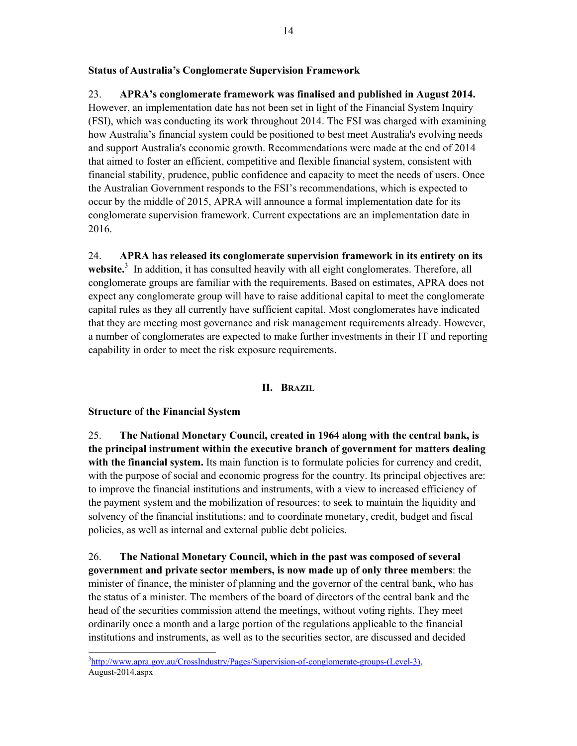### **Status of Australia's Conglomerate Supervision Framework**

## 23. **APRA's conglomerate framework was finalised and published in August 2014.**

However, an implementation date has not been set in light of the Financial System Inquiry (FSI), which was conducting its work throughout 2014. The FSI was charged with examining how Australia's financial system could be positioned to best meet Australia's evolving needs and support Australia's economic growth. Recommendations were made at the end of 2014 that aimed to foster an efficient, competitive and flexible financial system, consistent with financial stability, prudence, public confidence and capacity to meet the needs of users. Once the Australian Government responds to the FSI's recommendations, which is expected to occur by the middle of 2015, APRA will announce a formal implementation date for its conglomerate supervision framework. Current expectations are an implementation date in 2016.

24. **APRA has released its conglomerate supervision framework in its entirety on its**  website.<sup>3</sup> In addition, it has consulted heavily with all eight conglomerates. Therefore, all conglomerate groups are familiar with the requirements. Based on estimates, APRA does not expect any conglomerate group will have to raise additional capital to meet the conglomerate capital rules as they all currently have sufficient capital. Most conglomerates have indicated that they are meeting most governance and risk management requirements already. However, a number of conglomerates are expected to make further investments in their IT and reporting capability in order to meet the risk exposure requirements.

### **II. BRAZIL**

### **Structure of the Financial System**

25. **The National Monetary Council, created in 1964 along with the central bank, is the principal instrument within the executive branch of government for matters dealing with the financial system.** Its main function is to formulate policies for currency and credit, with the purpose of social and economic progress for the country. Its principal objectives are: to improve the financial institutions and instruments, with a view to increased efficiency of the payment system and the mobilization of resources; to seek to maintain the liquidity and solvency of the financial institutions; and to coordinate monetary, credit, budget and fiscal policies, as well as internal and external public debt policies.

26. **The National Monetary Council, which in the past was composed of several government and private sector members, is now made up of only three members**: the minister of finance, the minister of planning and the governor of the central bank, who has the status of a minister. The members of the board of directors of the central bank and the head of the securities commission attend the meetings, without voting rights. They meet ordinarily once a month and a large portion of the regulations applicable to the financial institutions and instruments, as well as to the securities sector, are discussed and decided

 3 http://www.apra.gov.au/CrossIndustry/Pages/Supervision-of-conglomerate-groups-(Level-3), August-2014.aspx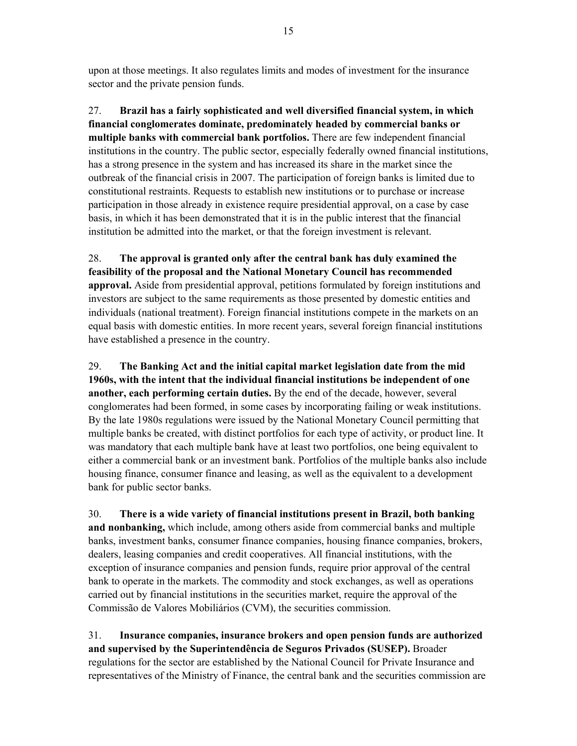upon at those meetings. It also regulates limits and modes of investment for the insurance sector and the private pension funds.

27. **Brazil has a fairly sophisticated and well diversified financial system, in which financial conglomerates dominate, predominately headed by commercial banks or multiple banks with commercial bank portfolios.** There are few independent financial institutions in the country. The public sector, especially federally owned financial institutions, has a strong presence in the system and has increased its share in the market since the outbreak of the financial crisis in 2007. The participation of foreign banks is limited due to constitutional restraints. Requests to establish new institutions or to purchase or increase participation in those already in existence require presidential approval, on a case by case basis, in which it has been demonstrated that it is in the public interest that the financial institution be admitted into the market, or that the foreign investment is relevant.

28. **The approval is granted only after the central bank has duly examined the feasibility of the proposal and the National Monetary Council has recommended approval.** Aside from presidential approval, petitions formulated by foreign institutions and investors are subject to the same requirements as those presented by domestic entities and individuals (national treatment). Foreign financial institutions compete in the markets on an equal basis with domestic entities. In more recent years, several foreign financial institutions have established a presence in the country.

29. **The Banking Act and the initial capital market legislation date from the mid 1960s, with the intent that the individual financial institutions be independent of one another, each performing certain duties.** By the end of the decade, however, several conglomerates had been formed, in some cases by incorporating failing or weak institutions. By the late 1980s regulations were issued by the National Monetary Council permitting that multiple banks be created, with distinct portfolios for each type of activity, or product line. It was mandatory that each multiple bank have at least two portfolios, one being equivalent to either a commercial bank or an investment bank. Portfolios of the multiple banks also include housing finance, consumer finance and leasing, as well as the equivalent to a development bank for public sector banks.

30. **There is a wide variety of financial institutions present in Brazil, both banking and nonbanking,** which include, among others aside from commercial banks and multiple banks, investment banks, consumer finance companies, housing finance companies, brokers, dealers, leasing companies and credit cooperatives. All financial institutions, with the exception of insurance companies and pension funds, require prior approval of the central bank to operate in the markets. The commodity and stock exchanges, as well as operations carried out by financial institutions in the securities market, require the approval of the Commissão de Valores Mobiliários (CVM), the securities commission.

31. **Insurance companies, insurance brokers and open pension funds are authorized and supervised by the Superintendência de Seguros Privados (SUSEP).** Broader regulations for the sector are established by the National Council for Private Insurance and representatives of the Ministry of Finance, the central bank and the securities commission are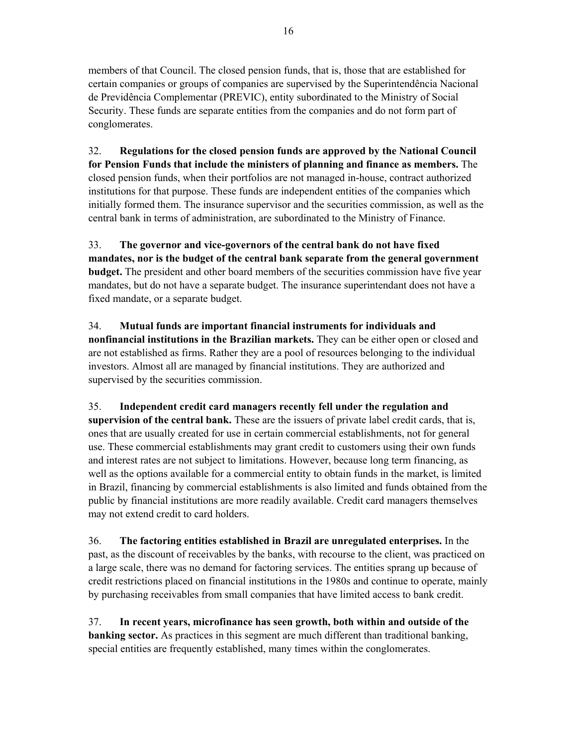members of that Council. The closed pension funds, that is, those that are established for certain companies or groups of companies are supervised by the Superintendência Nacional de Previdência Complementar (PREVIC), entity subordinated to the Ministry of Social Security. These funds are separate entities from the companies and do not form part of conglomerates.

32. **Regulations for the closed pension funds are approved by the National Council for Pension Funds that include the ministers of planning and finance as members.** The closed pension funds, when their portfolios are not managed in-house, contract authorized institutions for that purpose. These funds are independent entities of the companies which initially formed them. The insurance supervisor and the securities commission, as well as the central bank in terms of administration, are subordinated to the Ministry of Finance.

33. **The governor and vice-governors of the central bank do not have fixed mandates, nor is the budget of the central bank separate from the general government budget.** The president and other board members of the securities commission have five year mandates, but do not have a separate budget. The insurance superintendant does not have a fixed mandate, or a separate budget.

34. **Mutual funds are important financial instruments for individuals and nonfinancial institutions in the Brazilian markets.** They can be either open or closed and are not established as firms. Rather they are a pool of resources belonging to the individual investors. Almost all are managed by financial institutions. They are authorized and supervised by the securities commission.

35. **Independent credit card managers recently fell under the regulation and supervision of the central bank.** These are the issuers of private label credit cards, that is, ones that are usually created for use in certain commercial establishments, not for general use. These commercial establishments may grant credit to customers using their own funds and interest rates are not subject to limitations. However, because long term financing, as well as the options available for a commercial entity to obtain funds in the market, is limited in Brazil, financing by commercial establishments is also limited and funds obtained from the public by financial institutions are more readily available. Credit card managers themselves may not extend credit to card holders.

36. **The factoring entities established in Brazil are unregulated enterprises.** In the past, as the discount of receivables by the banks, with recourse to the client, was practiced on a large scale, there was no demand for factoring services. The entities sprang up because of credit restrictions placed on financial institutions in the 1980s and continue to operate, mainly by purchasing receivables from small companies that have limited access to bank credit.

37. **In recent years, microfinance has seen growth, both within and outside of the banking sector.** As practices in this segment are much different than traditional banking, special entities are frequently established, many times within the conglomerates.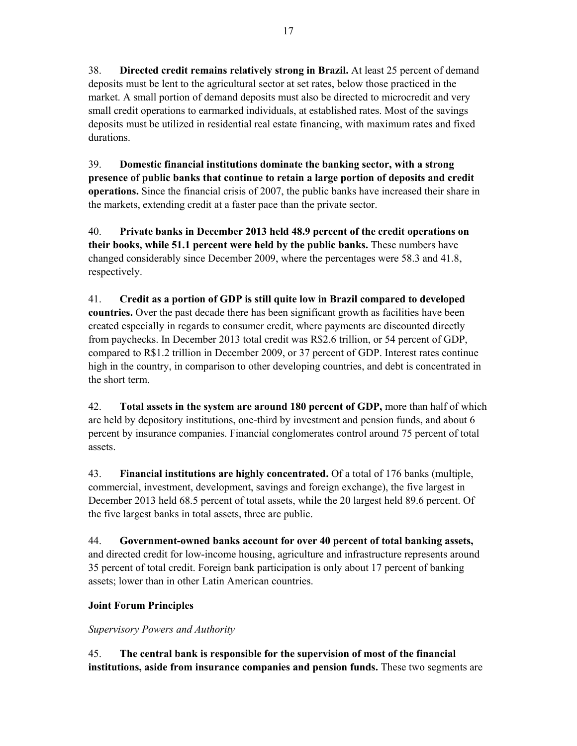38. **Directed credit remains relatively strong in Brazil.** At least 25 percent of demand deposits must be lent to the agricultural sector at set rates, below those practiced in the market. A small portion of demand deposits must also be directed to microcredit and very small credit operations to earmarked individuals, at established rates. Most of the savings deposits must be utilized in residential real estate financing, with maximum rates and fixed durations.

39. **Domestic financial institutions dominate the banking sector, with a strong presence of public banks that continue to retain a large portion of deposits and credit operations.** Since the financial crisis of 2007, the public banks have increased their share in the markets, extending credit at a faster pace than the private sector.

40. **Private banks in December 2013 held 48.9 percent of the credit operations on their books, while 51.1 percent were held by the public banks.** These numbers have changed considerably since December 2009, where the percentages were 58.3 and 41.8, respectively.

41. **Credit as a portion of GDP is still quite low in Brazil compared to developed countries.** Over the past decade there has been significant growth as facilities have been created especially in regards to consumer credit, where payments are discounted directly from paychecks. In December 2013 total credit was R\$2.6 trillion, or 54 percent of GDP, compared to R\$1.2 trillion in December 2009, or 37 percent of GDP. Interest rates continue high in the country, in comparison to other developing countries, and debt is concentrated in the short term.

42. **Total assets in the system are around 180 percent of GDP,** more than half of which are held by depository institutions, one-third by investment and pension funds, and about 6 percent by insurance companies. Financial conglomerates control around 75 percent of total assets.

43. **Financial institutions are highly concentrated.** Of a total of 176 banks (multiple, commercial, investment, development, savings and foreign exchange), the five largest in December 2013 held 68.5 percent of total assets, while the 20 largest held 89.6 percent. Of the five largest banks in total assets, three are public.

44. **Government-owned banks account for over 40 percent of total banking assets,** and directed credit for low-income housing, agriculture and infrastructure represents around 35 percent of total credit. Foreign bank participation is only about 17 percent of banking assets; lower than in other Latin American countries.

## **Joint Forum Principles**

*Supervisory Powers and Authority* 

45. **The central bank is responsible for the supervision of most of the financial institutions, aside from insurance companies and pension funds.** These two segments are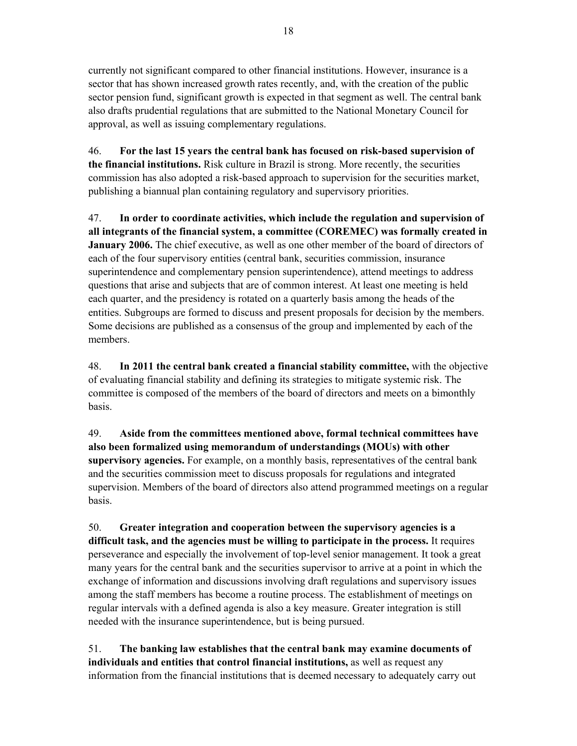currently not significant compared to other financial institutions. However, insurance is a sector that has shown increased growth rates recently, and, with the creation of the public sector pension fund, significant growth is expected in that segment as well. The central bank also drafts prudential regulations that are submitted to the National Monetary Council for approval, as well as issuing complementary regulations.

46. **For the last 15 years the central bank has focused on risk-based supervision of the financial institutions.** Risk culture in Brazil is strong. More recently, the securities commission has also adopted a risk-based approach to supervision for the securities market, publishing a biannual plan containing regulatory and supervisory priorities.

47. **In order to coordinate activities, which include the regulation and supervision of all integrants of the financial system, a committee (COREMEC) was formally created in January 2006.** The chief executive, as well as one other member of the board of directors of each of the four supervisory entities (central bank, securities commission, insurance superintendence and complementary pension superintendence), attend meetings to address questions that arise and subjects that are of common interest. At least one meeting is held each quarter, and the presidency is rotated on a quarterly basis among the heads of the entities. Subgroups are formed to discuss and present proposals for decision by the members. Some decisions are published as a consensus of the group and implemented by each of the members.

48. **In 2011 the central bank created a financial stability committee,** with the objective of evaluating financial stability and defining its strategies to mitigate systemic risk. The committee is composed of the members of the board of directors and meets on a bimonthly basis.

49. **Aside from the committees mentioned above, formal technical committees have also been formalized using memorandum of understandings (MOUs) with other supervisory agencies.** For example, on a monthly basis, representatives of the central bank and the securities commission meet to discuss proposals for regulations and integrated supervision. Members of the board of directors also attend programmed meetings on a regular basis.

50. **Greater integration and cooperation between the supervisory agencies is a difficult task, and the agencies must be willing to participate in the process.** It requires perseverance and especially the involvement of top-level senior management. It took a great many years for the central bank and the securities supervisor to arrive at a point in which the exchange of information and discussions involving draft regulations and supervisory issues among the staff members has become a routine process. The establishment of meetings on regular intervals with a defined agenda is also a key measure. Greater integration is still needed with the insurance superintendence, but is being pursued.

51. **The banking law establishes that the central bank may examine documents of individuals and entities that control financial institutions,** as well as request any information from the financial institutions that is deemed necessary to adequately carry out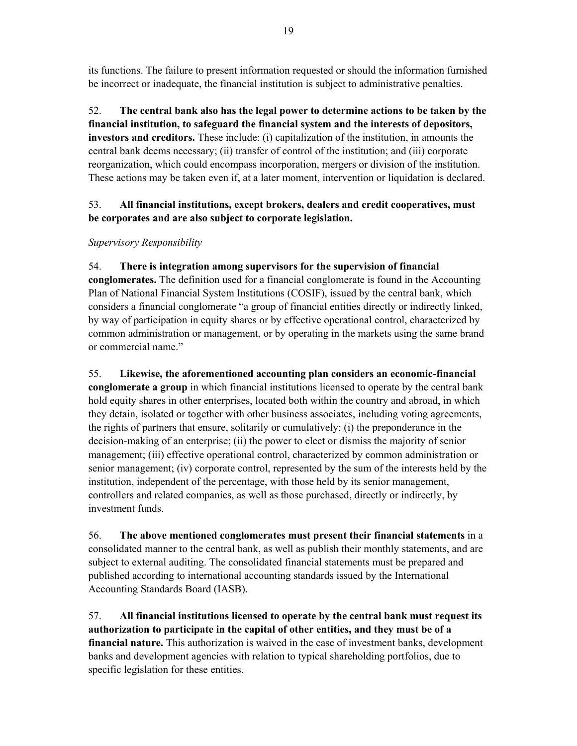its functions. The failure to present information requested or should the information furnished be incorrect or inadequate, the financial institution is subject to administrative penalties.

52. **The central bank also has the legal power to determine actions to be taken by the financial institution, to safeguard the financial system and the interests of depositors, investors and creditors.** These include: (i) capitalization of the institution, in amounts the central bank deems necessary; (ii) transfer of control of the institution; and (iii) corporate reorganization, which could encompass incorporation, mergers or division of the institution. These actions may be taken even if, at a later moment, intervention or liquidation is declared.

## 53. **All financial institutions, except brokers, dealers and credit cooperatives, must be corporates and are also subject to corporate legislation.**

## *Supervisory Responsibility*

54. **There is integration among supervisors for the supervision of financial conglomerates.** The definition used for a financial conglomerate is found in the Accounting Plan of National Financial System Institutions (COSIF), issued by the central bank, which considers a financial conglomerate "a group of financial entities directly or indirectly linked, by way of participation in equity shares or by effective operational control, characterized by common administration or management, or by operating in the markets using the same brand or commercial name."

55. **Likewise, the aforementioned accounting plan considers an economic-financial conglomerate a group** in which financial institutions licensed to operate by the central bank hold equity shares in other enterprises, located both within the country and abroad, in which they detain, isolated or together with other business associates, including voting agreements, the rights of partners that ensure, solitarily or cumulatively: (i) the preponderance in the decision-making of an enterprise; (ii) the power to elect or dismiss the majority of senior management; (iii) effective operational control, characterized by common administration or senior management; (iv) corporate control, represented by the sum of the interests held by the institution, independent of the percentage, with those held by its senior management, controllers and related companies, as well as those purchased, directly or indirectly, by investment funds.

56. **The above mentioned conglomerates must present their financial statements** in a consolidated manner to the central bank, as well as publish their monthly statements, and are subject to external auditing. The consolidated financial statements must be prepared and published according to international accounting standards issued by the International Accounting Standards Board (IASB).

57. **All financial institutions licensed to operate by the central bank must request its authorization to participate in the capital of other entities, and they must be of a financial nature.** This authorization is waived in the case of investment banks, development banks and development agencies with relation to typical shareholding portfolios, due to specific legislation for these entities.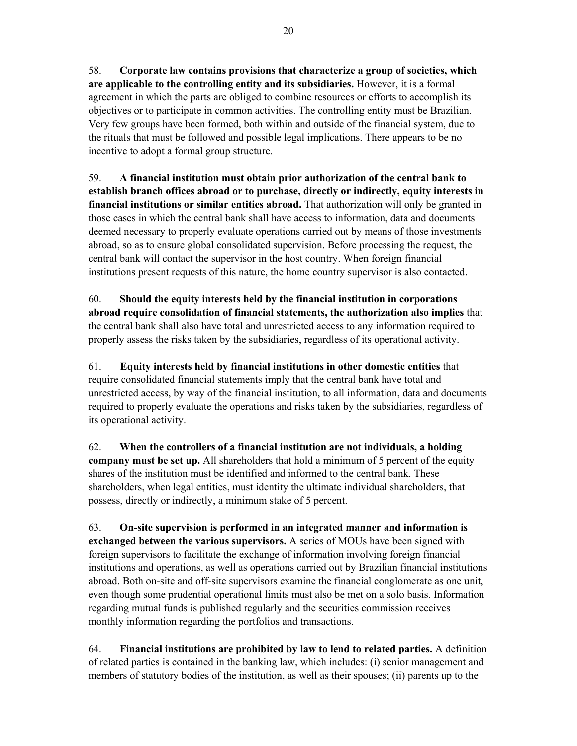58. **Corporate law contains provisions that characterize a group of societies, which are applicable to the controlling entity and its subsidiaries.** However, it is a formal agreement in which the parts are obliged to combine resources or efforts to accomplish its objectives or to participate in common activities. The controlling entity must be Brazilian. Very few groups have been formed, both within and outside of the financial system, due to the rituals that must be followed and possible legal implications. There appears to be no incentive to adopt a formal group structure.

59. **A financial institution must obtain prior authorization of the central bank to establish branch offices abroad or to purchase, directly or indirectly, equity interests in financial institutions or similar entities abroad.** That authorization will only be granted in those cases in which the central bank shall have access to information, data and documents deemed necessary to properly evaluate operations carried out by means of those investments abroad, so as to ensure global consolidated supervision. Before processing the request, the central bank will contact the supervisor in the host country. When foreign financial institutions present requests of this nature, the home country supervisor is also contacted.

60. **Should the equity interests held by the financial institution in corporations abroad require consolidation of financial statements, the authorization also implies** that the central bank shall also have total and unrestricted access to any information required to properly assess the risks taken by the subsidiaries, regardless of its operational activity.

61. **Equity interests held by financial institutions in other domestic entities** that require consolidated financial statements imply that the central bank have total and unrestricted access, by way of the financial institution, to all information, data and documents required to properly evaluate the operations and risks taken by the subsidiaries, regardless of its operational activity.

62. **When the controllers of a financial institution are not individuals, a holding company must be set up.** All shareholders that hold a minimum of 5 percent of the equity shares of the institution must be identified and informed to the central bank. These shareholders, when legal entities, must identity the ultimate individual shareholders, that possess, directly or indirectly, a minimum stake of 5 percent.

63. **On-site supervision is performed in an integrated manner and information is exchanged between the various supervisors.** A series of MOUs have been signed with foreign supervisors to facilitate the exchange of information involving foreign financial institutions and operations, as well as operations carried out by Brazilian financial institutions abroad. Both on-site and off-site supervisors examine the financial conglomerate as one unit, even though some prudential operational limits must also be met on a solo basis. Information regarding mutual funds is published regularly and the securities commission receives monthly information regarding the portfolios and transactions.

64. **Financial institutions are prohibited by law to lend to related parties.** A definition of related parties is contained in the banking law, which includes: (i) senior management and members of statutory bodies of the institution, as well as their spouses; (ii) parents up to the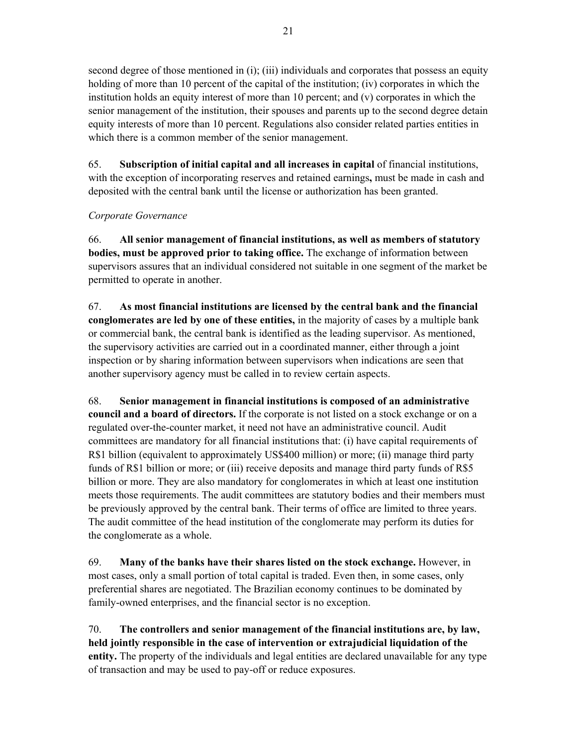second degree of those mentioned in (i); (iii) individuals and corporates that possess an equity holding of more than 10 percent of the capital of the institution; (iv) corporates in which the institution holds an equity interest of more than 10 percent; and  $(v)$  corporates in which the senior management of the institution, their spouses and parents up to the second degree detain equity interests of more than 10 percent. Regulations also consider related parties entities in which there is a common member of the senior management.

65. **Subscription of initial capital and all increases in capital** of financial institutions, with the exception of incorporating reserves and retained earnings**,** must be made in cash and deposited with the central bank until the license or authorization has been granted.

## *Corporate Governance*

66. **All senior management of financial institutions, as well as members of statutory bodies, must be approved prior to taking office.** The exchange of information between supervisors assures that an individual considered not suitable in one segment of the market be permitted to operate in another.

67. **As most financial institutions are licensed by the central bank and the financial conglomerates are led by one of these entities,** in the majority of cases by a multiple bank or commercial bank, the central bank is identified as the leading supervisor. As mentioned, the supervisory activities are carried out in a coordinated manner, either through a joint inspection or by sharing information between supervisors when indications are seen that another supervisory agency must be called in to review certain aspects.

68. **Senior management in financial institutions is composed of an administrative council and a board of directors.** If the corporate is not listed on a stock exchange or on a regulated over-the-counter market, it need not have an administrative council. Audit committees are mandatory for all financial institutions that: (i) have capital requirements of R\$1 billion (equivalent to approximately US\$400 million) or more; (ii) manage third party funds of R\$1 billion or more; or (iii) receive deposits and manage third party funds of R\$5 billion or more. They are also mandatory for conglomerates in which at least one institution meets those requirements. The audit committees are statutory bodies and their members must be previously approved by the central bank. Their terms of office are limited to three years. The audit committee of the head institution of the conglomerate may perform its duties for the conglomerate as a whole.

69. **Many of the banks have their shares listed on the stock exchange.** However, in most cases, only a small portion of total capital is traded. Even then, in some cases, only preferential shares are negotiated. The Brazilian economy continues to be dominated by family-owned enterprises, and the financial sector is no exception.

70. **The controllers and senior management of the financial institutions are, by law, held jointly responsible in the case of intervention or extrajudicial liquidation of the entity.** The property of the individuals and legal entities are declared unavailable for any type of transaction and may be used to pay-off or reduce exposures.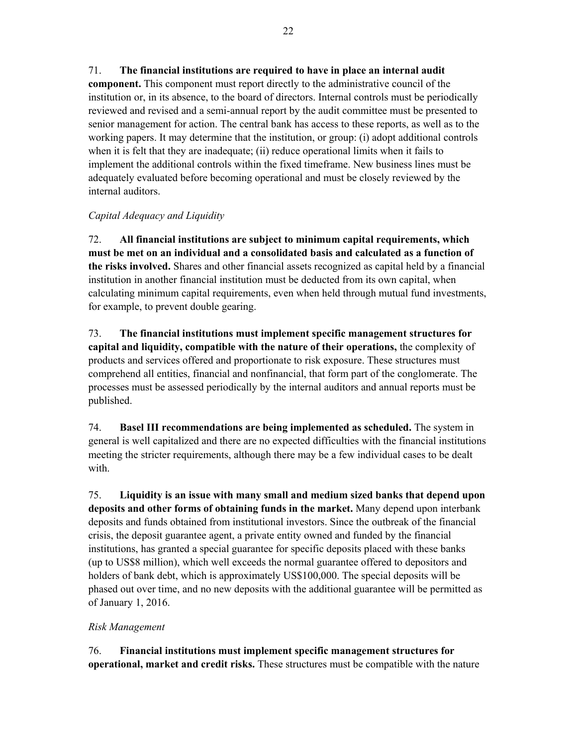## 71. **The financial institutions are required to have in place an internal audit**

**component.** This component must report directly to the administrative council of the institution or, in its absence, to the board of directors. Internal controls must be periodically reviewed and revised and a semi-annual report by the audit committee must be presented to senior management for action. The central bank has access to these reports, as well as to the working papers. It may determine that the institution, or group: (i) adopt additional controls when it is felt that they are inadequate; (ii) reduce operational limits when it fails to implement the additional controls within the fixed timeframe. New business lines must be adequately evaluated before becoming operational and must be closely reviewed by the internal auditors.

### *Capital Adequacy and Liquidity*

72. **All financial institutions are subject to minimum capital requirements, which must be met on an individual and a consolidated basis and calculated as a function of the risks involved.** Shares and other financial assets recognized as capital held by a financial institution in another financial institution must be deducted from its own capital, when calculating minimum capital requirements, even when held through mutual fund investments, for example, to prevent double gearing.

73. **The financial institutions must implement specific management structures for capital and liquidity, compatible with the nature of their operations,** the complexity of products and services offered and proportionate to risk exposure. These structures must comprehend all entities, financial and nonfinancial, that form part of the conglomerate. The processes must be assessed periodically by the internal auditors and annual reports must be published.

74. **Basel III recommendations are being implemented as scheduled.** The system in general is well capitalized and there are no expected difficulties with the financial institutions meeting the stricter requirements, although there may be a few individual cases to be dealt with.

75. **Liquidity is an issue with many small and medium sized banks that depend upon deposits and other forms of obtaining funds in the market.** Many depend upon interbank deposits and funds obtained from institutional investors. Since the outbreak of the financial crisis, the deposit guarantee agent, a private entity owned and funded by the financial institutions, has granted a special guarantee for specific deposits placed with these banks (up to US\$8 million), which well exceeds the normal guarantee offered to depositors and holders of bank debt, which is approximately US\$100,000. The special deposits will be phased out over time, and no new deposits with the additional guarantee will be permitted as of January 1, 2016.

### *Risk Management*

76. **Financial institutions must implement specific management structures for operational, market and credit risks.** These structures must be compatible with the nature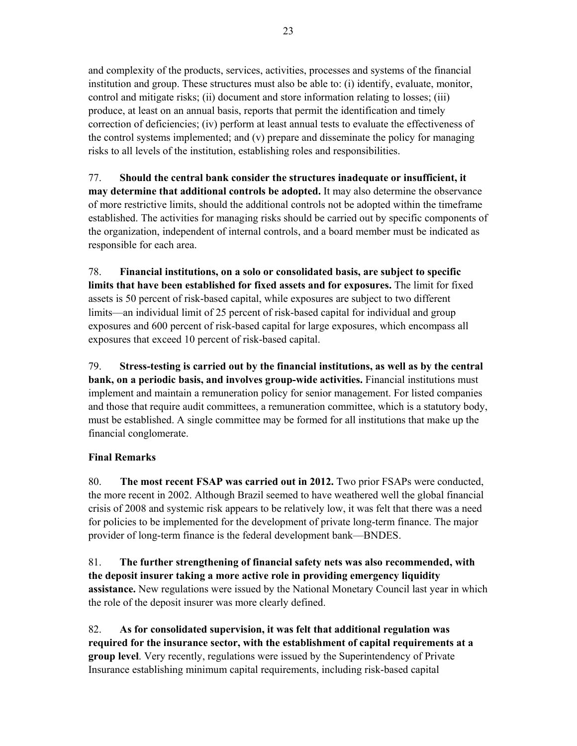and complexity of the products, services, activities, processes and systems of the financial institution and group. These structures must also be able to: (i) identify, evaluate, monitor, control and mitigate risks; (ii) document and store information relating to losses; (iii) produce, at least on an annual basis, reports that permit the identification and timely correction of deficiencies; (iv) perform at least annual tests to evaluate the effectiveness of the control systems implemented; and (v) prepare and disseminate the policy for managing risks to all levels of the institution, establishing roles and responsibilities.

77. **Should the central bank consider the structures inadequate or insufficient, it may determine that additional controls be adopted.** It may also determine the observance of more restrictive limits, should the additional controls not be adopted within the timeframe established. The activities for managing risks should be carried out by specific components of the organization, independent of internal controls, and a board member must be indicated as responsible for each area.

78. **Financial institutions, on a solo or consolidated basis, are subject to specific limits that have been established for fixed assets and for exposures.** The limit for fixed assets is 50 percent of risk-based capital, while exposures are subject to two different limits––an individual limit of 25 percent of risk-based capital for individual and group exposures and 600 percent of risk-based capital for large exposures, which encompass all exposures that exceed 10 percent of risk-based capital.

79. **Stress-testing is carried out by the financial institutions, as well as by the central bank, on a periodic basis, and involves group-wide activities.** Financial institutions must implement and maintain a remuneration policy for senior management. For listed companies and those that require audit committees, a remuneration committee, which is a statutory body, must be established. A single committee may be formed for all institutions that make up the financial conglomerate.

## **Final Remarks**

80. **The most recent FSAP was carried out in 2012.** Two prior FSAPs were conducted, the more recent in 2002. Although Brazil seemed to have weathered well the global financial crisis of 2008 and systemic risk appears to be relatively low, it was felt that there was a need for policies to be implemented for the development of private long-term finance. The major provider of long-term finance is the federal development bank––BNDES.

81. **The further strengthening of financial safety nets was also recommended, with the deposit insurer taking a more active role in providing emergency liquidity assistance.** New regulations were issued by the National Monetary Council last year in which the role of the deposit insurer was more clearly defined.

82. **As for consolidated supervision, it was felt that additional regulation was required for the insurance sector, with the establishment of capital requirements at a group level**. Very recently, regulations were issued by the Superintendency of Private Insurance establishing minimum capital requirements, including risk-based capital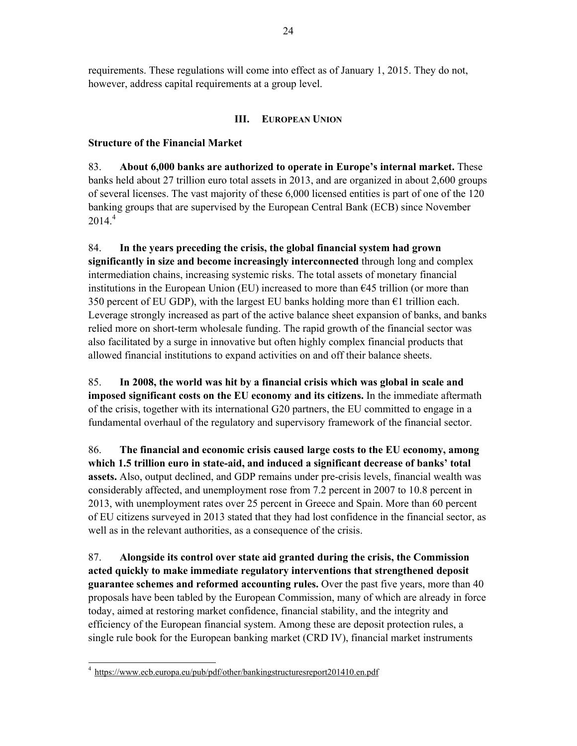requirements. These regulations will come into effect as of January 1, 2015. They do not, however, address capital requirements at a group level.

## **III. EUROPEAN UNION**

### **Structure of the Financial Market**

83. **About 6,000 banks are authorized to operate in Europe's internal market.** These banks held about 27 trillion euro total assets in 2013, and are organized in about 2,600 groups of several licenses. The vast majority of these 6,000 licensed entities is part of one of the 120 banking groups that are supervised by the European Central Bank (ECB) since November  $2014.<sup>4</sup>$ 

84. **In the years preceding the crisis, the global financial system had grown significantly in size and become increasingly interconnected** through long and complex intermediation chains, increasing systemic risks. The total assets of monetary financial institutions in the European Union (EU) increased to more than €45 trillion (or more than 350 percent of EU GDP), with the largest EU banks holding more than  $\epsilon$ 1 trillion each. Leverage strongly increased as part of the active balance sheet expansion of banks, and banks relied more on short-term wholesale funding. The rapid growth of the financial sector was also facilitated by a surge in innovative but often highly complex financial products that allowed financial institutions to expand activities on and off their balance sheets.

85. **In 2008, the world was hit by a financial crisis which was global in scale and imposed significant costs on the EU economy and its citizens.** In the immediate aftermath of the crisis, together with its international G20 partners, the EU committed to engage in a fundamental overhaul of the regulatory and supervisory framework of the financial sector.

86. **The financial and economic crisis caused large costs to the EU economy, among which 1.5 trillion euro in state-aid, and induced a significant decrease of banks' total assets.** Also, output declined, and GDP remains under pre-crisis levels, financial wealth was considerably affected, and unemployment rose from 7.2 percent in 2007 to 10.8 percent in 2013, with unemployment rates over 25 percent in Greece and Spain. More than 60 percent of EU citizens surveyed in 2013 stated that they had lost confidence in the financial sector, as well as in the relevant authorities, as a consequence of the crisis.

87. **Alongside its control over state aid granted during the crisis, the Commission acted quickly to make immediate regulatory interventions that strengthened deposit guarantee schemes and reformed accounting rules.** Over the past five years, more than 40 proposals have been tabled by the European Commission, many of which are already in force today, aimed at restoring market confidence, financial stability, and the integrity and efficiency of the European financial system. Among these are deposit protection rules, a single rule book for the European banking market (CRD IV), financial market instruments

 4 https://www.ecb.europa.eu/pub/pdf/other/bankingstructuresreport201410.en.pdf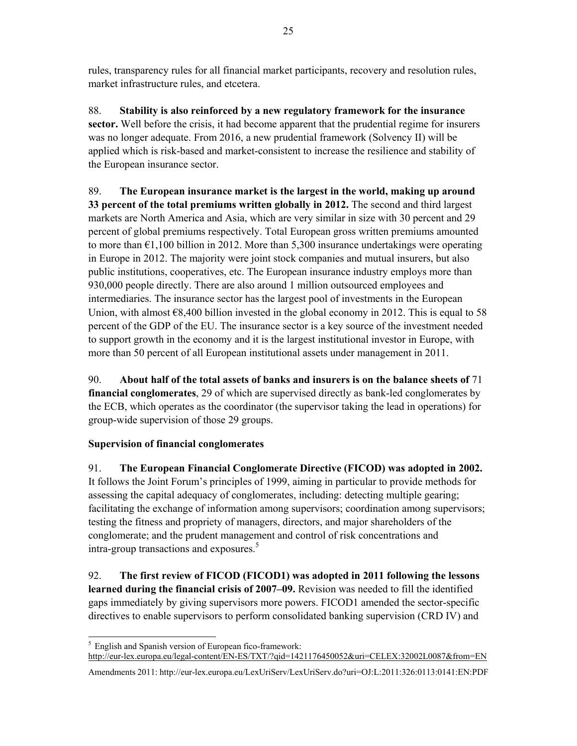rules, transparency rules for all financial market participants, recovery and resolution rules, market infrastructure rules, and etcetera.

88. **Stability is also reinforced by a new regulatory framework for the insurance sector.** Well before the crisis, it had become apparent that the prudential regime for insurers was no longer adequate. From 2016, a new prudential framework (Solvency II) will be applied which is risk-based and market-consistent to increase the resilience and stability of the European insurance sector.

89. **The European insurance market is the largest in the world, making up around 33 percent of the total premiums written globally in 2012.** The second and third largest markets are North America and Asia, which are very similar in size with 30 percent and 29 percent of global premiums respectively. Total European gross written premiums amounted to more than  $\epsilon$ 1,100 billion in 2012. More than 5,300 insurance undertakings were operating in Europe in 2012. The majority were joint stock companies and mutual insurers, but also public institutions, cooperatives, etc. The European insurance industry employs more than 930,000 people directly. There are also around 1 million outsourced employees and intermediaries. The insurance sector has the largest pool of investments in the European Union, with almost  $\epsilon$ 8,400 billion invested in the global economy in 2012. This is equal to 58 percent of the GDP of the EU. The insurance sector is a key source of the investment needed to support growth in the economy and it is the largest institutional investor in Europe, with more than 50 percent of all European institutional assets under management in 2011.

90. **About half of the total assets of banks and insurers is on the balance sheets of** 71 **financial conglomerates**, 29 of which are supervised directly as bank-led conglomerates by the ECB, which operates as the coordinator (the supervisor taking the lead in operations) for group-wide supervision of those 29 groups.

## **Supervision of financial conglomerates**

91. **The European Financial Conglomerate Directive (FICOD) was adopted in 2002.** It follows the Joint Forum's principles of 1999, aiming in particular to provide methods for assessing the capital adequacy of conglomerates, including: detecting multiple gearing; facilitating the exchange of information among supervisors; coordination among supervisors; testing the fitness and propriety of managers, directors, and major shareholders of the conglomerate; and the prudent management and control of risk concentrations and intra-group transactions and exposures.<sup>5</sup>

92. **The first review of FICOD (FICOD1) was adopted in 2011 following the lessons learned during the financial crisis of 2007–09.** Revision was needed to fill the identified gaps immediately by giving supervisors more powers. FICOD1 amended the sector-specific directives to enable supervisors to perform consolidated banking supervision (CRD IV) and

<sup>-</sup><sup>5</sup> English and Spanish version of European fico-framework:

http://eur-lex.europa.eu/legal-content/EN-ES/TXT/?qid=1421176450052&uri=CELEX:32002L0087&from=EN

Amendments 2011: http://eur-lex.europa.eu/LexUriServ/LexUriServ.do?uri=OJ:L:2011:326:0113:0141:EN:PDF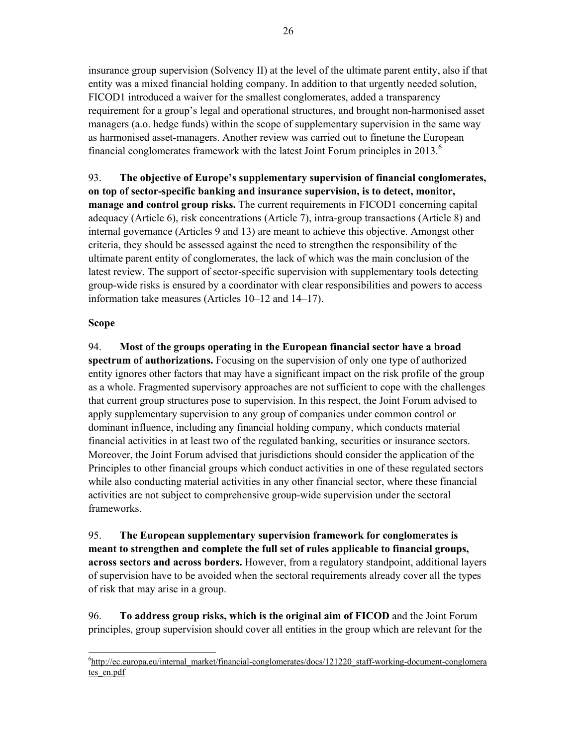insurance group supervision (Solvency II) at the level of the ultimate parent entity, also if that entity was a mixed financial holding company. In addition to that urgently needed solution, FICOD1 introduced a waiver for the smallest conglomerates, added a transparency requirement for a group's legal and operational structures, and brought non-harmonised asset managers (a.o. hedge funds) within the scope of supplementary supervision in the same way as harmonised asset-managers. Another review was carried out to finetune the European financial conglomerates framework with the latest Joint Forum principles in  $2013<sup>6</sup>$ 

93. **The objective of Europe's supplementary supervision of financial conglomerates, on top of sector-specific banking and insurance supervision, is to detect, monitor, manage and control group risks.** The current requirements in FICOD1 concerning capital adequacy (Article 6), risk concentrations (Article 7), intra-group transactions (Article 8) and internal governance (Articles 9 and 13) are meant to achieve this objective. Amongst other criteria, they should be assessed against the need to strengthen the responsibility of the ultimate parent entity of conglomerates, the lack of which was the main conclusion of the latest review. The support of sector-specific supervision with supplementary tools detecting group-wide risks is ensured by a coordinator with clear responsibilities and powers to access information take measures (Articles 10–12 and 14–17).

#### **Scope**

-

94. **Most of the groups operating in the European financial sector have a broad spectrum of authorizations.** Focusing on the supervision of only one type of authorized entity ignores other factors that may have a significant impact on the risk profile of the group as a whole. Fragmented supervisory approaches are not sufficient to cope with the challenges that current group structures pose to supervision. In this respect, the Joint Forum advised to apply supplementary supervision to any group of companies under common control or dominant influence, including any financial holding company, which conducts material financial activities in at least two of the regulated banking, securities or insurance sectors. Moreover, the Joint Forum advised that jurisdictions should consider the application of the Principles to other financial groups which conduct activities in one of these regulated sectors while also conducting material activities in any other financial sector, where these financial activities are not subject to comprehensive group-wide supervision under the sectoral frameworks.

95. **The European supplementary supervision framework for conglomerates is meant to strengthen and complete the full set of rules applicable to financial groups, across sectors and across borders.** However, from a regulatory standpoint, additional layers of supervision have to be avoided when the sectoral requirements already cover all the types of risk that may arise in a group.

96. **To address group risks, which is the original aim of FICOD** and the Joint Forum principles, group supervision should cover all entities in the group which are relevant for the

<sup>&</sup>lt;sup>6</sup>http://ec.europa.eu/internal\_market/financial-conglomerates/docs/121220\_staff-working-document-conglomera tes\_en.pdf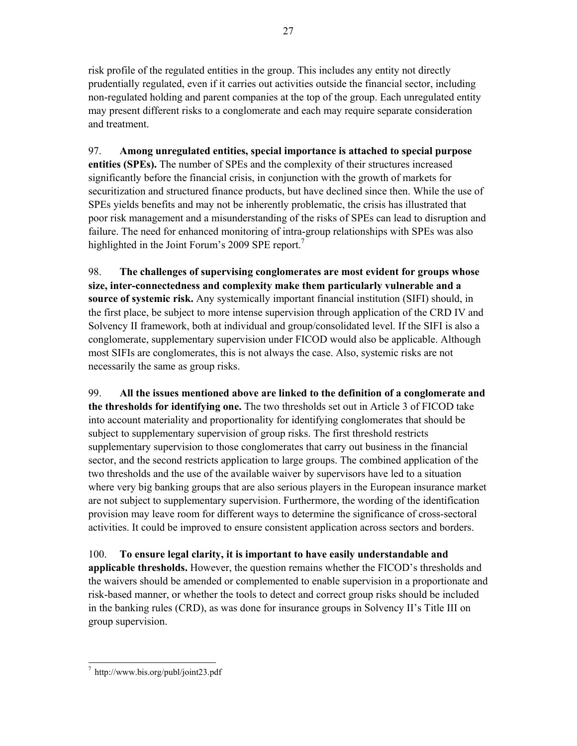risk profile of the regulated entities in the group. This includes any entity not directly prudentially regulated, even if it carries out activities outside the financial sector, including non-regulated holding and parent companies at the top of the group. Each unregulated entity may present different risks to a conglomerate and each may require separate consideration and treatment.

97. **Among unregulated entities, special importance is attached to special purpose entities (SPEs).** The number of SPEs and the complexity of their structures increased significantly before the financial crisis, in conjunction with the growth of markets for securitization and structured finance products, but have declined since then. While the use of SPEs yields benefits and may not be inherently problematic, the crisis has illustrated that poor risk management and a misunderstanding of the risks of SPEs can lead to disruption and failure. The need for enhanced monitoring of intra-group relationships with SPEs was also highlighted in the Joint Forum's 2009 SPE report.<sup>7</sup>

98. **The challenges of supervising conglomerates are most evident for groups whose size, inter-connectedness and complexity make them particularly vulnerable and a source of systemic risk.** Any systemically important financial institution (SIFI) should, in the first place, be subject to more intense supervision through application of the CRD IV and Solvency II framework, both at individual and group/consolidated level. If the SIFI is also a conglomerate, supplementary supervision under FICOD would also be applicable. Although most SIFIs are conglomerates, this is not always the case. Also, systemic risks are not necessarily the same as group risks.

99. **All the issues mentioned above are linked to the definition of a conglomerate and the thresholds for identifying one.** The two thresholds set out in Article 3 of FICOD take into account materiality and proportionality for identifying conglomerates that should be subject to supplementary supervision of group risks. The first threshold restricts supplementary supervision to those conglomerates that carry out business in the financial sector, and the second restricts application to large groups. The combined application of the two thresholds and the use of the available waiver by supervisors have led to a situation where very big banking groups that are also serious players in the European insurance market are not subject to supplementary supervision. Furthermore, the wording of the identification provision may leave room for different ways to determine the significance of cross-sectoral activities. It could be improved to ensure consistent application across sectors and borders.

100. **To ensure legal clarity, it is important to have easily understandable and applicable thresholds.** However, the question remains whether the FICOD's thresholds and the waivers should be amended or complemented to enable supervision in a proportionate and risk-based manner, or whether the tools to detect and correct group risks should be included in the banking rules (CRD), as was done for insurance groups in Solvency II's Title III on group supervision.

 7 http://www.bis.org/publ/joint23.pdf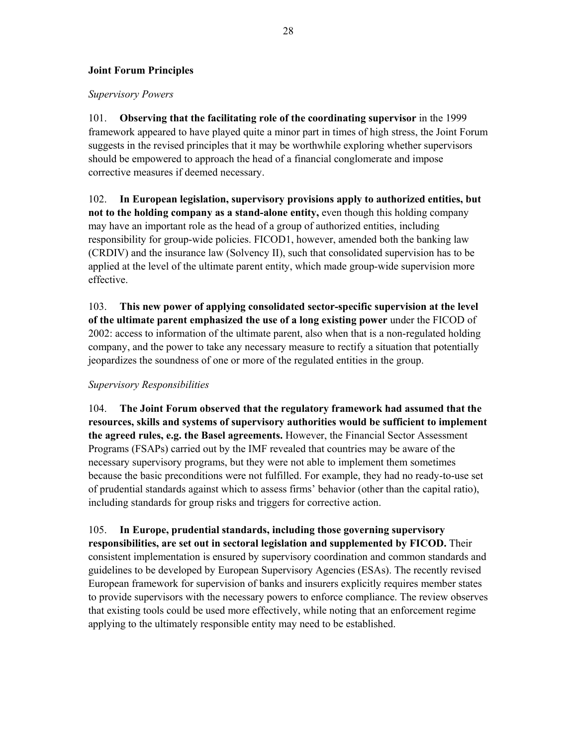## **Joint Forum Principles**

#### *Supervisory Powers*

101. **Observing that the facilitating role of the coordinating supervisor** in the 1999 framework appeared to have played quite a minor part in times of high stress, the Joint Forum suggests in the revised principles that it may be worthwhile exploring whether supervisors should be empowered to approach the head of a financial conglomerate and impose corrective measures if deemed necessary.

102. **In European legislation, supervisory provisions apply to authorized entities, but not to the holding company as a stand-alone entity,** even though this holding company may have an important role as the head of a group of authorized entities, including responsibility for group-wide policies. FICOD1, however, amended both the banking law (CRDIV) and the insurance law (Solvency II), such that consolidated supervision has to be applied at the level of the ultimate parent entity, which made group-wide supervision more effective.

103. **This new power of applying consolidated sector-specific supervision at the level of the ultimate parent emphasized the use of a long existing power** under the FICOD of 2002: access to information of the ultimate parent, also when that is a non-regulated holding company, and the power to take any necessary measure to rectify a situation that potentially jeopardizes the soundness of one or more of the regulated entities in the group.

### *Supervisory Responsibilities*

104. **The Joint Forum observed that the regulatory framework had assumed that the resources, skills and systems of supervisory authorities would be sufficient to implement the agreed rules, e.g. the Basel agreements.** However, the Financial Sector Assessment Programs (FSAPs) carried out by the IMF revealed that countries may be aware of the necessary supervisory programs, but they were not able to implement them sometimes because the basic preconditions were not fulfilled. For example, they had no ready-to-use set of prudential standards against which to assess firms' behavior (other than the capital ratio), including standards for group risks and triggers for corrective action.

105. **In Europe, prudential standards, including those governing supervisory responsibilities, are set out in sectoral legislation and supplemented by FICOD.** Their consistent implementation is ensured by supervisory coordination and common standards and guidelines to be developed by European Supervisory Agencies (ESAs). The recently revised European framework for supervision of banks and insurers explicitly requires member states to provide supervisors with the necessary powers to enforce compliance. The review observes that existing tools could be used more effectively, while noting that an enforcement regime applying to the ultimately responsible entity may need to be established.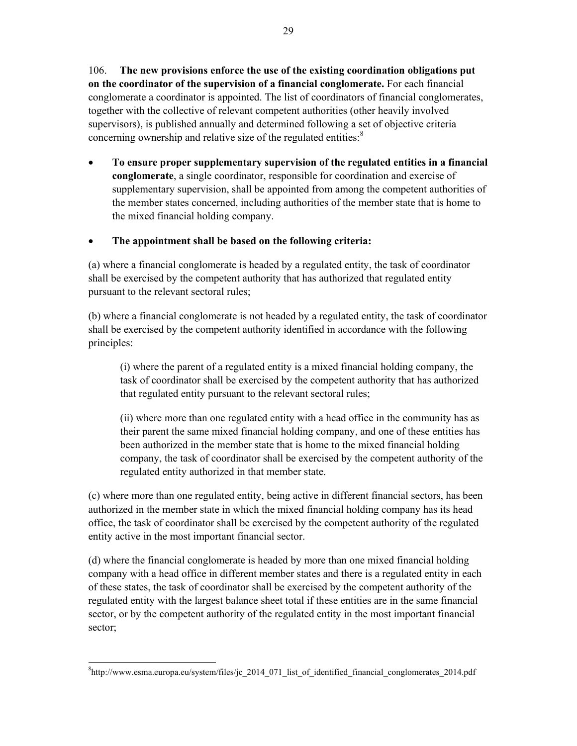106. **The new provisions enforce the use of the existing coordination obligations put on the coordinator of the supervision of a financial conglomerate.** For each financial conglomerate a coordinator is appointed. The list of coordinators of financial conglomerates, together with the collective of relevant competent authorities (other heavily involved supervisors), is published annually and determined following a set of objective criteria concerning ownership and relative size of the regulated entities:<sup>8</sup>

 **To ensure proper supplementary supervision of the regulated entities in a financial conglomerate**, a single coordinator, responsible for coordination and exercise of supplementary supervision, shall be appointed from among the competent authorities of the member states concerned, including authorities of the member state that is home to the mixed financial holding company.

## **The appointment shall be based on the following criteria:**

(a) where a financial conglomerate is headed by a regulated entity, the task of coordinator shall be exercised by the competent authority that has authorized that regulated entity pursuant to the relevant sectoral rules;

(b) where a financial conglomerate is not headed by a regulated entity, the task of coordinator shall be exercised by the competent authority identified in accordance with the following principles:

 (i) where the parent of a regulated entity is a mixed financial holding company, the task of coordinator shall be exercised by the competent authority that has authorized that regulated entity pursuant to the relevant sectoral rules;

(ii) where more than one regulated entity with a head office in the community has as their parent the same mixed financial holding company, and one of these entities has been authorized in the member state that is home to the mixed financial holding company, the task of coordinator shall be exercised by the competent authority of the regulated entity authorized in that member state.

(c) where more than one regulated entity, being active in different financial sectors, has been authorized in the member state in which the mixed financial holding company has its head office, the task of coordinator shall be exercised by the competent authority of the regulated entity active in the most important financial sector.

(d) where the financial conglomerate is headed by more than one mixed financial holding company with a head office in different member states and there is a regulated entity in each of these states, the task of coordinator shall be exercised by the competent authority of the regulated entity with the largest balance sheet total if these entities are in the same financial sector, or by the competent authority of the regulated entity in the most important financial sector;

<sup>-</sup> ${}^{8}$ http://www.esma.europa.eu/system/files/jc 2014 071 list of identified financial conglomerates 2014.pdf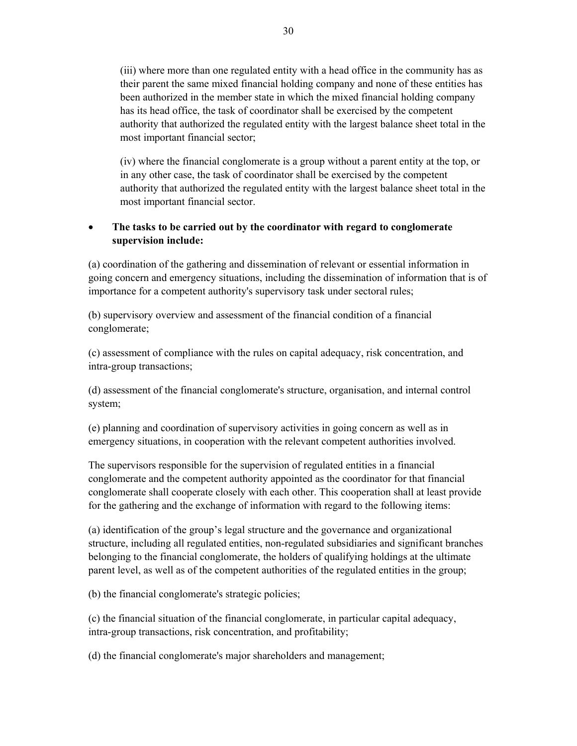(iii) where more than one regulated entity with a head office in the community has as their parent the same mixed financial holding company and none of these entities has been authorized in the member state in which the mixed financial holding company has its head office, the task of coordinator shall be exercised by the competent authority that authorized the regulated entity with the largest balance sheet total in the most important financial sector;

(iv) where the financial conglomerate is a group without a parent entity at the top, or in any other case, the task of coordinator shall be exercised by the competent authority that authorized the regulated entity with the largest balance sheet total in the most important financial sector.

## **The tasks to be carried out by the coordinator with regard to conglomerate supervision include:**

(a) coordination of the gathering and dissemination of relevant or essential information in going concern and emergency situations, including the dissemination of information that is of importance for a competent authority's supervisory task under sectoral rules;

(b) supervisory overview and assessment of the financial condition of a financial conglomerate;

(c) assessment of compliance with the rules on capital adequacy, risk concentration, and intra-group transactions;

(d) assessment of the financial conglomerate's structure, organisation, and internal control system;

(e) planning and coordination of supervisory activities in going concern as well as in emergency situations, in cooperation with the relevant competent authorities involved.

The supervisors responsible for the supervision of regulated entities in a financial conglomerate and the competent authority appointed as the coordinator for that financial conglomerate shall cooperate closely with each other. This cooperation shall at least provide for the gathering and the exchange of information with regard to the following items:

(a) identification of the group's legal structure and the governance and organizational structure, including all regulated entities, non-regulated subsidiaries and significant branches belonging to the financial conglomerate, the holders of qualifying holdings at the ultimate parent level, as well as of the competent authorities of the regulated entities in the group;

(b) the financial conglomerate's strategic policies;

(c) the financial situation of the financial conglomerate, in particular capital adequacy, intra-group transactions, risk concentration, and profitability;

(d) the financial conglomerate's major shareholders and management;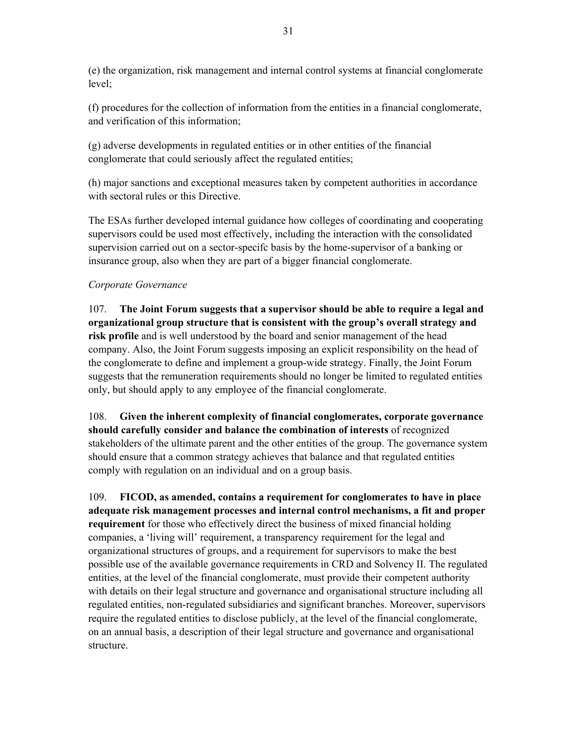(e) the organization, risk management and internal control systems at financial conglomerate level;

(f) procedures for the collection of information from the entities in a financial conglomerate, and verification of this information;

(g) adverse developments in regulated entities or in other entities of the financial conglomerate that could seriously affect the regulated entities;

(h) major sanctions and exceptional measures taken by competent authorities in accordance with sectoral rules or this Directive.

The ESAs further developed internal guidance how colleges of coordinating and cooperating supervisors could be used most effectively, including the interaction with the consolidated supervision carried out on a sector-specifc basis by the home-supervisor of a banking or insurance group, also when they are part of a bigger financial conglomerate.

### *Corporate Governance*

107. **The Joint Forum suggests that a supervisor should be able to require a legal and organizational group structure that is consistent with the group's overall strategy and risk profile** and is well understood by the board and senior management of the head company. Also, the Joint Forum suggests imposing an explicit responsibility on the head of the conglomerate to define and implement a group-wide strategy. Finally, the Joint Forum suggests that the remuneration requirements should no longer be limited to regulated entities only, but should apply to any employee of the financial conglomerate.

108. **Given the inherent complexity of financial conglomerates, corporate governance should carefully consider and balance the combination of interests** of recognized stakeholders of the ultimate parent and the other entities of the group. The governance system should ensure that a common strategy achieves that balance and that regulated entities comply with regulation on an individual and on a group basis.

109. **FICOD, as amended, contains a requirement for conglomerates to have in place adequate risk management processes and internal control mechanisms, a fit and proper requirement** for those who effectively direct the business of mixed financial holding companies, a 'living will' requirement, a transparency requirement for the legal and organizational structures of groups, and a requirement for supervisors to make the best possible use of the available governance requirements in CRD and Solvency II. The regulated entities, at the level of the financial conglomerate, must provide their competent authority with details on their legal structure and governance and organisational structure including all regulated entities, non-regulated subsidiaries and significant branches. Moreover, supervisors require the regulated entities to disclose publicly, at the level of the financial conglomerate, on an annual basis, a description of their legal structure and governance and organisational structure.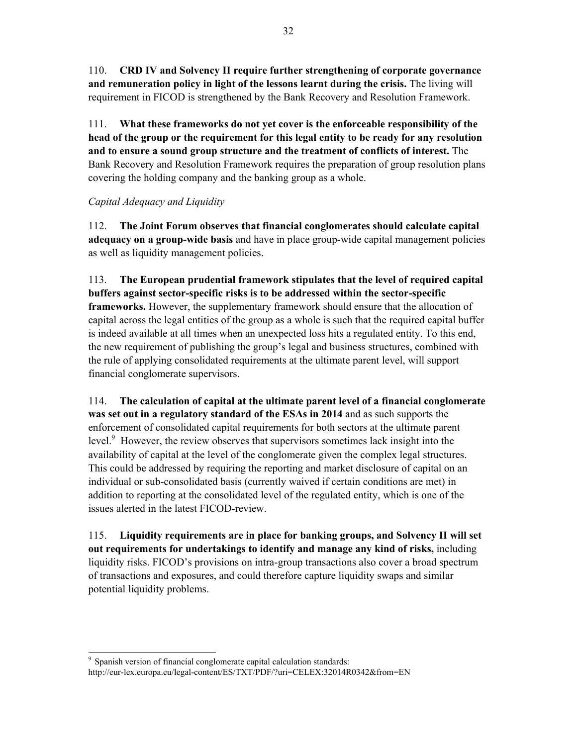110. **CRD IV and Solvency II require further strengthening of corporate governance and remuneration policy in light of the lessons learnt during the crisis.** The living will requirement in FICOD is strengthened by the Bank Recovery and Resolution Framework.

111. **What these frameworks do not yet cover is the enforceable responsibility of the head of the group or the requirement for this legal entity to be ready for any resolution and to ensure a sound group structure and the treatment of conflicts of interest.** The Bank Recovery and Resolution Framework requires the preparation of group resolution plans covering the holding company and the banking group as a whole.

## *Capital Adequacy and Liquidity*

112. **The Joint Forum observes that financial conglomerates should calculate capital adequacy on a group-wide basis** and have in place group-wide capital management policies as well as liquidity management policies.

113. **The European prudential framework stipulates that the level of required capital buffers against sector-specific risks is to be addressed within the sector-specific frameworks.** However, the supplementary framework should ensure that the allocation of capital across the legal entities of the group as a whole is such that the required capital buffer is indeed available at all times when an unexpected loss hits a regulated entity. To this end, the new requirement of publishing the group's legal and business structures, combined with the rule of applying consolidated requirements at the ultimate parent level, will support financial conglomerate supervisors.

114. **The calculation of capital at the ultimate parent level of a financial conglomerate was set out in a regulatory standard of the ESAs in 2014** and as such supports the enforcement of consolidated capital requirements for both sectors at the ultimate parent level.<sup>9</sup> However, the review observes that supervisors sometimes lack insight into the availability of capital at the level of the conglomerate given the complex legal structures. This could be addressed by requiring the reporting and market disclosure of capital on an individual or sub-consolidated basis (currently waived if certain conditions are met) in addition to reporting at the consolidated level of the regulated entity, which is one of the issues alerted in the latest FICOD-review.

115. **Liquidity requirements are in place for banking groups, and Solvency II will set out requirements for undertakings to identify and manage any kind of risks,** including liquidity risks. FICOD's provisions on intra-group transactions also cover a broad spectrum of transactions and exposures, and could therefore capture liquidity swaps and similar potential liquidity problems.

<sup>-</sup>9 Spanish version of financial conglomerate capital calculation standards: http://eur-lex.europa.eu/legal-content/ES/TXT/PDF/?uri=CELEX:32014R0342&from=EN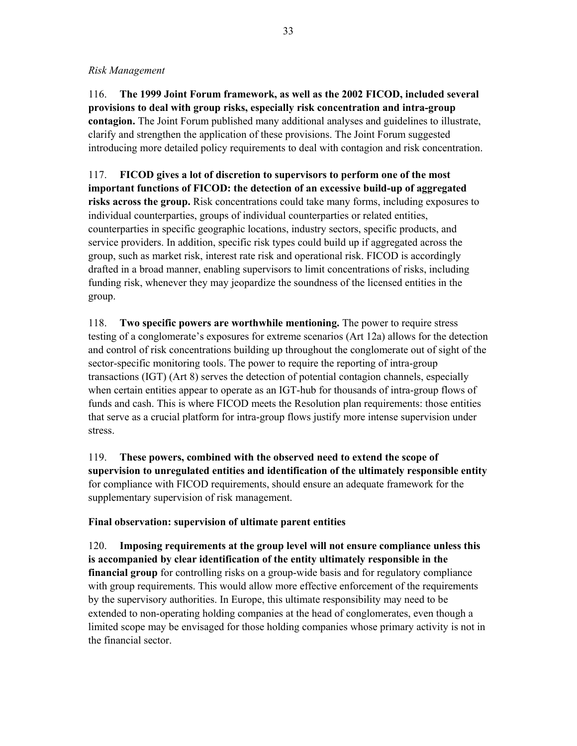#### *Risk Management*

116. **The 1999 Joint Forum framework, as well as the 2002 FICOD, included several provisions to deal with group risks, especially risk concentration and intra-group contagion.** The Joint Forum published many additional analyses and guidelines to illustrate, clarify and strengthen the application of these provisions. The Joint Forum suggested introducing more detailed policy requirements to deal with contagion and risk concentration.

117. **FICOD gives a lot of discretion to supervisors to perform one of the most important functions of FICOD: the detection of an excessive build-up of aggregated risks across the group.** Risk concentrations could take many forms, including exposures to individual counterparties, groups of individual counterparties or related entities, counterparties in specific geographic locations, industry sectors, specific products, and service providers. In addition, specific risk types could build up if aggregated across the group, such as market risk, interest rate risk and operational risk. FICOD is accordingly drafted in a broad manner, enabling supervisors to limit concentrations of risks, including funding risk, whenever they may jeopardize the soundness of the licensed entities in the group.

118. **Two specific powers are worthwhile mentioning.** The power to require stress testing of a conglomerate's exposures for extreme scenarios (Art 12a) allows for the detection and control of risk concentrations building up throughout the conglomerate out of sight of the sector-specific monitoring tools. The power to require the reporting of intra-group transactions (IGT) (Art 8) serves the detection of potential contagion channels, especially when certain entities appear to operate as an IGT-hub for thousands of intra-group flows of funds and cash. This is where FICOD meets the Resolution plan requirements: those entities that serve as a crucial platform for intra-group flows justify more intense supervision under stress.

119. **These powers, combined with the observed need to extend the scope of supervision to unregulated entities and identification of the ultimately responsible entity** for compliance with FICOD requirements, should ensure an adequate framework for the supplementary supervision of risk management.

### **Final observation: supervision of ultimate parent entities**

120. **Imposing requirements at the group level will not ensure compliance unless this is accompanied by clear identification of the entity ultimately responsible in the financial group** for controlling risks on a group-wide basis and for regulatory compliance with group requirements. This would allow more effective enforcement of the requirements by the supervisory authorities. In Europe, this ultimate responsibility may need to be extended to non-operating holding companies at the head of conglomerates, even though a limited scope may be envisaged for those holding companies whose primary activity is not in the financial sector.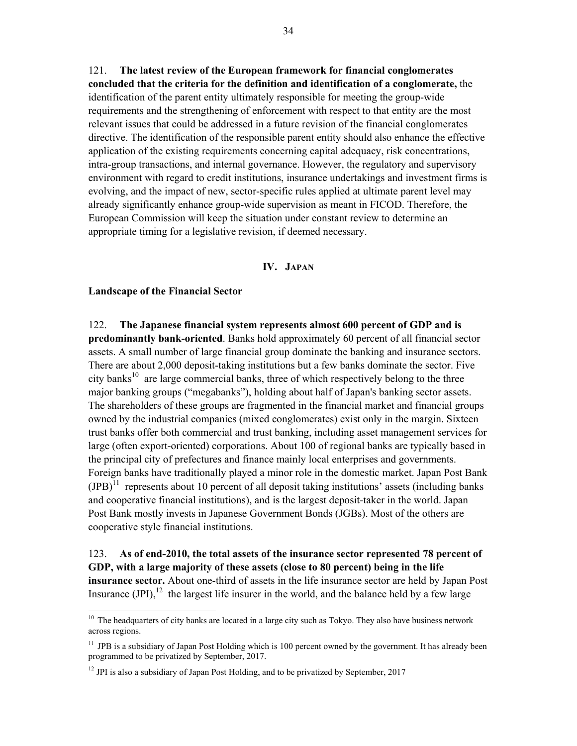121. **The latest review of the European framework for financial conglomerates concluded that the criteria for the definition and identification of a conglomerate,** the identification of the parent entity ultimately responsible for meeting the group-wide requirements and the strengthening of enforcement with respect to that entity are the most relevant issues that could be addressed in a future revision of the financial conglomerates directive. The identification of the responsible parent entity should also enhance the effective application of the existing requirements concerning capital adequacy, risk concentrations, intra-group transactions, and internal governance. However, the regulatory and supervisory environment with regard to credit institutions, insurance undertakings and investment firms is evolving, and the impact of new, sector-specific rules applied at ultimate parent level may already significantly enhance group-wide supervision as meant in FICOD. Therefore, the European Commission will keep the situation under constant review to determine an appropriate timing for a legislative revision, if deemed necessary.

#### **IV. JAPAN**

#### **Landscape of the Financial Sector**

1

122. **The Japanese financial system represents almost 600 percent of GDP and is predominantly bank-oriented**. Banks hold approximately 60 percent of all financial sector assets. A small number of large financial group dominate the banking and insurance sectors. There are about 2,000 deposit-taking institutions but a few banks dominate the sector. Five city banks<sup>10</sup> are large commercial banks, three of which respectively belong to the three major banking groups ("megabanks"), holding about half of Japan's banking sector assets. The shareholders of these groups are fragmented in the financial market and financial groups owned by the industrial companies (mixed conglomerates) exist only in the margin. Sixteen trust banks offer both commercial and trust banking, including asset management services for large (often export-oriented) corporations. About 100 of regional banks are typically based in the principal city of prefectures and finance mainly local enterprises and governments. Foreign banks have traditionally played a minor role in the domestic market. Japan Post Bank  $(IPB)^{11}$  represents about 10 percent of all deposit taking institutions' assets (including banks) and cooperative financial institutions), and is the largest deposit-taker in the world. Japan Post Bank mostly invests in Japanese Government Bonds (JGBs). Most of the others are cooperative style financial institutions.

123. **As of end-2010, the total assets of the insurance sector represented 78 percent of GDP, with a large majority of these assets (close to 80 percent) being in the life insurance sector.** About one-third of assets in the life insurance sector are held by Japan Post Insurance  $(JPI)$ ,<sup>12</sup> the largest life insurer in the world, and the balance held by a few large

<sup>&</sup>lt;sup>10</sup> The headquarters of city banks are located in a large city such as Tokyo. They also have business network across regions.

<sup>&</sup>lt;sup>11</sup> JPB is a subsidiary of Japan Post Holding which is 100 percent owned by the government. It has already been programmed to be privatized by September, 2017.

 $12$  JPI is also a subsidiary of Japan Post Holding, and to be privatized by September, 2017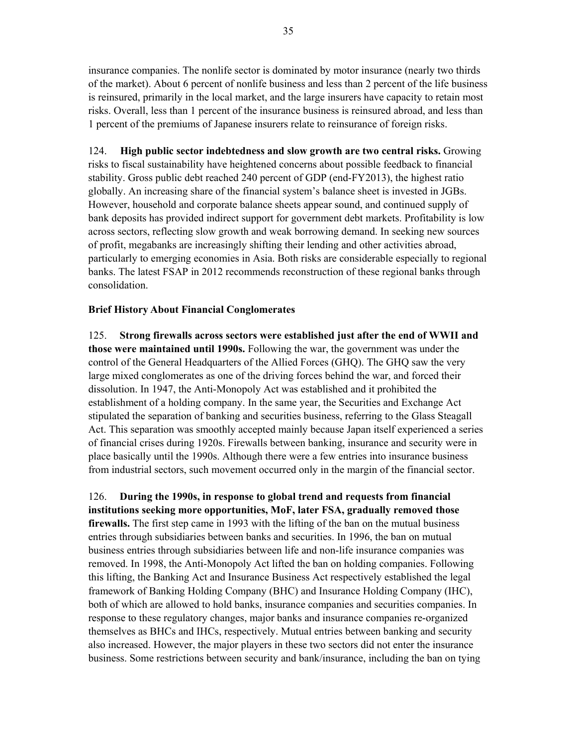insurance companies. The nonlife sector is dominated by motor insurance (nearly two thirds of the market). About 6 percent of nonlife business and less than 2 percent of the life business is reinsured, primarily in the local market, and the large insurers have capacity to retain most risks. Overall, less than 1 percent of the insurance business is reinsured abroad, and less than 1 percent of the premiums of Japanese insurers relate to reinsurance of foreign risks.

124. **High public sector indebtedness and slow growth are two central risks.** Growing risks to fiscal sustainability have heightened concerns about possible feedback to financial stability. Gross public debt reached 240 percent of GDP (end-FY2013), the highest ratio globally. An increasing share of the financial system's balance sheet is invested in JGBs. However, household and corporate balance sheets appear sound, and continued supply of bank deposits has provided indirect support for government debt markets. Profitability is low across sectors, reflecting slow growth and weak borrowing demand. In seeking new sources of profit, megabanks are increasingly shifting their lending and other activities abroad, particularly to emerging economies in Asia. Both risks are considerable especially to regional banks. The latest FSAP in 2012 recommends reconstruction of these regional banks through consolidation.

#### **Brief History About Financial Conglomerates**

125. **Strong firewalls across sectors were established just after the end of WWII and those were maintained until 1990s.** Following the war, the government was under the control of the General Headquarters of the Allied Forces (GHQ). The GHQ saw the very large mixed conglomerates as one of the driving forces behind the war, and forced their dissolution. In 1947, the Anti-Monopoly Act was established and it prohibited the establishment of a holding company. In the same year, the Securities and Exchange Act stipulated the separation of banking and securities business, referring to the Glass Steagall Act. This separation was smoothly accepted mainly because Japan itself experienced a series of financial crises during 1920s. Firewalls between banking, insurance and security were in place basically until the 1990s. Although there were a few entries into insurance business from industrial sectors, such movement occurred only in the margin of the financial sector.

126. **During the 1990s, in response to global trend and requests from financial institutions seeking more opportunities, MoF, later FSA, gradually removed those firewalls.** The first step came in 1993 with the lifting of the ban on the mutual business entries through subsidiaries between banks and securities. In 1996, the ban on mutual business entries through subsidiaries between life and non-life insurance companies was removed. In 1998, the Anti-Monopoly Act lifted the ban on holding companies. Following this lifting, the Banking Act and Insurance Business Act respectively established the legal framework of Banking Holding Company (BHC) and Insurance Holding Company (IHC), both of which are allowed to hold banks, insurance companies and securities companies. In response to these regulatory changes, major banks and insurance companies re-organized themselves as BHCs and IHCs, respectively. Mutual entries between banking and security also increased. However, the major players in these two sectors did not enter the insurance business. Some restrictions between security and bank/insurance, including the ban on tying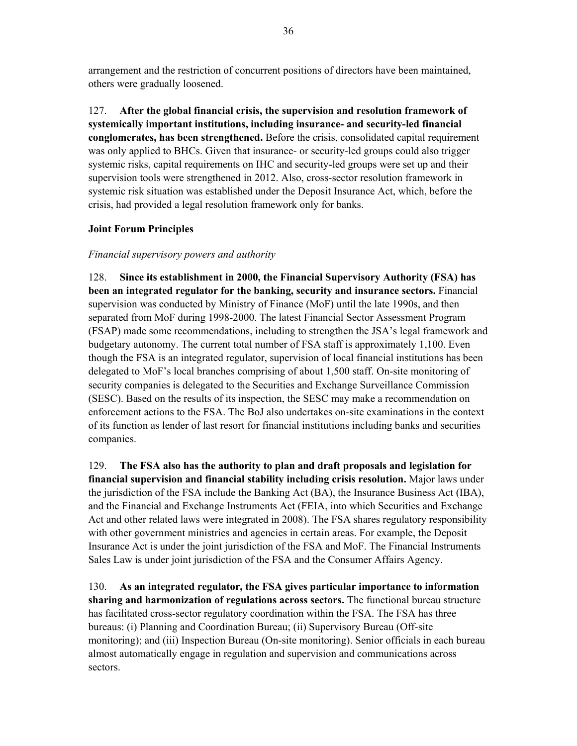arrangement and the restriction of concurrent positions of directors have been maintained, others were gradually loosened.

127. **After the global financial crisis, the supervision and resolution framework of systemically important institutions, including insurance- and security-led financial conglomerates, has been strengthened.** Before the crisis, consolidated capital requirement was only applied to BHCs. Given that insurance- or security-led groups could also trigger systemic risks, capital requirements on IHC and security-led groups were set up and their supervision tools were strengthened in 2012. Also, cross-sector resolution framework in systemic risk situation was established under the Deposit Insurance Act, which, before the crisis, had provided a legal resolution framework only for banks.

### **Joint Forum Principles**

#### *Financial supervisory powers and authority*

128. **Since its establishment in 2000, the Financial Supervisory Authority (FSA) has been an integrated regulator for the banking, security and insurance sectors.** Financial supervision was conducted by Ministry of Finance (MoF) until the late 1990s, and then separated from MoF during 1998-2000. The latest Financial Sector Assessment Program (FSAP) made some recommendations, including to strengthen the JSA's legal framework and budgetary autonomy. The current total number of FSA staff is approximately 1,100. Even though the FSA is an integrated regulator, supervision of local financial institutions has been delegated to MoF's local branches comprising of about 1,500 staff. On-site monitoring of security companies is delegated to the Securities and Exchange Surveillance Commission (SESC). Based on the results of its inspection, the SESC may make a recommendation on enforcement actions to the FSA. The BoJ also undertakes on-site examinations in the context of its function as lender of last resort for financial institutions including banks and securities companies.

129. **The FSA also has the authority to plan and draft proposals and legislation for financial supervision and financial stability including crisis resolution.** Major laws under the jurisdiction of the FSA include the Banking Act (BA), the Insurance Business Act (IBA), and the Financial and Exchange Instruments Act (FEIA, into which Securities and Exchange Act and other related laws were integrated in 2008). The FSA shares regulatory responsibility with other government ministries and agencies in certain areas. For example, the Deposit Insurance Act is under the joint jurisdiction of the FSA and MoF. The Financial Instruments Sales Law is under joint jurisdiction of the FSA and the Consumer Affairs Agency.

130. **As an integrated regulator, the FSA gives particular importance to information sharing and harmonization of regulations across sectors.** The functional bureau structure has facilitated cross-sector regulatory coordination within the FSA. The FSA has three bureaus: (i) Planning and Coordination Bureau; (ii) Supervisory Bureau (Off-site monitoring); and (iii) Inspection Bureau (On-site monitoring). Senior officials in each bureau almost automatically engage in regulation and supervision and communications across sectors.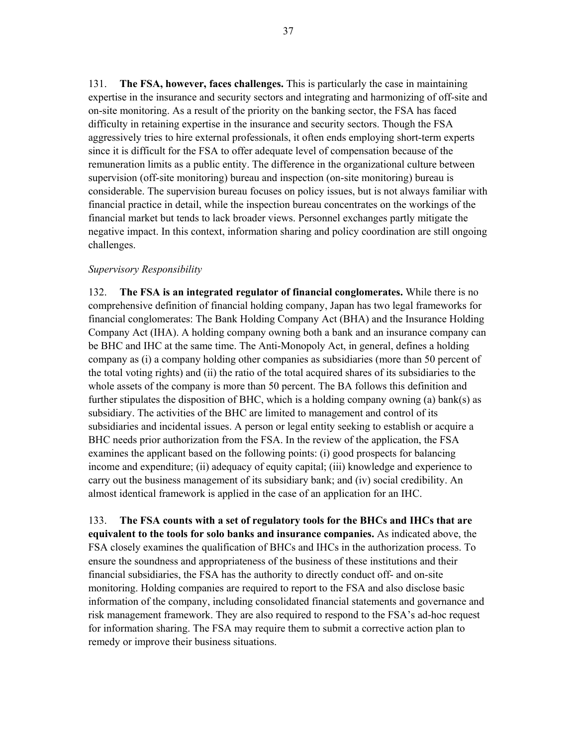131. **The FSA, however, faces challenges.** This is particularly the case in maintaining expertise in the insurance and security sectors and integrating and harmonizing of off-site and on-site monitoring. As a result of the priority on the banking sector, the FSA has faced difficulty in retaining expertise in the insurance and security sectors. Though the FSA aggressively tries to hire external professionals, it often ends employing short-term experts since it is difficult for the FSA to offer adequate level of compensation because of the remuneration limits as a public entity. The difference in the organizational culture between supervision (off-site monitoring) bureau and inspection (on-site monitoring) bureau is considerable. The supervision bureau focuses on policy issues, but is not always familiar with financial practice in detail, while the inspection bureau concentrates on the workings of the financial market but tends to lack broader views. Personnel exchanges partly mitigate the negative impact. In this context, information sharing and policy coordination are still ongoing challenges.

#### *Supervisory Responsibility*

132. **The FSA is an integrated regulator of financial conglomerates.** While there is no comprehensive definition of financial holding company, Japan has two legal frameworks for financial conglomerates: The Bank Holding Company Act (BHA) and the Insurance Holding Company Act (IHA). A holding company owning both a bank and an insurance company can be BHC and IHC at the same time. The Anti-Monopoly Act, in general, defines a holding company as (i) a company holding other companies as subsidiaries (more than 50 percent of the total voting rights) and (ii) the ratio of the total acquired shares of its subsidiaries to the whole assets of the company is more than 50 percent. The BA follows this definition and further stipulates the disposition of BHC, which is a holding company owning (a) bank(s) as subsidiary. The activities of the BHC are limited to management and control of its subsidiaries and incidental issues. A person or legal entity seeking to establish or acquire a BHC needs prior authorization from the FSA. In the review of the application, the FSA examines the applicant based on the following points: (i) good prospects for balancing income and expenditure; (ii) adequacy of equity capital; (iii) knowledge and experience to carry out the business management of its subsidiary bank; and (iv) social credibility. An almost identical framework is applied in the case of an application for an IHC.

133. **The FSA counts with a set of regulatory tools for the BHCs and IHCs that are equivalent to the tools for solo banks and insurance companies.** As indicated above, the FSA closely examines the qualification of BHCs and IHCs in the authorization process. To ensure the soundness and appropriateness of the business of these institutions and their financial subsidiaries, the FSA has the authority to directly conduct off- and on-site monitoring. Holding companies are required to report to the FSA and also disclose basic information of the company, including consolidated financial statements and governance and risk management framework. They are also required to respond to the FSA's ad-hoc request for information sharing. The FSA may require them to submit a corrective action plan to remedy or improve their business situations.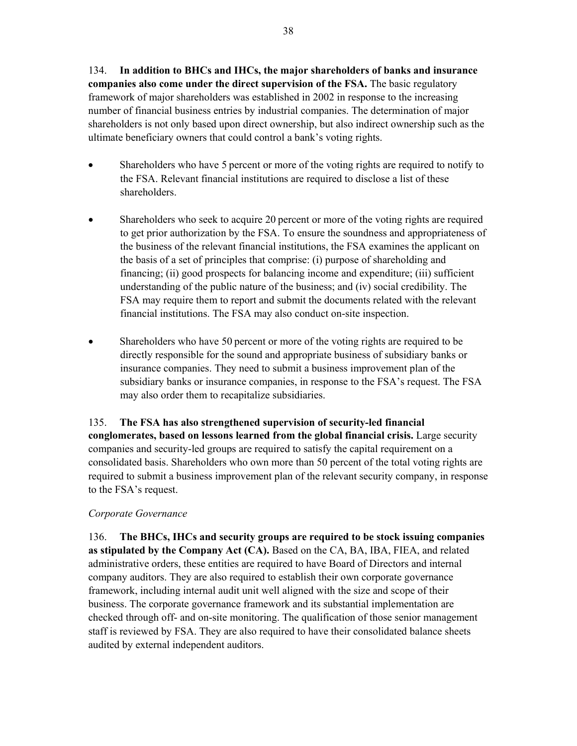134. **In addition to BHCs and IHCs, the major shareholders of banks and insurance companies also come under the direct supervision of the FSA.** The basic regulatory framework of major shareholders was established in 2002 in response to the increasing number of financial business entries by industrial companies. The determination of major shareholders is not only based upon direct ownership, but also indirect ownership such as the ultimate beneficiary owners that could control a bank's voting rights.

- Shareholders who have 5 percent or more of the voting rights are required to notify to the FSA. Relevant financial institutions are required to disclose a list of these shareholders.
- Shareholders who seek to acquire 20 percent or more of the voting rights are required to get prior authorization by the FSA. To ensure the soundness and appropriateness of the business of the relevant financial institutions, the FSA examines the applicant on the basis of a set of principles that comprise: (i) purpose of shareholding and financing; (ii) good prospects for balancing income and expenditure; (iii) sufficient understanding of the public nature of the business; and (iv) social credibility. The FSA may require them to report and submit the documents related with the relevant financial institutions. The FSA may also conduct on-site inspection.
- Shareholders who have 50 percent or more of the voting rights are required to be directly responsible for the sound and appropriate business of subsidiary banks or insurance companies. They need to submit a business improvement plan of the subsidiary banks or insurance companies, in response to the FSA's request. The FSA may also order them to recapitalize subsidiaries.

135. **The FSA has also strengthened supervision of security-led financial conglomerates, based on lessons learned from the global financial crisis.** Large security companies and security-led groups are required to satisfy the capital requirement on a consolidated basis. Shareholders who own more than 50 percent of the total voting rights are required to submit a business improvement plan of the relevant security company, in response to the FSA's request.

### *Corporate Governance*

136. **The BHCs, IHCs and security groups are required to be stock issuing companies as stipulated by the Company Act (CA).** Based on the CA, BA, IBA, FIEA, and related administrative orders, these entities are required to have Board of Directors and internal company auditors. They are also required to establish their own corporate governance framework, including internal audit unit well aligned with the size and scope of their business. The corporate governance framework and its substantial implementation are checked through off- and on-site monitoring. The qualification of those senior management staff is reviewed by FSA. They are also required to have their consolidated balance sheets audited by external independent auditors.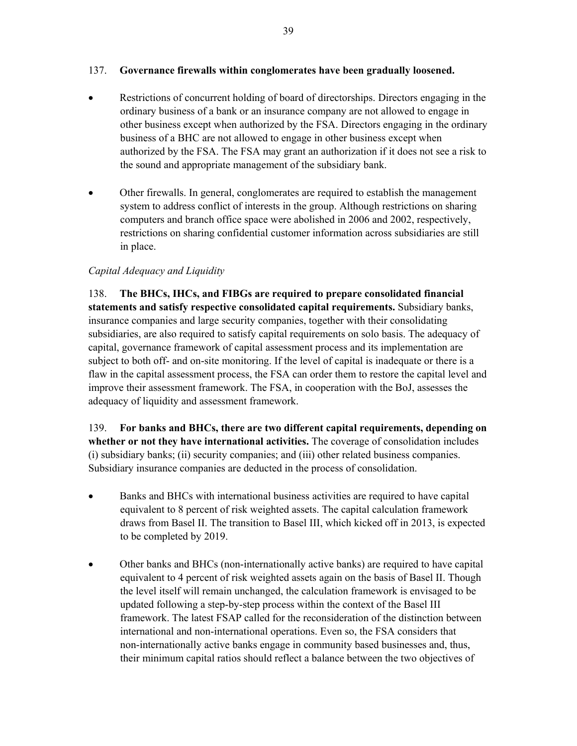#### 137. **Governance firewalls within conglomerates have been gradually loosened.**

- Restrictions of concurrent holding of board of directorships. Directors engaging in the ordinary business of a bank or an insurance company are not allowed to engage in other business except when authorized by the FSA. Directors engaging in the ordinary business of a BHC are not allowed to engage in other business except when authorized by the FSA. The FSA may grant an authorization if it does not see a risk to the sound and appropriate management of the subsidiary bank.
- Other firewalls. In general, conglomerates are required to establish the management system to address conflict of interests in the group. Although restrictions on sharing computers and branch office space were abolished in 2006 and 2002, respectively, restrictions on sharing confidential customer information across subsidiaries are still in place.

#### *Capital Adequacy and Liquidity*

138. **The BHCs, IHCs, and FIBGs are required to prepare consolidated financial statements and satisfy respective consolidated capital requirements.** Subsidiary banks, insurance companies and large security companies, together with their consolidating subsidiaries, are also required to satisfy capital requirements on solo basis. The adequacy of capital, governance framework of capital assessment process and its implementation are subject to both off- and on-site monitoring. If the level of capital is inadequate or there is a flaw in the capital assessment process, the FSA can order them to restore the capital level and improve their assessment framework. The FSA, in cooperation with the BoJ, assesses the adequacy of liquidity and assessment framework.

139. **For banks and BHCs, there are two different capital requirements, depending on whether or not they have international activities.** The coverage of consolidation includes (i) subsidiary banks; (ii) security companies; and (iii) other related business companies. Subsidiary insurance companies are deducted in the process of consolidation.

- Banks and BHCs with international business activities are required to have capital equivalent to 8 percent of risk weighted assets. The capital calculation framework draws from Basel II. The transition to Basel III, which kicked off in 2013, is expected to be completed by 2019.
- Other banks and BHCs (non-internationally active banks) are required to have capital equivalent to 4 percent of risk weighted assets again on the basis of Basel II. Though the level itself will remain unchanged, the calculation framework is envisaged to be updated following a step-by-step process within the context of the Basel III framework. The latest FSAP called for the reconsideration of the distinction between international and non-international operations. Even so, the FSA considers that non-internationally active banks engage in community based businesses and, thus, their minimum capital ratios should reflect a balance between the two objectives of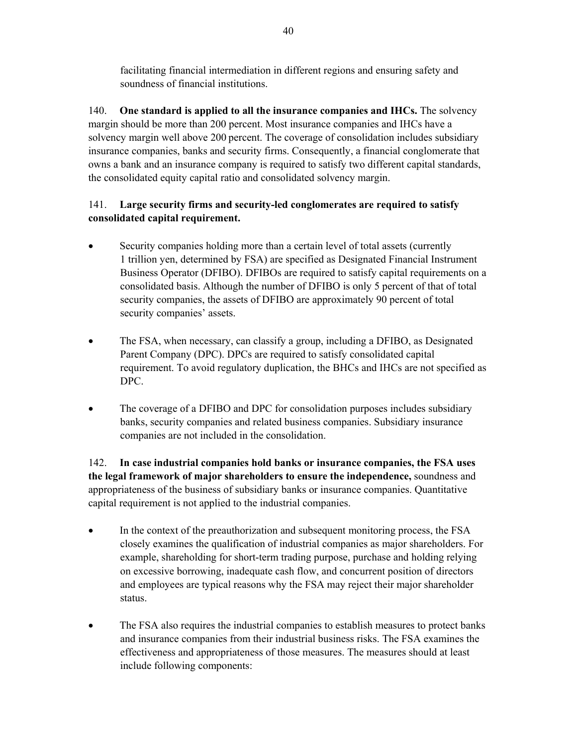facilitating financial intermediation in different regions and ensuring safety and soundness of financial institutions.

140. **One standard is applied to all the insurance companies and IHCs.** The solvency margin should be more than 200 percent. Most insurance companies and IHCs have a solvency margin well above 200 percent. The coverage of consolidation includes subsidiary insurance companies, banks and security firms. Consequently, a financial conglomerate that owns a bank and an insurance company is required to satisfy two different capital standards, the consolidated equity capital ratio and consolidated solvency margin.

## 141. **Large security firms and security-led conglomerates are required to satisfy consolidated capital requirement.**

- Security companies holding more than a certain level of total assets (currently 1 trillion yen, determined by FSA) are specified as Designated Financial Instrument Business Operator (DFIBO). DFIBOs are required to satisfy capital requirements on a consolidated basis. Although the number of DFIBO is only 5 percent of that of total security companies, the assets of DFIBO are approximately 90 percent of total security companies' assets.
- The FSA, when necessary, can classify a group, including a DFIBO, as Designated Parent Company (DPC). DPCs are required to satisfy consolidated capital requirement. To avoid regulatory duplication, the BHCs and IHCs are not specified as DPC.
- The coverage of a DFIBO and DPC for consolidation purposes includes subsidiary banks, security companies and related business companies. Subsidiary insurance companies are not included in the consolidation.

142. **In case industrial companies hold banks or insurance companies, the FSA uses the legal framework of major shareholders to ensure the independence,** soundness and appropriateness of the business of subsidiary banks or insurance companies. Quantitative capital requirement is not applied to the industrial companies.

- In the context of the preauthorization and subsequent monitoring process, the FSA closely examines the qualification of industrial companies as major shareholders. For example, shareholding for short-term trading purpose, purchase and holding relying on excessive borrowing, inadequate cash flow, and concurrent position of directors and employees are typical reasons why the FSA may reject their major shareholder status.
- The FSA also requires the industrial companies to establish measures to protect banks and insurance companies from their industrial business risks. The FSA examines the effectiveness and appropriateness of those measures. The measures should at least include following components: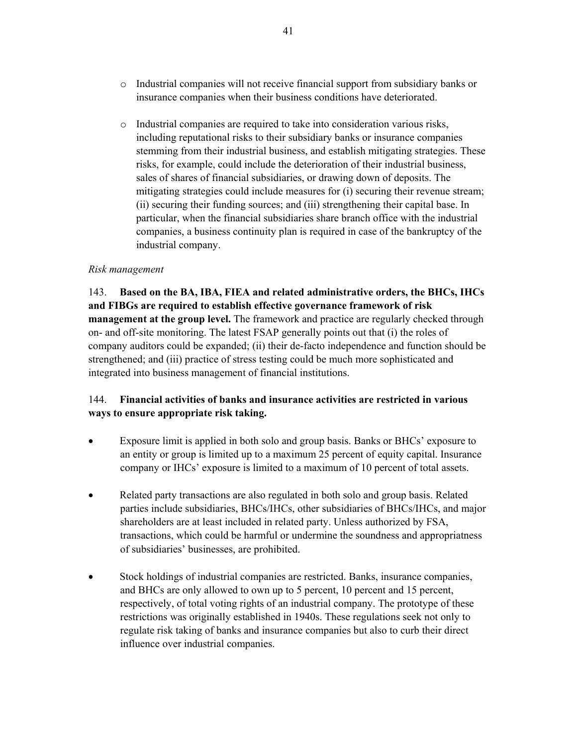- $\circ$  Industrial companies will not receive financial support from subsidiary banks or insurance companies when their business conditions have deteriorated.
- o Industrial companies are required to take into consideration various risks, including reputational risks to their subsidiary banks or insurance companies stemming from their industrial business, and establish mitigating strategies. These risks, for example, could include the deterioration of their industrial business, sales of shares of financial subsidiaries, or drawing down of deposits. The mitigating strategies could include measures for (i) securing their revenue stream; (ii) securing their funding sources; and (iii) strengthening their capital base. In particular, when the financial subsidiaries share branch office with the industrial companies, a business continuity plan is required in case of the bankruptcy of the industrial company.

#### *Risk management*

143. **Based on the BA, IBA, FIEA and related administrative orders, the BHCs, IHCs and FIBGs are required to establish effective governance framework of risk management at the group level.** The framework and practice are regularly checked through on- and off-site monitoring. The latest FSAP generally points out that (i) the roles of company auditors could be expanded; (ii) their de-facto independence and function should be strengthened; and (iii) practice of stress testing could be much more sophisticated and integrated into business management of financial institutions.

## 144. **Financial activities of banks and insurance activities are restricted in various ways to ensure appropriate risk taking.**

- Exposure limit is applied in both solo and group basis. Banks or BHCs' exposure to an entity or group is limited up to a maximum 25 percent of equity capital. Insurance company or IHCs' exposure is limited to a maximum of 10 percent of total assets.
- Related party transactions are also regulated in both solo and group basis. Related parties include subsidiaries, BHCs/IHCs, other subsidiaries of BHCs/IHCs, and major shareholders are at least included in related party. Unless authorized by FSA, transactions, which could be harmful or undermine the soundness and appropriatness of subsidiaries' businesses, are prohibited.
- Stock holdings of industrial companies are restricted. Banks, insurance companies, and BHCs are only allowed to own up to 5 percent, 10 percent and 15 percent, respectively, of total voting rights of an industrial company. The prototype of these restrictions was originally established in 1940s. These regulations seek not only to regulate risk taking of banks and insurance companies but also to curb their direct influence over industrial companies.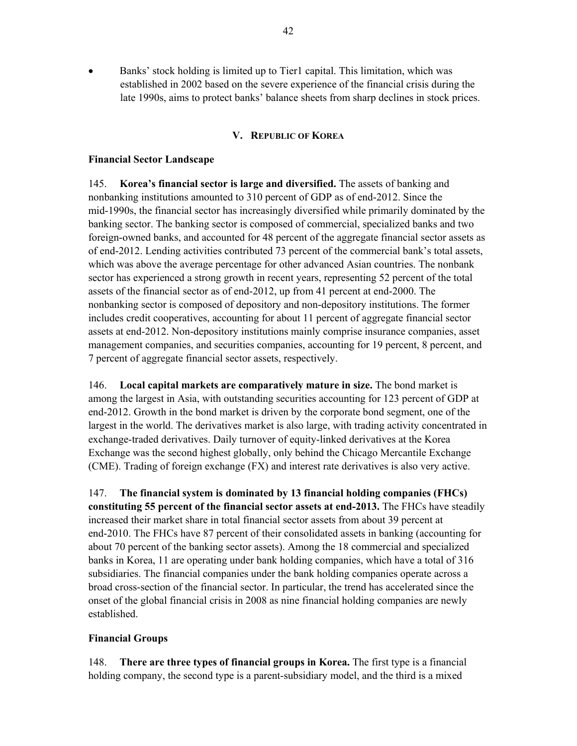Banks' stock holding is limited up to Tier1 capital. This limitation, which was established in 2002 based on the severe experience of the financial crisis during the late 1990s, aims to protect banks' balance sheets from sharp declines in stock prices.

#### **V. REPUBLIC OF KOREA**

#### **Financial Sector Landscape**

145. **Korea's financial sector is large and diversified.** The assets of banking and nonbanking institutions amounted to 310 percent of GDP as of end-2012. Since the mid-1990s, the financial sector has increasingly diversified while primarily dominated by the banking sector. The banking sector is composed of commercial, specialized banks and two foreign-owned banks, and accounted for 48 percent of the aggregate financial sector assets as of end-2012. Lending activities contributed 73 percent of the commercial bank's total assets, which was above the average percentage for other advanced Asian countries. The nonbank sector has experienced a strong growth in recent years, representing 52 percent of the total assets of the financial sector as of end-2012, up from 41 percent at end-2000. The nonbanking sector is composed of depository and non-depository institutions. The former includes credit cooperatives, accounting for about 11 percent of aggregate financial sector assets at end-2012. Non-depository institutions mainly comprise insurance companies, asset management companies, and securities companies, accounting for 19 percent, 8 percent, and 7 percent of aggregate financial sector assets, respectively.

146. **Local capital markets are comparatively mature in size.** The bond market is among the largest in Asia, with outstanding securities accounting for 123 percent of GDP at end-2012. Growth in the bond market is driven by the corporate bond segment, one of the largest in the world. The derivatives market is also large, with trading activity concentrated in exchange-traded derivatives. Daily turnover of equity-linked derivatives at the Korea Exchange was the second highest globally, only behind the Chicago Mercantile Exchange (CME). Trading of foreign exchange (FX) and interest rate derivatives is also very active.

147. **The financial system is dominated by 13 financial holding companies (FHCs) constituting 55 percent of the financial sector assets at end-2013.** The FHCs have steadily increased their market share in total financial sector assets from about 39 percent at end-2010. The FHCs have 87 percent of their consolidated assets in banking (accounting for about 70 percent of the banking sector assets). Among the 18 commercial and specialized banks in Korea, 11 are operating under bank holding companies, which have a total of 316 subsidiaries. The financial companies under the bank holding companies operate across a broad cross-section of the financial sector. In particular, the trend has accelerated since the onset of the global financial crisis in 2008 as nine financial holding companies are newly established.

#### **Financial Groups**

148. **There are three types of financial groups in Korea.** The first type is a financial holding company, the second type is a parent-subsidiary model, and the third is a mixed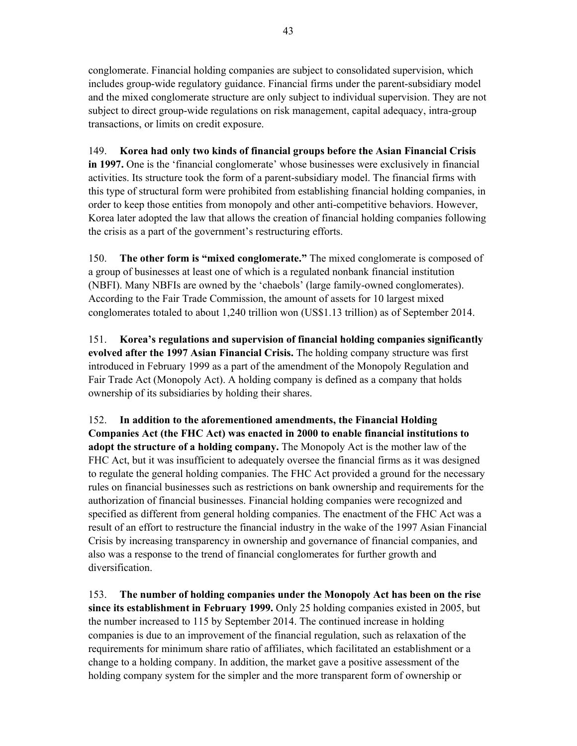conglomerate. Financial holding companies are subject to consolidated supervision, which includes group-wide regulatory guidance. Financial firms under the parent-subsidiary model and the mixed conglomerate structure are only subject to individual supervision. They are not subject to direct group-wide regulations on risk management, capital adequacy, intra-group transactions, or limits on credit exposure.

149. **Korea had only two kinds of financial groups before the Asian Financial Crisis in 1997.** One is the 'financial conglomerate' whose businesses were exclusively in financial activities. Its structure took the form of a parent-subsidiary model. The financial firms with this type of structural form were prohibited from establishing financial holding companies, in order to keep those entities from monopoly and other anti-competitive behaviors. However, Korea later adopted the law that allows the creation of financial holding companies following the crisis as a part of the government's restructuring efforts.

150. **The other form is "mixed conglomerate."** The mixed conglomerate is composed of a group of businesses at least one of which is a regulated nonbank financial institution (NBFI). Many NBFIs are owned by the 'chaebols' (large family-owned conglomerates). According to the Fair Trade Commission, the amount of assets for 10 largest mixed conglomerates totaled to about 1,240 trillion won (US\$1.13 trillion) as of September 2014.

151. **Korea's regulations and supervision of financial holding companies significantly evolved after the 1997 Asian Financial Crisis.** The holding company structure was first introduced in February 1999 as a part of the amendment of the Monopoly Regulation and Fair Trade Act (Monopoly Act). A holding company is defined as a company that holds ownership of its subsidiaries by holding their shares.

152. **In addition to the aforementioned amendments, the Financial Holding Companies Act (the FHC Act) was enacted in 2000 to enable financial institutions to adopt the structure of a holding company.** The Monopoly Act is the mother law of the FHC Act, but it was insufficient to adequately oversee the financial firms as it was designed to regulate the general holding companies. The FHC Act provided a ground for the necessary rules on financial businesses such as restrictions on bank ownership and requirements for the authorization of financial businesses. Financial holding companies were recognized and specified as different from general holding companies. The enactment of the FHC Act was a result of an effort to restructure the financial industry in the wake of the 1997 Asian Financial Crisis by increasing transparency in ownership and governance of financial companies, and also was a response to the trend of financial conglomerates for further growth and diversification.

153. **The number of holding companies under the Monopoly Act has been on the rise since its establishment in February 1999.** Only 25 holding companies existed in 2005, but the number increased to 115 by September 2014. The continued increase in holding companies is due to an improvement of the financial regulation, such as relaxation of the requirements for minimum share ratio of affiliates, which facilitated an establishment or a change to a holding company. In addition, the market gave a positive assessment of the holding company system for the simpler and the more transparent form of ownership or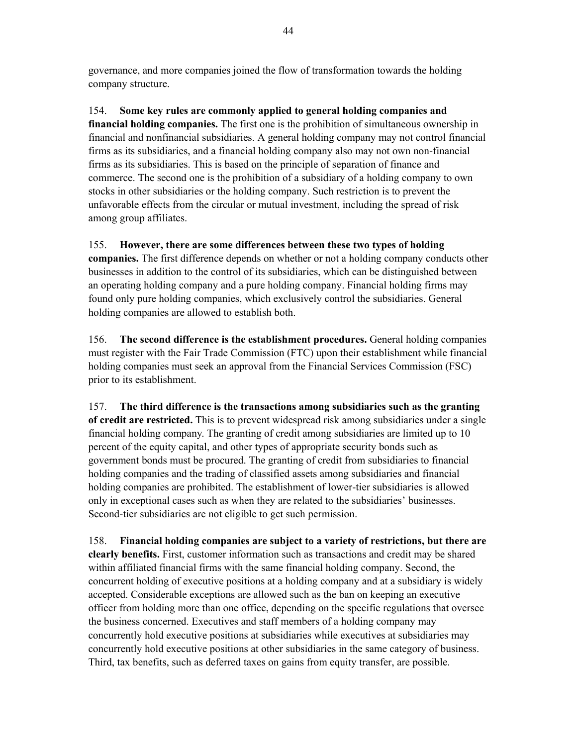governance, and more companies joined the flow of transformation towards the holding company structure.

154. **Some key rules are commonly applied to general holding companies and financial holding companies.** The first one is the prohibition of simultaneous ownership in financial and nonfinancial subsidiaries. A general holding company may not control financial firms as its subsidiaries, and a financial holding company also may not own non-financial firms as its subsidiaries. This is based on the principle of separation of finance and commerce. The second one is the prohibition of a subsidiary of a holding company to own stocks in other subsidiaries or the holding company. Such restriction is to prevent the unfavorable effects from the circular or mutual investment, including the spread of risk among group affiliates.

155. **However, there are some differences between these two types of holding** 

**companies.** The first difference depends on whether or not a holding company conducts other businesses in addition to the control of its subsidiaries, which can be distinguished between an operating holding company and a pure holding company. Financial holding firms may found only pure holding companies, which exclusively control the subsidiaries. General holding companies are allowed to establish both.

156. **The second difference is the establishment procedures.** General holding companies must register with the Fair Trade Commission (FTC) upon their establishment while financial holding companies must seek an approval from the Financial Services Commission (FSC) prior to its establishment.

157. **The third difference is the transactions among subsidiaries such as the granting of credit are restricted.** This is to prevent widespread risk among subsidiaries under a single financial holding company. The granting of credit among subsidiaries are limited up to 10 percent of the equity capital, and other types of appropriate security bonds such as government bonds must be procured. The granting of credit from subsidiaries to financial holding companies and the trading of classified assets among subsidiaries and financial holding companies are prohibited. The establishment of lower-tier subsidiaries is allowed only in exceptional cases such as when they are related to the subsidiaries' businesses. Second-tier subsidiaries are not eligible to get such permission.

158. **Financial holding companies are subject to a variety of restrictions, but there are clearly benefits.** First, customer information such as transactions and credit may be shared within affiliated financial firms with the same financial holding company. Second, the concurrent holding of executive positions at a holding company and at a subsidiary is widely accepted. Considerable exceptions are allowed such as the ban on keeping an executive officer from holding more than one office, depending on the specific regulations that oversee the business concerned. Executives and staff members of a holding company may concurrently hold executive positions at subsidiaries while executives at subsidiaries may concurrently hold executive positions at other subsidiaries in the same category of business. Third, tax benefits, such as deferred taxes on gains from equity transfer, are possible.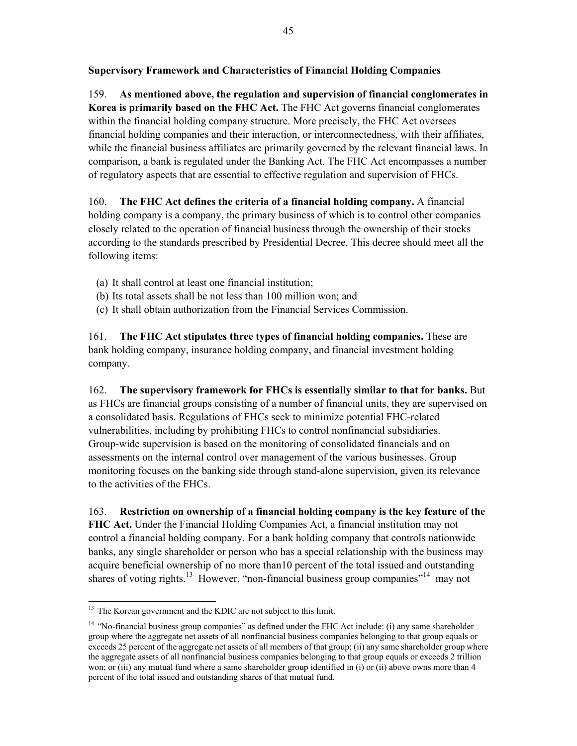## **Supervisory Framework and Characteristics of Financial Holding Companies**

159. **As mentioned above, the regulation and supervision of financial conglomerates in Korea is primarily based on the FHC Act.** The FHC Act governs financial conglomerates within the financial holding company structure. More precisely, the FHC Act oversees financial holding companies and their interaction, or interconnectedness, with their affiliates, while the financial business affiliates are primarily governed by the relevant financial laws. In comparison, a bank is regulated under the Banking Act. The FHC Act encompasses a number of regulatory aspects that are essential to effective regulation and supervision of FHCs.

160. **The FHC Act defines the criteria of a financial holding company.** A financial holding company is a company, the primary business of which is to control other companies closely related to the operation of financial business through the ownership of their stocks according to the standards prescribed by Presidential Decree. This decree should meet all the following items:

- (a) It shall control at least one financial institution;
- (b) Its total assets shall be not less than 100 million won; and
- (c) It shall obtain authorization from the Financial Services Commission.

161. **The FHC Act stipulates three types of financial holding companies.** These are bank holding company, insurance holding company, and financial investment holding company.

162. **The supervisory framework for FHCs is essentially similar to that for banks.** But as FHCs are financial groups consisting of a number of financial units, they are supervised on a consolidated basis. Regulations of FHCs seek to minimize potential FHC-related vulnerabilities, including by prohibiting FHCs to control nonfinancial subsidiaries. Group-wide supervision is based on the monitoring of consolidated financials and on assessments on the internal control over management of the various businesses. Group monitoring focuses on the banking side through stand-alone supervision, given its relevance to the activities of the FHCs.

163. **Restriction on ownership of a financial holding company is the key feature of the FHC Act.** Under the Financial Holding Companies Act, a financial institution may not control a financial holding company. For a bank holding company that controls nationwide banks, any single shareholder or person who has a special relationship with the business may acquire beneficial ownership of no more than10 percent of the total issued and outstanding shares of voting rights.<sup>13</sup> However, "non-financial business group companies"<sup>14</sup> may not

<sup>-</sup> $13$  The Korean government and the KDIC are not subject to this limit.

<sup>&</sup>lt;sup>14</sup> "No-financial business group companies" as defined under the FHC Act include: (i) any same shareholder group where the aggregate net assets of all nonfinancial business companies belonging to that group equals or exceeds 25 percent of the aggregate net assets of all members of that group; (ii) any same shareholder group where the aggregate assets of all nonfinancial business companies belonging to that group equals or exceeds 2 trillion won; or (iii) any mutual fund where a same shareholder group identified in (i) or (ii) above owns more than 4 percent of the total issued and outstanding shares of that mutual fund.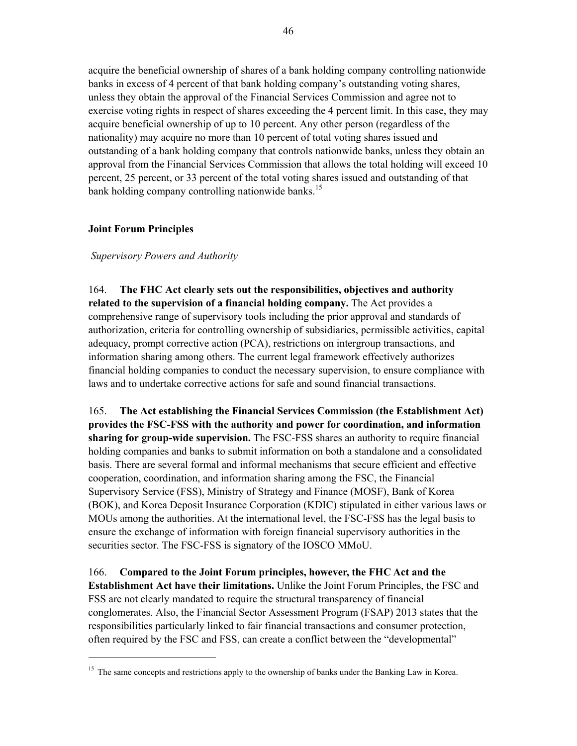acquire the beneficial ownership of shares of a bank holding company controlling nationwide banks in excess of 4 percent of that bank holding company's outstanding voting shares, unless they obtain the approval of the Financial Services Commission and agree not to exercise voting rights in respect of shares exceeding the 4 percent limit. In this case, they may acquire beneficial ownership of up to 10 percent. Any other person (regardless of the nationality) may acquire no more than 10 percent of total voting shares issued and outstanding of a bank holding company that controls nationwide banks, unless they obtain an approval from the Financial Services Commission that allows the total holding will exceed 10 percent, 25 percent, or 33 percent of the total voting shares issued and outstanding of that bank holding company controlling nationwide banks.<sup>15</sup>

### **Joint Forum Principles**

-

### *Supervisory Powers and Authority*

164. **The FHC Act clearly sets out the responsibilities, objectives and authority related to the supervision of a financial holding company.** The Act provides a comprehensive range of supervisory tools including the prior approval and standards of authorization, criteria for controlling ownership of subsidiaries, permissible activities, capital adequacy, prompt corrective action (PCA), restrictions on intergroup transactions, and information sharing among others. The current legal framework effectively authorizes financial holding companies to conduct the necessary supervision, to ensure compliance with laws and to undertake corrective actions for safe and sound financial transactions.

165. **The Act establishing the Financial Services Commission (the Establishment Act) provides the FSC-FSS with the authority and power for coordination, and information sharing for group-wide supervision.** The FSC-FSS shares an authority to require financial holding companies and banks to submit information on both a standalone and a consolidated basis. There are several formal and informal mechanisms that secure efficient and effective cooperation, coordination, and information sharing among the FSC, the Financial Supervisory Service (FSS), Ministry of Strategy and Finance (MOSF), Bank of Korea (BOK), and Korea Deposit Insurance Corporation (KDIC) stipulated in either various laws or MOUs among the authorities. At the international level, the FSC-FSS has the legal basis to ensure the exchange of information with foreign financial supervisory authorities in the securities sector. The FSC-FSS is signatory of the IOSCO MMoU.

166. **Compared to the Joint Forum principles, however, the FHC Act and the Establishment Act have their limitations.** Unlike the Joint Forum Principles, the FSC and FSS are not clearly mandated to require the structural transparency of financial conglomerates. Also, the Financial Sector Assessment Program (FSAP) 2013 states that the responsibilities particularly linked to fair financial transactions and consumer protection, often required by the FSC and FSS, can create a conflict between the "developmental"

<sup>&</sup>lt;sup>15</sup> The same concepts and restrictions apply to the ownership of banks under the Banking Law in Korea.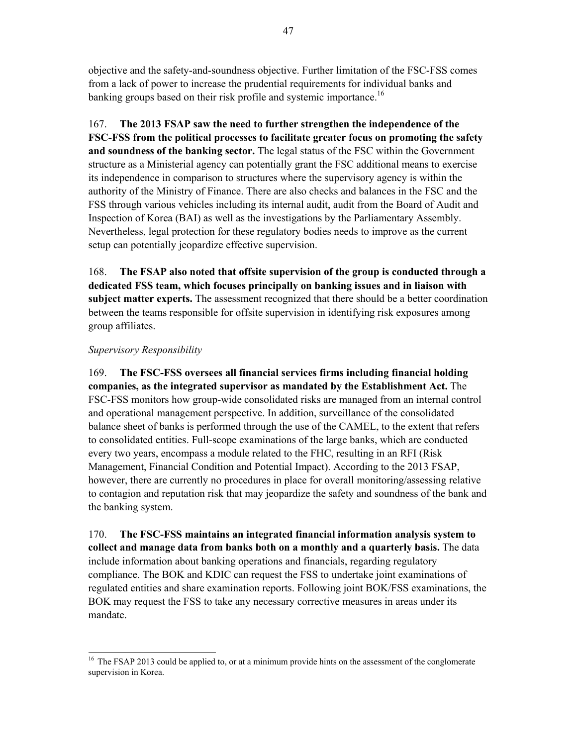objective and the safety-and-soundness objective. Further limitation of the FSC-FSS comes from a lack of power to increase the prudential requirements for individual banks and banking groups based on their risk profile and systemic importance.<sup>16</sup>

167. **The 2013 FSAP saw the need to further strengthen the independence of the FSC-FSS from the political processes to facilitate greater focus on promoting the safety and soundness of the banking sector.** The legal status of the FSC within the Government structure as a Ministerial agency can potentially grant the FSC additional means to exercise its independence in comparison to structures where the supervisory agency is within the authority of the Ministry of Finance. There are also checks and balances in the FSC and the FSS through various vehicles including its internal audit, audit from the Board of Audit and Inspection of Korea (BAI) as well as the investigations by the Parliamentary Assembly. Nevertheless, legal protection for these regulatory bodies needs to improve as the current setup can potentially jeopardize effective supervision.

168. **The FSAP also noted that offsite supervision of the group is conducted through a dedicated FSS team, which focuses principally on banking issues and in liaison with subject matter experts.** The assessment recognized that there should be a better coordination between the teams responsible for offsite supervision in identifying risk exposures among group affiliates.

#### *Supervisory Responsibility*

169. **The FSC-FSS oversees all financial services firms including financial holding companies, as the integrated supervisor as mandated by the Establishment Act.** The FSC-FSS monitors how group-wide consolidated risks are managed from an internal control and operational management perspective. In addition, surveillance of the consolidated balance sheet of banks is performed through the use of the CAMEL, to the extent that refers to consolidated entities. Full-scope examinations of the large banks, which are conducted every two years, encompass a module related to the FHC, resulting in an RFI (Risk Management, Financial Condition and Potential Impact). According to the 2013 FSAP, however, there are currently no procedures in place for overall monitoring/assessing relative to contagion and reputation risk that may jeopardize the safety and soundness of the bank and the banking system.

170. **The FSC-FSS maintains an integrated financial information analysis system to collect and manage data from banks both on a monthly and a quarterly basis.** The data include information about banking operations and financials, regarding regulatory compliance. The BOK and KDIC can request the FSS to undertake joint examinations of regulated entities and share examination reports. Following joint BOK/FSS examinations, the BOK may request the FSS to take any necessary corrective measures in areas under its mandate.

<sup>-</sup><sup>16</sup> The FSAP 2013 could be applied to, or at a minimum provide hints on the assessment of the conglomerate supervision in Korea.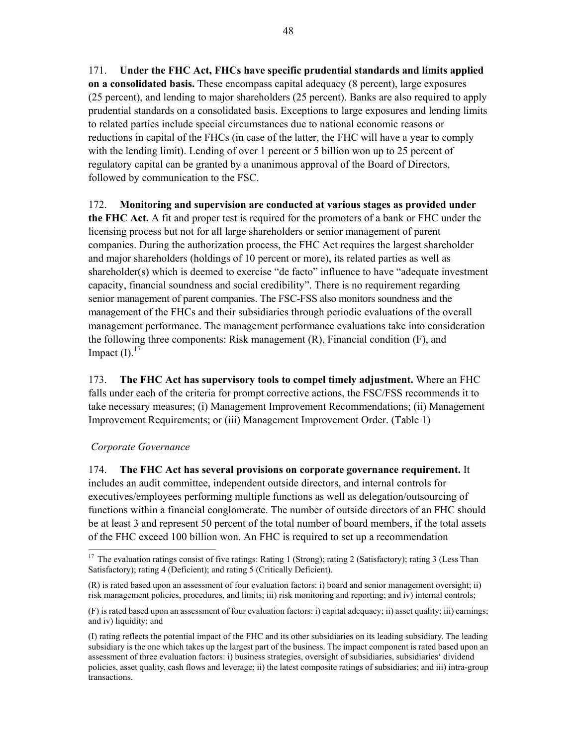171. **Under the FHC Act, FHCs have specific prudential standards and limits applied on a consolidated basis.** These encompass capital adequacy (8 percent), large exposures (25 percent), and lending to major shareholders (25 percent). Banks are also required to apply prudential standards on a consolidated basis. Exceptions to large exposures and lending limits to related parties include special circumstances due to national economic reasons or reductions in capital of the FHCs (in case of the latter, the FHC will have a year to comply with the lending limit). Lending of over 1 percent or 5 billion won up to 25 percent of regulatory capital can be granted by a unanimous approval of the Board of Directors, followed by communication to the FSC.

172. **Monitoring and supervision are conducted at various stages as provided under** 

**the FHC Act.** A fit and proper test is required for the promoters of a bank or FHC under the licensing process but not for all large shareholders or senior management of parent companies. During the authorization process, the FHC Act requires the largest shareholder and major shareholders (holdings of 10 percent or more), its related parties as well as shareholder(s) which is deemed to exercise "de facto" influence to have "adequate investment capacity, financial soundness and social credibility". There is no requirement regarding senior management of parent companies. The FSC-FSS also monitors soundness and the management of the FHCs and their subsidiaries through periodic evaluations of the overall management performance. The management performance evaluations take into consideration the following three components: Risk management  $(R)$ , Financial condition  $(F)$ , and Impact  $(I)$ .<sup>17</sup>

173. **The FHC Act has supervisory tools to compel timely adjustment.** Where an FHC falls under each of the criteria for prompt corrective actions, the FSC/FSS recommends it to take necessary measures; (i) Management Improvement Recommendations; (ii) Management Improvement Requirements; or (iii) Management Improvement Order. (Table 1)

#### *Corporate Governance*

-

174. **The FHC Act has several provisions on corporate governance requirement.** It includes an audit committee, independent outside directors, and internal controls for executives/employees performing multiple functions as well as delegation/outsourcing of functions within a financial conglomerate. The number of outside directors of an FHC should be at least 3 and represent 50 percent of the total number of board members, if the total assets of the FHC exceed 100 billion won. An FHC is required to set up a recommendation

 $17$  The evaluation ratings consist of five ratings: Rating 1 (Strong); rating 2 (Satisfactory); rating 3 (Less Than Satisfactory); rating 4 (Deficient); and rating 5 (Critically Deficient).

<sup>(</sup>R) is rated based upon an assessment of four evaluation factors: i) board and senior management oversight; ii) risk management policies, procedures, and limits; iii) risk monitoring and reporting; and iv) internal controls;

<sup>(</sup>F) is rated based upon an assessment of four evaluation factors: i) capital adequacy; ii) asset quality; iii) earnings; and iv) liquidity; and

<sup>(</sup>I) rating reflects the potential impact of the FHC and its other subsidiaries on its leading subsidiary. The leading subsidiary is the one which takes up the largest part of the business. The impact component is rated based upon an assessment of three evaluation factors: i) business strategies, oversight of subsidiaries, subsidiaries' dividend policies, asset quality, cash flows and leverage; ii) the latest composite ratings of subsidiaries; and iii) intra-group transactions.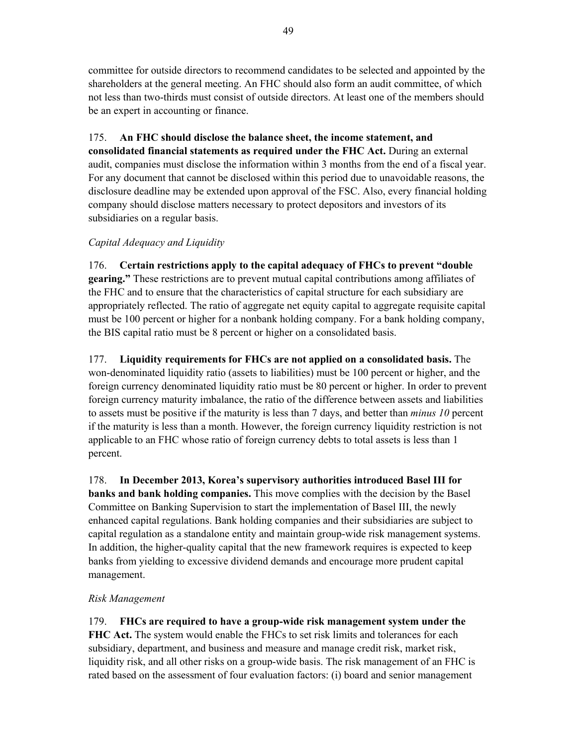committee for outside directors to recommend candidates to be selected and appointed by the shareholders at the general meeting. An FHC should also form an audit committee, of which not less than two-thirds must consist of outside directors. At least one of the members should be an expert in accounting or finance.

## 175. **An FHC should disclose the balance sheet, the income statement, and**

**consolidated financial statements as required under the FHC Act.** During an external audit, companies must disclose the information within 3 months from the end of a fiscal year. For any document that cannot be disclosed within this period due to unavoidable reasons, the disclosure deadline may be extended upon approval of the FSC. Also, every financial holding company should disclose matters necessary to protect depositors and investors of its subsidiaries on a regular basis.

### *Capital Adequacy and Liquidity*

176. **Certain restrictions apply to the capital adequacy of FHCs to prevent "double gearing."** These restrictions are to prevent mutual capital contributions among affiliates of the FHC and to ensure that the characteristics of capital structure for each subsidiary are appropriately reflected. The ratio of aggregate net equity capital to aggregate requisite capital must be 100 percent or higher for a nonbank holding company. For a bank holding company, the BIS capital ratio must be 8 percent or higher on a consolidated basis.

177. **Liquidity requirements for FHCs are not applied on a consolidated basis.** The won-denominated liquidity ratio (assets to liabilities) must be 100 percent or higher, and the foreign currency denominated liquidity ratio must be 80 percent or higher. In order to prevent foreign currency maturity imbalance, the ratio of the difference between assets and liabilities to assets must be positive if the maturity is less than 7 days, and better than *minus 10* percent if the maturity is less than a month. However, the foreign currency liquidity restriction is not applicable to an FHC whose ratio of foreign currency debts to total assets is less than 1 percent.

178. **In December 2013, Korea's supervisory authorities introduced Basel III for banks and bank holding companies.** This move complies with the decision by the Basel Committee on Banking Supervision to start the implementation of Basel III, the newly enhanced capital regulations. Bank holding companies and their subsidiaries are subject to capital regulation as a standalone entity and maintain group-wide risk management systems. In addition, the higher-quality capital that the new framework requires is expected to keep banks from yielding to excessive dividend demands and encourage more prudent capital management.

### *Risk Management*

179. **FHCs are required to have a group-wide risk management system under the FHC Act.** The system would enable the FHCs to set risk limits and tolerances for each subsidiary, department, and business and measure and manage credit risk, market risk, liquidity risk, and all other risks on a group-wide basis. The risk management of an FHC is rated based on the assessment of four evaluation factors: (i) board and senior management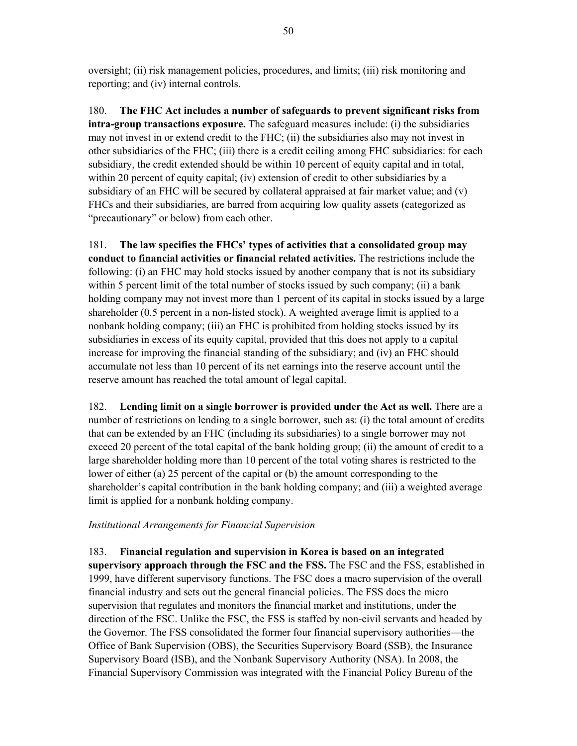oversight; (ii) risk management policies, procedures, and limits; (iii) risk monitoring and reporting; and (iv) internal controls.

180. **The FHC Act includes a number of safeguards to prevent significant risks from intra-group transactions exposure.** The safeguard measures include: (i) the subsidiaries may not invest in or extend credit to the FHC; (ii) the subsidiaries also may not invest in other subsidiaries of the FHC; (iii) there is a credit ceiling among FHC subsidiaries: for each subsidiary, the credit extended should be within 10 percent of equity capital and in total, within 20 percent of equity capital; (iv) extension of credit to other subsidiaries by a subsidiary of an FHC will be secured by collateral appraised at fair market value; and (v) FHCs and their subsidiaries, are barred from acquiring low quality assets (categorized as "precautionary" or below) from each other.

181. **The law specifies the FHCs' types of activities that a consolidated group may conduct to financial activities or financial related activities.** The restrictions include the following: (i) an FHC may hold stocks issued by another company that is not its subsidiary within 5 percent limit of the total number of stocks issued by such company; (ii) a bank holding company may not invest more than 1 percent of its capital in stocks issued by a large shareholder (0.5 percent in a non-listed stock). A weighted average limit is applied to a nonbank holding company; (iii) an FHC is prohibited from holding stocks issued by its subsidiaries in excess of its equity capital, provided that this does not apply to a capital increase for improving the financial standing of the subsidiary; and (iv) an FHC should accumulate not less than 10 percent of its net earnings into the reserve account until the reserve amount has reached the total amount of legal capital.

182. **Lending limit on a single borrower is provided under the Act as well.** There are a number of restrictions on lending to a single borrower, such as: (i) the total amount of credits that can be extended by an FHC (including its subsidiaries) to a single borrower may not exceed 20 percent of the total capital of the bank holding group; (ii) the amount of credit to a large shareholder holding more than 10 percent of the total voting shares is restricted to the lower of either (a) 25 percent of the capital or (b) the amount corresponding to the shareholder's capital contribution in the bank holding company; and (iii) a weighted average limit is applied for a nonbank holding company.

### *Institutional Arrangements for Financial Supervision*

183. **Financial regulation and supervision in Korea is based on an integrated supervisory approach through the FSC and the FSS.** The FSC and the FSS, established in 1999, have different supervisory functions. The FSC does a macro supervision of the overall financial industry and sets out the general financial policies. The FSS does the micro supervision that regulates and monitors the financial market and institutions, under the direction of the FSC. Unlike the FSC, the FSS is staffed by non-civil servants and headed by the Governor. The FSS consolidated the former four financial supervisory authorities—the Office of Bank Supervision (OBS), the Securities Supervisory Board (SSB), the Insurance Supervisory Board (ISB), and the Nonbank Supervisory Authority (NSA). In 2008, the Financial Supervisory Commission was integrated with the Financial Policy Bureau of the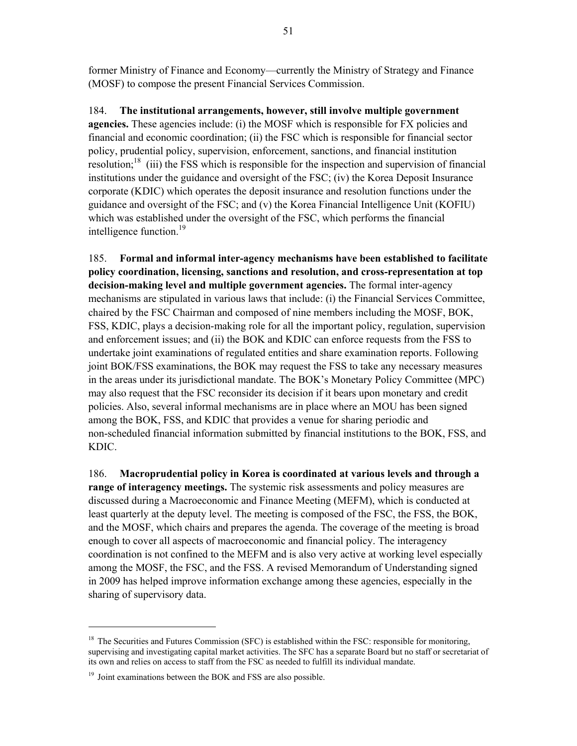former Ministry of Finance and Economy—currently the Ministry of Strategy and Finance (MOSF) to compose the present Financial Services Commission.

184. **The institutional arrangements, however, still involve multiple government agencies.** These agencies include: (i) the MOSF which is responsible for FX policies and financial and economic coordination; (ii) the FSC which is responsible for financial sector policy, prudential policy, supervision, enforcement, sanctions, and financial institution resolution;<sup>18</sup> (iii) the FSS which is responsible for the inspection and supervision of financial institutions under the guidance and oversight of the FSC; (iv) the Korea Deposit Insurance corporate (KDIC) which operates the deposit insurance and resolution functions under the guidance and oversight of the FSC; and (v) the Korea Financial Intelligence Unit (KOFIU) which was established under the oversight of the FSC, which performs the financial intelligence function.<sup>19</sup>

185. **Formal and informal inter-agency mechanisms have been established to facilitate policy coordination, licensing, sanctions and resolution, and cross-representation at top decision-making level and multiple government agencies.** The formal inter-agency mechanisms are stipulated in various laws that include: (i) the Financial Services Committee, chaired by the FSC Chairman and composed of nine members including the MOSF, BOK, FSS, KDIC, plays a decision-making role for all the important policy, regulation, supervision and enforcement issues; and (ii) the BOK and KDIC can enforce requests from the FSS to undertake joint examinations of regulated entities and share examination reports. Following joint BOK/FSS examinations, the BOK may request the FSS to take any necessary measures in the areas under its jurisdictional mandate. The BOK's Monetary Policy Committee (MPC) may also request that the FSC reconsider its decision if it bears upon monetary and credit policies. Also, several informal mechanisms are in place where an MOU has been signed among the BOK, FSS, and KDIC that provides a venue for sharing periodic and non-scheduled financial information submitted by financial institutions to the BOK, FSS, and KDIC.

186. **Macroprudential policy in Korea is coordinated at various levels and through a range of interagency meetings.** The systemic risk assessments and policy measures are discussed during a Macroeconomic and Finance Meeting (MEFM), which is conducted at least quarterly at the deputy level. The meeting is composed of the FSC, the FSS, the BOK, and the MOSF, which chairs and prepares the agenda. The coverage of the meeting is broad enough to cover all aspects of macroeconomic and financial policy. The interagency coordination is not confined to the MEFM and is also very active at working level especially among the MOSF, the FSC, and the FSS. A revised Memorandum of Understanding signed in 2009 has helped improve information exchange among these agencies, especially in the sharing of supervisory data.

-

 $18$  The Securities and Futures Commission (SFC) is established within the FSC: responsible for monitoring, supervising and investigating capital market activities. The SFC has a separate Board but no staff or secretariat of its own and relies on access to staff from the FSC as needed to fulfill its individual mandate.

<sup>&</sup>lt;sup>19</sup> Joint examinations between the BOK and FSS are also possible.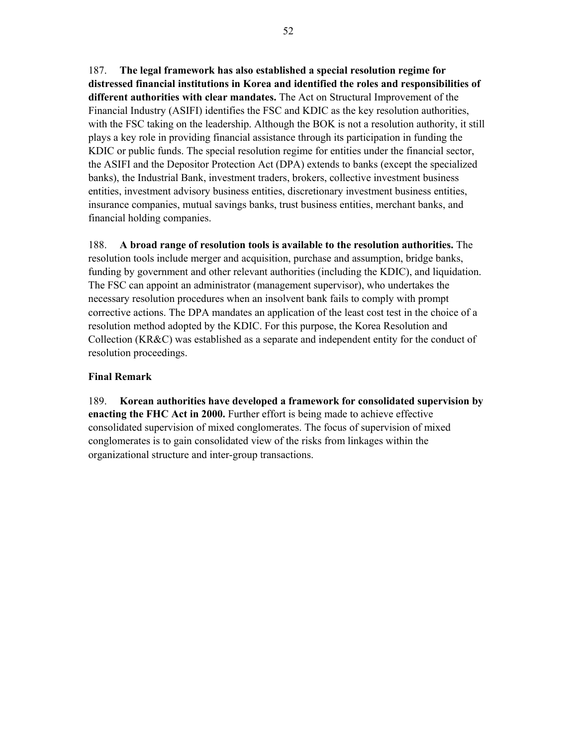187. **The legal framework has also established a special resolution regime for distressed financial institutions in Korea and identified the roles and responsibilities of different authorities with clear mandates.** The Act on Structural Improvement of the Financial Industry (ASIFI) identifies the FSC and KDIC as the key resolution authorities, with the FSC taking on the leadership. Although the BOK is not a resolution authority, it still plays a key role in providing financial assistance through its participation in funding the KDIC or public funds. The special resolution regime for entities under the financial sector, the ASIFI and the Depositor Protection Act (DPA) extends to banks (except the specialized banks), the Industrial Bank, investment traders, brokers, collective investment business entities, investment advisory business entities, discretionary investment business entities, insurance companies, mutual savings banks, trust business entities, merchant banks, and financial holding companies.

188. **A broad range of resolution tools is available to the resolution authorities.** The resolution tools include merger and acquisition, purchase and assumption, bridge banks, funding by government and other relevant authorities (including the KDIC), and liquidation. The FSC can appoint an administrator (management supervisor), who undertakes the necessary resolution procedures when an insolvent bank fails to comply with prompt corrective actions. The DPA mandates an application of the least cost test in the choice of a resolution method adopted by the KDIC. For this purpose, the Korea Resolution and Collection (KR&C) was established as a separate and independent entity for the conduct of resolution proceedings.

#### **Final Remark**

189. **Korean authorities have developed a framework for consolidated supervision by enacting the FHC Act in 2000.** Further effort is being made to achieve effective consolidated supervision of mixed conglomerates. The focus of supervision of mixed conglomerates is to gain consolidated view of the risks from linkages within the organizational structure and inter-group transactions.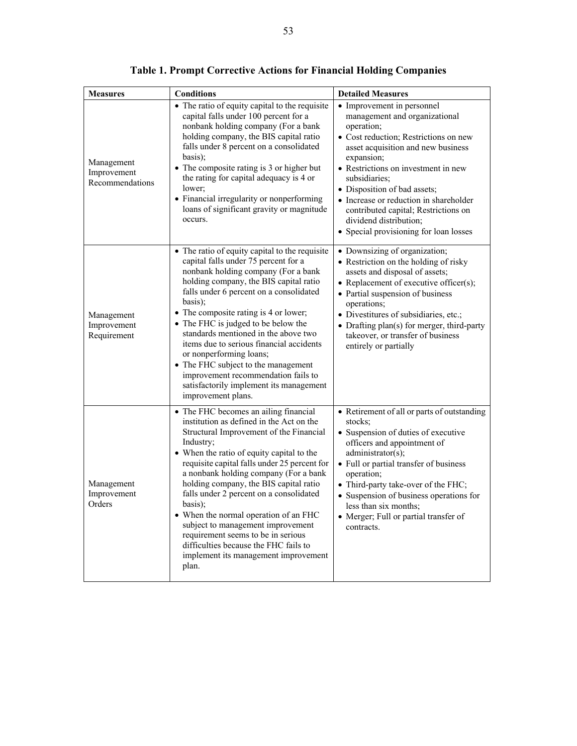| <b>Measures</b>                              | <b>Conditions</b>                                                                                                                                                                                                                                                                                                                                                                                                                                                                                                                                                                             | <b>Detailed Measures</b>                                                                                                                                                                                                                                                                                                                                                                                             |
|----------------------------------------------|-----------------------------------------------------------------------------------------------------------------------------------------------------------------------------------------------------------------------------------------------------------------------------------------------------------------------------------------------------------------------------------------------------------------------------------------------------------------------------------------------------------------------------------------------------------------------------------------------|----------------------------------------------------------------------------------------------------------------------------------------------------------------------------------------------------------------------------------------------------------------------------------------------------------------------------------------------------------------------------------------------------------------------|
| Management<br>Improvement<br>Recommendations | • The ratio of equity capital to the requisite<br>capital falls under 100 percent for a<br>nonbank holding company (For a bank<br>holding company, the BIS capital ratio<br>falls under 8 percent on a consolidated<br>basis);<br>• The composite rating is 3 or higher but<br>the rating for capital adequacy is 4 or<br>lower;<br>• Financial irregularity or nonperforming<br>loans of significant gravity or magnitude<br>occurs.                                                                                                                                                         | • Improvement in personnel<br>management and organizational<br>operation;<br>• Cost reduction; Restrictions on new<br>asset acquisition and new business<br>expansion;<br>• Restrictions on investment in new<br>subsidiaries:<br>• Disposition of bad assets;<br>• Increase or reduction in shareholder<br>contributed capital; Restrictions on<br>dividend distribution;<br>• Special provisioning for loan losses |
| Management<br>Improvement<br>Requirement     | • The ratio of equity capital to the requisite<br>capital falls under 75 percent for a<br>nonbank holding company (For a bank<br>holding company, the BIS capital ratio<br>falls under 6 percent on a consolidated<br>basis);<br>• The composite rating is 4 or lower;<br>• The FHC is judged to be below the<br>standards mentioned in the above two<br>items due to serious financial accidents<br>or nonperforming loans;<br>• The FHC subject to the management<br>improvement recommendation fails to<br>satisfactorily implement its management<br>improvement plans.                   | • Downsizing of organization;<br>• Restriction on the holding of risky<br>assets and disposal of assets;<br>• Replacement of executive officer(s);<br>• Partial suspension of business<br>operations;<br>· Divestitures of subsidiaries, etc.;<br>• Drafting plan(s) for merger, third-party<br>takeover, or transfer of business<br>entirely or partially                                                           |
| Management<br>Improvement<br>Orders          | • The FHC becomes an ailing financial<br>institution as defined in the Act on the<br>Structural Improvement of the Financial<br>Industry;<br>• When the ratio of equity capital to the<br>requisite capital falls under 25 percent for<br>a nonbank holding company (For a bank<br>holding company, the BIS capital ratio<br>falls under 2 percent on a consolidated<br>basis);<br>• When the normal operation of an FHC<br>subject to management improvement<br>requirement seems to be in serious<br>difficulties because the FHC fails to<br>implement its management improvement<br>plan. | • Retirement of all or parts of outstanding<br>stocks;<br>• Suspension of duties of executive<br>officers and appointment of<br>administrator(s);<br>• Full or partial transfer of business<br>operation;<br>• Third-party take-over of the FHC;<br>• Suspension of business operations for<br>less than six months;<br>• Merger; Full or partial transfer of<br>contracts.                                          |

**Table 1. Prompt Corrective Actions for Financial Holding Companies**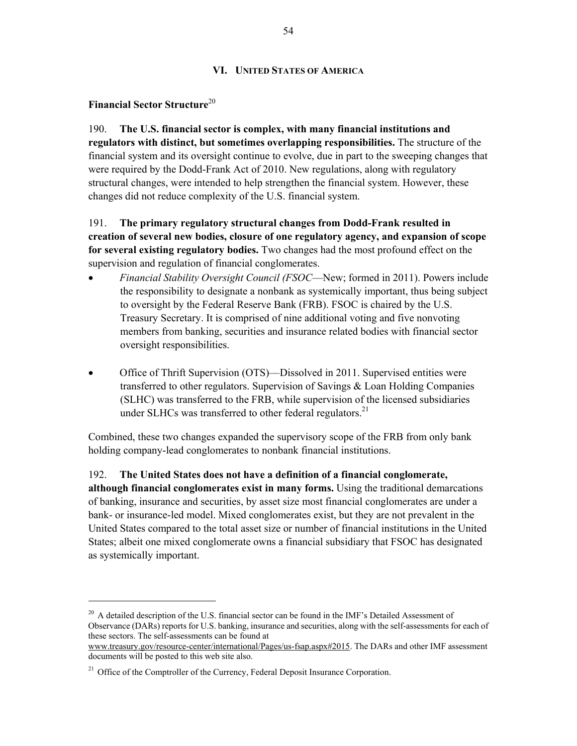#### **VI. UNITED STATES OF AMERICA**

#### **Financial Sector Structure**<sup>20</sup>

1

190. **The U.S. financial sector is complex, with many financial institutions and regulators with distinct, but sometimes overlapping responsibilities.** The structure of the financial system and its oversight continue to evolve, due in part to the sweeping changes that were required by the Dodd-Frank Act of 2010. New regulations, along with regulatory structural changes, were intended to help strengthen the financial system. However, these changes did not reduce complexity of the U.S. financial system.

191. **The primary regulatory structural changes from Dodd-Frank resulted in creation of several new bodies, closure of one regulatory agency, and expansion of scope for several existing regulatory bodies.** Two changes had the most profound effect on the supervision and regulation of financial conglomerates.

- *Financial Stability Oversight Council (FSOC––*New; formed in 2011). Powers include the responsibility to designate a nonbank as systemically important, thus being subject to oversight by the Federal Reserve Bank (FRB). FSOC is chaired by the U.S. Treasury Secretary. It is comprised of nine additional voting and five nonvoting members from banking, securities and insurance related bodies with financial sector oversight responsibilities.
- Office of Thrift Supervision (OTS)––Dissolved in 2011. Supervised entities were transferred to other regulators. Supervision of Savings & Loan Holding Companies (SLHC) was transferred to the FRB, while supervision of the licensed subsidiaries under SLHCs was transferred to other federal regulators.<sup>21</sup>

Combined, these two changes expanded the supervisory scope of the FRB from only bank holding company-lead conglomerates to nonbank financial institutions.

192. **The United States does not have a definition of a financial conglomerate, although financial conglomerates exist in many forms.** Using the traditional demarcations of banking, insurance and securities, by asset size most financial conglomerates are under a bank- or insurance-led model. Mixed conglomerates exist, but they are not prevalent in the United States compared to the total asset size or number of financial institutions in the United States; albeit one mixed conglomerate owns a financial subsidiary that FSOC has designated as systemically important.

<sup>&</sup>lt;sup>20</sup> A detailed description of the U.S. financial sector can be found in the IMF's Detailed Assessment of Observance (DARs) reports for U.S. banking, insurance and securities, along with the self-assessments for each of these sectors. The self-assessments can be found at

www.treasury.gov/resource-center/international/Pages/us-fsap.aspx#2015. The DARs and other IMF assessment documents will be posted to this web site also.

 $21$  Office of the Comptroller of the Currency, Federal Deposit Insurance Corporation.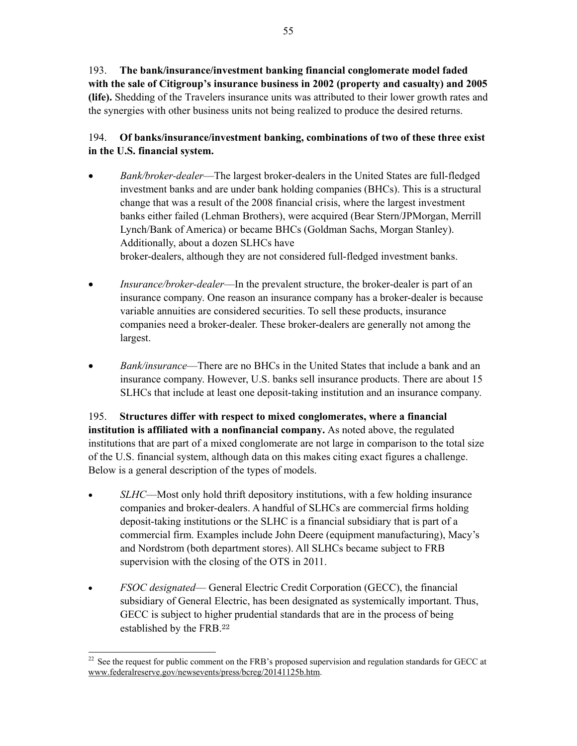193. **The bank/insurance/investment banking financial conglomerate model faded with the sale of Citigroup's insurance business in 2002 (property and casualty) and 2005 (life).** Shedding of the Travelers insurance units was attributed to their lower growth rates and the synergies with other business units not being realized to produce the desired returns.

## 194. **Of banks/insurance/investment banking, combinations of two of these three exist in the U.S. financial system.**

- *Bank/broker-dealer––*The largest broker-dealers in the United States are full-fledged investment banks and are under bank holding companies (BHCs). This is a structural change that was a result of the 2008 financial crisis, where the largest investment banks either failed (Lehman Brothers), were acquired (Bear Stern/JPMorgan, Merrill Lynch/Bank of America) or became BHCs (Goldman Sachs, Morgan Stanley). Additionally, about a dozen SLHCs have broker-dealers, although they are not considered full-fledged investment banks.
- *Insurance/broker-dealer––*In the prevalent structure, the broker-dealer is part of an insurance company. One reason an insurance company has a broker-dealer is because variable annuities are considered securities. To sell these products, insurance companies need a broker-dealer. These broker-dealers are generally not among the largest.
- *Bank/insurance––*There are no BHCs in the United States that include a bank and an insurance company. However, U.S. banks sell insurance products. There are about 15 SLHCs that include at least one deposit-taking institution and an insurance company.

195. **Structures differ with respect to mixed conglomerates, where a financial institution is affiliated with a nonfinancial company.** As noted above, the regulated institutions that are part of a mixed conglomerate are not large in comparison to the total size of the U.S. financial system, although data on this makes citing exact figures a challenge. Below is a general description of the types of models.

- *SLHC—–*Most only hold thrift depository institutions, with a few holding insurance companies and broker-dealers. A handful of SLHCs are commercial firms holding deposit-taking institutions or the SLHC is a financial subsidiary that is part of a commercial firm. Examples include John Deere (equipment manufacturing), Macy's and Nordstrom (both department stores). All SLHCs became subject to FRB supervision with the closing of the OTS in 2011.
- *FSOC designated––* General Electric Credit Corporation (GECC), the financial subsidiary of General Electric, has been designated as systemically important. Thus, GECC is subject to higher prudential standards that are in the process of being established by the FRB.<sup>22</sup>

<sup>-</sup> $^{22}$  See the request for public comment on the FRB's proposed supervision and regulation standards for GECC at www.federalreserve.gov/newsevents/press/bcreg/20141125b.htm.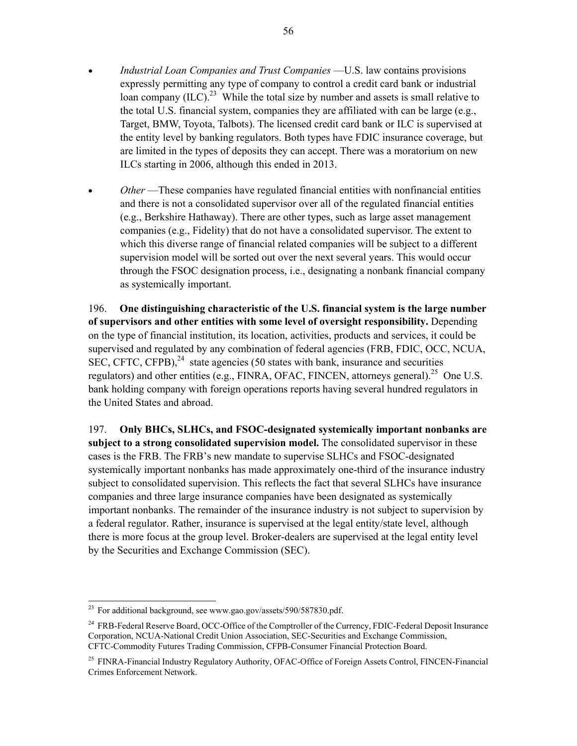- *Industrial Loan Companies and Trust Companies ––*U.S. law contains provisions expressly permitting any type of company to control a credit card bank or industrial loan company  $(ILC)$ <sup>23</sup> While the total size by number and assets is small relative to the total U.S. financial system, companies they are affiliated with can be large (e.g., Target, BMW, Toyota, Talbots). The licensed credit card bank or ILC is supervised at the entity level by banking regulators. Both types have FDIC insurance coverage, but are limited in the types of deposits they can accept. There was a moratorium on new ILCs starting in 2006, although this ended in 2013.
- *Other* ––These companies have regulated financial entities with nonfinancial entities and there is not a consolidated supervisor over all of the regulated financial entities (e.g., Berkshire Hathaway). There are other types, such as large asset management companies (e.g., Fidelity) that do not have a consolidated supervisor. The extent to which this diverse range of financial related companies will be subject to a different supervision model will be sorted out over the next several years. This would occur through the FSOC designation process, i.e., designating a nonbank financial company as systemically important.

196. **One distinguishing characteristic of the U.S. financial system is the large number of supervisors and other entities with some level of oversight responsibility.** Depending on the type of financial institution, its location, activities, products and services, it could be supervised and regulated by any combination of federal agencies (FRB, FDIC, OCC, NCUA, SEC, CFTC, CFPB<sup>24</sup> state agencies (50 states with bank, insurance and securities regulators) and other entities (e.g., FINRA, OFAC, FINCEN, attorneys general).<sup>25</sup> One U.S. bank holding company with foreign operations reports having several hundred regulators in the United States and abroad.

197. **Only BHCs, SLHCs, and FSOC-designated systemically important nonbanks are subject to a strong consolidated supervision model.** The consolidated supervisor in these cases is the FRB. The FRB's new mandate to supervise SLHCs and FSOC-designated systemically important nonbanks has made approximately one-third of the insurance industry subject to consolidated supervision. This reflects the fact that several SLHCs have insurance companies and three large insurance companies have been designated as systemically important nonbanks. The remainder of the insurance industry is not subject to supervision by a federal regulator. Rather, insurance is supervised at the legal entity/state level, although there is more focus at the group level. Broker-dealers are supervised at the legal entity level by the Securities and Exchange Commission (SEC).

1

<sup>&</sup>lt;sup>23</sup> For additional background, see www.gao.gov/assets/590/587830.pdf.

<sup>&</sup>lt;sup>24</sup> FRB-Federal Reserve Board, OCC-Office of the Comptroller of the Currency, FDIC-Federal Deposit Insurance Corporation, NCUA-National Credit Union Association, SEC-Securities and Exchange Commission, CFTC-Commodity Futures Trading Commission, CFPB-Consumer Financial Protection Board.

<sup>&</sup>lt;sup>25</sup> FINRA-Financial Industry Regulatory Authority, OFAC-Office of Foreign Assets Control, FINCEN-Financial Crimes Enforcement Network.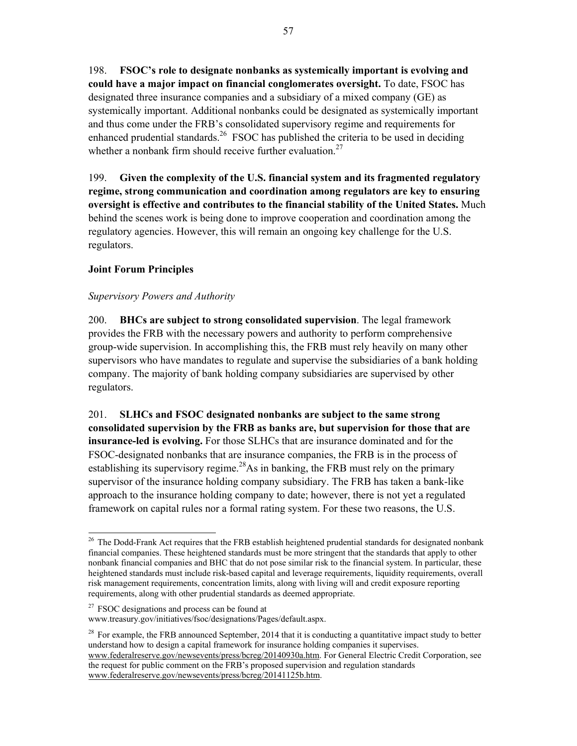198. **FSOC's role to designate nonbanks as systemically important is evolving and could have a major impact on financial conglomerates oversight.** To date, FSOC has designated three insurance companies and a subsidiary of a mixed company (GE) as systemically important. Additional nonbanks could be designated as systemically important and thus come under the FRB's consolidated supervisory regime and requirements for enhanced prudential standards.<sup>26</sup> FSOC has published the criteria to be used in deciding whether a nonbank firm should receive further evaluation.<sup>27</sup>

199. **Given the complexity of the U.S. financial system and its fragmented regulatory regime, strong communication and coordination among regulators are key to ensuring oversight is effective and contributes to the financial stability of the United States.** Much behind the scenes work is being done to improve cooperation and coordination among the regulatory agencies. However, this will remain an ongoing key challenge for the U.S. regulators.

## **Joint Forum Principles**

#### *Supervisory Powers and Authority*

200. **BHCs are subject to strong consolidated supervision**. The legal framework provides the FRB with the necessary powers and authority to perform comprehensive group-wide supervision. In accomplishing this, the FRB must rely heavily on many other supervisors who have mandates to regulate and supervise the subsidiaries of a bank holding company. The majority of bank holding company subsidiaries are supervised by other regulators.

201. **SLHCs and FSOC designated nonbanks are subject to the same strong consolidated supervision by the FRB as banks are, but supervision for those that are insurance-led is evolving.** For those SLHCs that are insurance dominated and for the FSOC-designated nonbanks that are insurance companies, the FRB is in the process of establishing its supervisory regime.<sup>28</sup>As in banking, the FRB must rely on the primary supervisor of the insurance holding company subsidiary. The FRB has taken a bank-like approach to the insurance holding company to date; however, there is not yet a regulated framework on capital rules nor a formal rating system. For these two reasons, the U.S.

-

<sup>&</sup>lt;sup>26</sup> The Dodd-Frank Act requires that the FRB establish heightened prudential standards for designated nonbank financial companies. These heightened standards must be more stringent that the standards that apply to other nonbank financial companies and BHC that do not pose similar risk to the financial system. In particular, these heightened standards must include risk-based capital and leverage requirements, liquidity requirements, overall risk management requirements, concentration limits, along with living will and credit exposure reporting requirements, along with other prudential standards as deemed appropriate.

 $27$  FSOC designations and process can be found at

www.treasury.gov/initiatives/fsoc/designations/Pages/default.aspx.

<sup>&</sup>lt;sup>28</sup> For example, the FRB announced September, 2014 that it is conducting a quantitative impact study to better understand how to design a capital framework for insurance holding companies it supervises. www.federalreserve.gov/newsevents/press/bcreg/20140930a.htm. For General Electric Credit Corporation, see the request for public comment on the FRB's proposed supervision and regulation standards www.federalreserve.gov/newsevents/press/bcreg/20141125b.htm.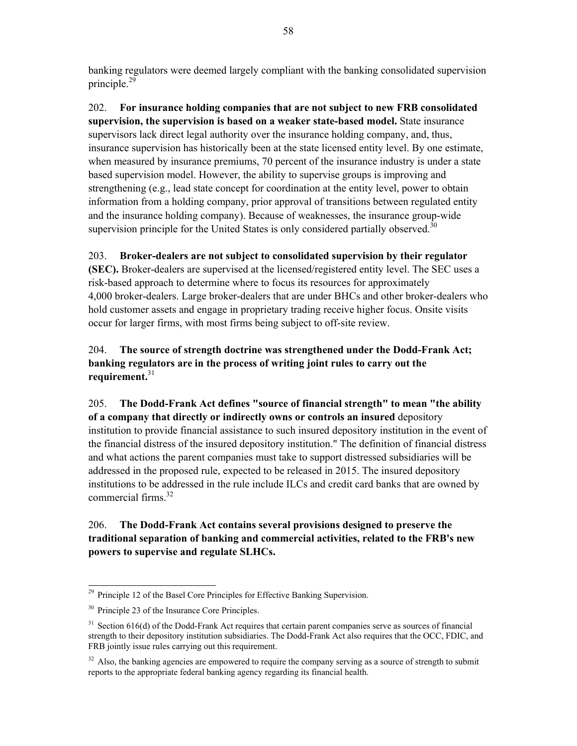banking regulators were deemed largely compliant with the banking consolidated supervision principle.29

202. **For insurance holding companies that are not subject to new FRB consolidated supervision, the supervision is based on a weaker state-based model.** State insurance supervisors lack direct legal authority over the insurance holding company, and, thus, insurance supervision has historically been at the state licensed entity level. By one estimate, when measured by insurance premiums, 70 percent of the insurance industry is under a state based supervision model. However, the ability to supervise groups is improving and strengthening (e.g., lead state concept for coordination at the entity level, power to obtain information from a holding company, prior approval of transitions between regulated entity and the insurance holding company). Because of weaknesses, the insurance group-wide supervision principle for the United States is only considered partially observed.<sup>30</sup>

### 203. **Broker-dealers are not subject to consolidated supervision by their regulator**

**(SEC).** Broker-dealers are supervised at the licensed/registered entity level. The SEC uses a risk-based approach to determine where to focus its resources for approximately 4,000 broker-dealers. Large broker-dealers that are under BHCs and other broker-dealers who hold customer assets and engage in proprietary trading receive higher focus. Onsite visits occur for larger firms, with most firms being subject to off-site review.

204. **The source of strength doctrine was strengthened under the Dodd-Frank Act; banking regulators are in the process of writing joint rules to carry out the requirement.**<sup>31</sup>

205. **The Dodd-Frank Act defines "source of financial strength" to mean "the ability of a company that directly or indirectly owns or controls an insured** depository institution to provide financial assistance to such insured depository institution in the event of the financial distress of the insured depository institution." The definition of financial distress and what actions the parent companies must take to support distressed subsidiaries will be addressed in the proposed rule, expected to be released in 2015. The insured depository institutions to be addressed in the rule include ILCs and credit card banks that are owned by commercial firms.<sup>32</sup>

## 206. **The Dodd-Frank Act contains several provisions designed to preserve the traditional separation of banking and commercial activities, related to the FRB's new powers to supervise and regulate SLHCs.**

1

<sup>&</sup>lt;sup>29</sup> Principle 12 of the Basel Core Principles for Effective Banking Supervision.

<sup>30</sup> Principle 23 of the Insurance Core Principles.

<sup>&</sup>lt;sup>31</sup> Section 616(d) of the Dodd-Frank Act requires that certain parent companies serve as sources of financial strength to their depository institution subsidiaries. The Dodd-Frank Act also requires that the OCC, FDIC, and FRB jointly issue rules carrying out this requirement.

<sup>&</sup>lt;sup>32</sup> Also, the banking agencies are empowered to require the company serving as a source of strength to submit reports to the appropriate federal banking agency regarding its financial health.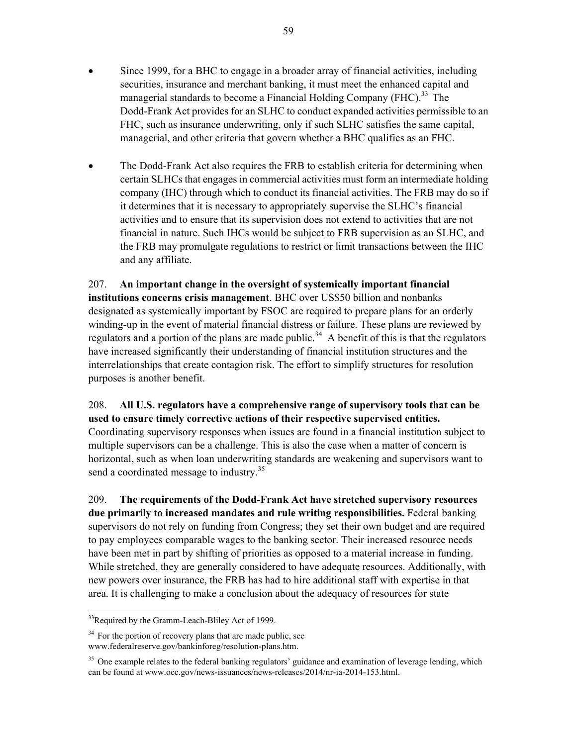- Since 1999, for a BHC to engage in a broader array of financial activities, including securities, insurance and merchant banking, it must meet the enhanced capital and managerial standards to become a Financial Holding Company (FHC).<sup>33</sup> The Dodd-Frank Act provides for an SLHC to conduct expanded activities permissible to an FHC, such as insurance underwriting, only if such SLHC satisfies the same capital, managerial, and other criteria that govern whether a BHC qualifies as an FHC.
- The Dodd-Frank Act also requires the FRB to establish criteria for determining when certain SLHCs that engages in commercial activities must form an intermediate holding company (IHC) through which to conduct its financial activities. The FRB may do so if it determines that it is necessary to appropriately supervise the SLHC's financial activities and to ensure that its supervision does not extend to activities that are not financial in nature. Such IHCs would be subject to FRB supervision as an SLHC, and the FRB may promulgate regulations to restrict or limit transactions between the IHC and any affiliate.

207. **An important change in the oversight of systemically important financial institutions concerns crisis management**. BHC over US\$50 billion and nonbanks designated as systemically important by FSOC are required to prepare plans for an orderly winding-up in the event of material financial distress or failure. These plans are reviewed by regulators and a portion of the plans are made public.<sup>34</sup> A benefit of this is that the regulators have increased significantly their understanding of financial institution structures and the interrelationships that create contagion risk. The effort to simplify structures for resolution purposes is another benefit.

## 208. **All U.S. regulators have a comprehensive range of supervisory tools that can be used to ensure timely corrective actions of their respective supervised entities.**  Coordinating supervisory responses when issues are found in a financial institution subject to multiple supervisors can be a challenge. This is also the case when a matter of concern is horizontal, such as when loan underwriting standards are weakening and supervisors want to send a coordinated message to industry.<sup>35</sup>

209. **The requirements of the Dodd-Frank Act have stretched supervisory resources due primarily to increased mandates and rule writing responsibilities.** Federal banking supervisors do not rely on funding from Congress; they set their own budget and are required to pay employees comparable wages to the banking sector. Their increased resource needs have been met in part by shifting of priorities as opposed to a material increase in funding. While stretched, they are generally considered to have adequate resources. Additionally, with new powers over insurance, the FRB has had to hire additional staff with expertise in that area. It is challenging to make a conclusion about the adequacy of resources for state

1

<sup>&</sup>lt;sup>33</sup>Required by the Gramm-Leach-Bliley Act of 1999.

<sup>&</sup>lt;sup>34</sup> For the portion of recovery plans that are made public, see www.federalreserve.gov/bankinforeg/resolution-plans.htm.

<sup>&</sup>lt;sup>35</sup> One example relates to the federal banking regulators' guidance and examination of leverage lending, which can be found at www.occ.gov/news-issuances/news-releases/2014/nr-ia-2014-153.html.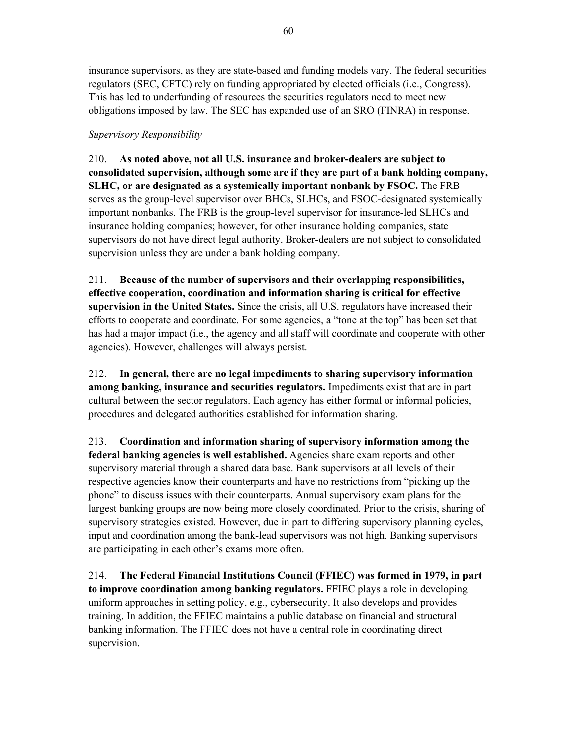60

insurance supervisors, as they are state-based and funding models vary. The federal securities regulators (SEC, CFTC) rely on funding appropriated by elected officials (i.e., Congress). This has led to underfunding of resources the securities regulators need to meet new obligations imposed by law. The SEC has expanded use of an SRO (FINRA) in response.

## *Supervisory Responsibility*

210. **As noted above, not all U.S. insurance and broker-dealers are subject to consolidated supervision, although some are if they are part of a bank holding company, SLHC, or are designated as a systemically important nonbank by FSOC.** The FRB serves as the group-level supervisor over BHCs, SLHCs, and FSOC-designated systemically important nonbanks. The FRB is the group-level supervisor for insurance-led SLHCs and insurance holding companies; however, for other insurance holding companies, state supervisors do not have direct legal authority. Broker-dealers are not subject to consolidated supervision unless they are under a bank holding company.

211. **Because of the number of supervisors and their overlapping responsibilities, effective cooperation, coordination and information sharing is critical for effective supervision in the United States.** Since the crisis, all U.S. regulators have increased their efforts to cooperate and coordinate. For some agencies, a "tone at the top" has been set that has had a major impact (i.e., the agency and all staff will coordinate and cooperate with other agencies). However, challenges will always persist.

212. **In general, there are no legal impediments to sharing supervisory information among banking, insurance and securities regulators.** Impediments exist that are in part cultural between the sector regulators. Each agency has either formal or informal policies, procedures and delegated authorities established for information sharing.

213. **Coordination and information sharing of supervisory information among the federal banking agencies is well established.** Agencies share exam reports and other supervisory material through a shared data base. Bank supervisors at all levels of their respective agencies know their counterparts and have no restrictions from "picking up the phone" to discuss issues with their counterparts. Annual supervisory exam plans for the largest banking groups are now being more closely coordinated. Prior to the crisis, sharing of supervisory strategies existed. However, due in part to differing supervisory planning cycles, input and coordination among the bank-lead supervisors was not high. Banking supervisors are participating in each other's exams more often.

214. **The Federal Financial Institutions Council (FFIEC) was formed in 1979, in part to improve coordination among banking regulators.** FFIEC plays a role in developing uniform approaches in setting policy, e.g., cybersecurity. It also develops and provides training. In addition, the FFIEC maintains a public database on financial and structural banking information. The FFIEC does not have a central role in coordinating direct supervision.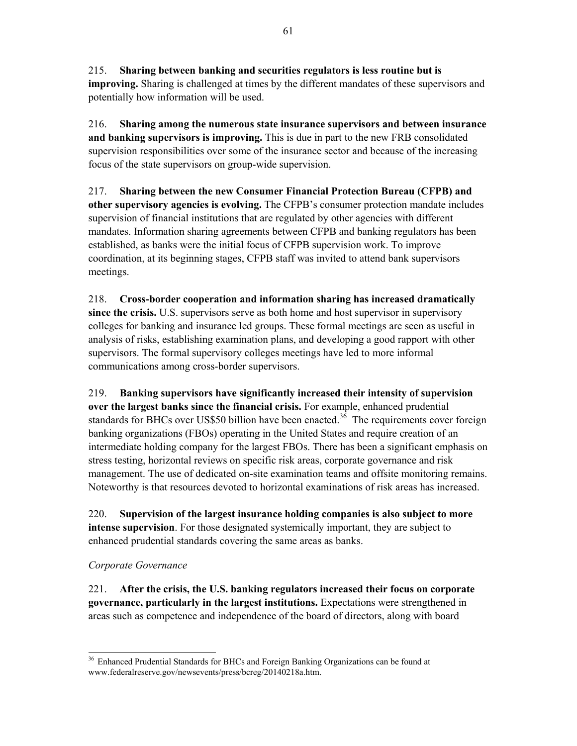215. **Sharing between banking and securities regulators is less routine but is improving.** Sharing is challenged at times by the different mandates of these supervisors and potentially how information will be used.

216. **Sharing among the numerous state insurance supervisors and between insurance and banking supervisors is improving.** This is due in part to the new FRB consolidated supervision responsibilities over some of the insurance sector and because of the increasing focus of the state supervisors on group-wide supervision.

217. **Sharing between the new Consumer Financial Protection Bureau (CFPB) and other supervisory agencies is evolving.** The CFPB's consumer protection mandate includes supervision of financial institutions that are regulated by other agencies with different mandates. Information sharing agreements between CFPB and banking regulators has been established, as banks were the initial focus of CFPB supervision work. To improve coordination, at its beginning stages, CFPB staff was invited to attend bank supervisors meetings.

218. **Cross-border cooperation and information sharing has increased dramatically since the crisis.** U.S. supervisors serve as both home and host supervisor in supervisory colleges for banking and insurance led groups. These formal meetings are seen as useful in analysis of risks, establishing examination plans, and developing a good rapport with other supervisors. The formal supervisory colleges meetings have led to more informal communications among cross-border supervisors.

219. **Banking supervisors have significantly increased their intensity of supervision over the largest banks since the financial crisis.** For example, enhanced prudential standards for BHCs over US\$50 billion have been enacted.<sup>36</sup> The requirements cover foreign banking organizations (FBOs) operating in the United States and require creation of an intermediate holding company for the largest FBOs. There has been a significant emphasis on stress testing, horizontal reviews on specific risk areas, corporate governance and risk management. The use of dedicated on-site examination teams and offsite monitoring remains. Noteworthy is that resources devoted to horizontal examinations of risk areas has increased.

220. **Supervision of the largest insurance holding companies is also subject to more intense supervision**. For those designated systemically important, they are subject to enhanced prudential standards covering the same areas as banks.

### *Corporate Governance*

221. **After the crisis, the U.S. banking regulators increased their focus on corporate governance, particularly in the largest institutions.** Expectations were strengthened in areas such as competence and independence of the board of directors, along with board

<sup>-</sup><sup>36</sup> Enhanced Prudential Standards for BHCs and Foreign Banking Organizations can be found at www.federalreserve.gov/newsevents/press/bcreg/20140218a.htm.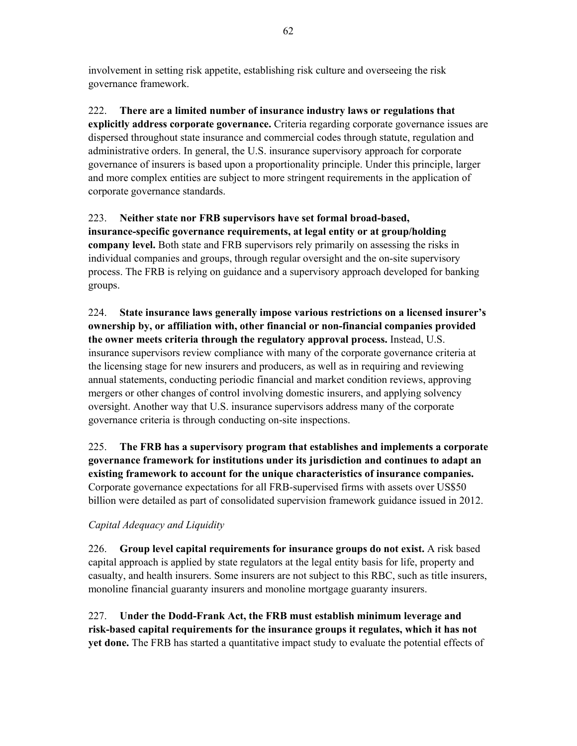involvement in setting risk appetite, establishing risk culture and overseeing the risk governance framework.

222. **There are a limited number of insurance industry laws or regulations that explicitly address corporate governance.** Criteria regarding corporate governance issues are dispersed throughout state insurance and commercial codes through statute, regulation and administrative orders. In general, the U.S. insurance supervisory approach for corporate governance of insurers is based upon a proportionality principle. Under this principle, larger and more complex entities are subject to more stringent requirements in the application of corporate governance standards.

## 223. **Neither state nor FRB supervisors have set formal broad-based, insurance-specific governance requirements, at legal entity or at group/holding company level.** Both state and FRB supervisors rely primarily on assessing the risks in individual companies and groups, through regular oversight and the on-site supervisory process. The FRB is relying on guidance and a supervisory approach developed for banking groups.

224. **State insurance laws generally impose various restrictions on a licensed insurer's ownership by, or affiliation with, other financial or non-financial companies provided the owner meets criteria through the regulatory approval process.** Instead, U.S. insurance supervisors review compliance with many of the corporate governance criteria at the licensing stage for new insurers and producers, as well as in requiring and reviewing annual statements, conducting periodic financial and market condition reviews, approving mergers or other changes of control involving domestic insurers, and applying solvency oversight. Another way that U.S. insurance supervisors address many of the corporate governance criteria is through conducting on-site inspections.

225. **The FRB has a supervisory program that establishes and implements a corporate governance framework for institutions under its jurisdiction and continues to adapt an existing framework to account for the unique characteristics of insurance companies.** Corporate governance expectations for all FRB-supervised firms with assets over US\$50 billion were detailed as part of consolidated supervision framework guidance issued in 2012.

## *Capital Adequacy and Liquidity*

226. **Group level capital requirements for insurance groups do not exist.** A risk based capital approach is applied by state regulators at the legal entity basis for life, property and casualty, and health insurers. Some insurers are not subject to this RBC, such as title insurers, monoline financial guaranty insurers and monoline mortgage guaranty insurers.

227. **Under the Dodd-Frank Act, the FRB must establish minimum leverage and risk-based capital requirements for the insurance groups it regulates, which it has not yet done.** The FRB has started a quantitative impact study to evaluate the potential effects of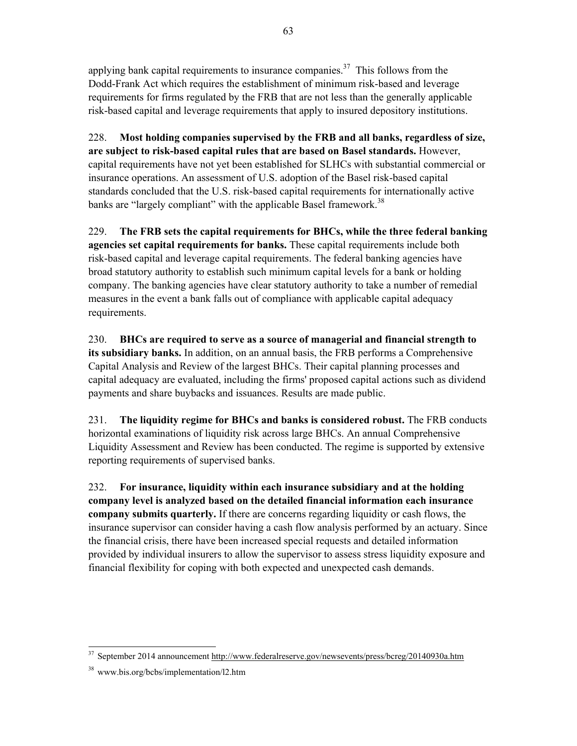applying bank capital requirements to insurance companies.<sup>37</sup> This follows from the Dodd-Frank Act which requires the establishment of minimum risk-based and leverage requirements for firms regulated by the FRB that are not less than the generally applicable risk-based capital and leverage requirements that apply to insured depository institutions.

228. **Most holding companies supervised by the FRB and all banks, regardless of size, are subject to risk-based capital rules that are based on Basel standards.** However, capital requirements have not yet been established for SLHCs with substantial commercial or insurance operations. An assessment of U.S. adoption of the Basel risk-based capital standards concluded that the U.S. risk-based capital requirements for internationally active banks are "largely compliant" with the applicable Basel framework.<sup>38</sup>

229. **The FRB sets the capital requirements for BHCs, while the three federal banking agencies set capital requirements for banks.** These capital requirements include both risk-based capital and leverage capital requirements. The federal banking agencies have broad statutory authority to establish such minimum capital levels for a bank or holding company. The banking agencies have clear statutory authority to take a number of remedial measures in the event a bank falls out of compliance with applicable capital adequacy requirements.

230. **BHCs are required to serve as a source of managerial and financial strength to its subsidiary banks.** In addition, on an annual basis, the FRB performs a Comprehensive Capital Analysis and Review of the largest BHCs. Their capital planning processes and capital adequacy are evaluated, including the firms' proposed capital actions such as dividend payments and share buybacks and issuances. Results are made public.

231. **The liquidity regime for BHCs and banks is considered robust.** The FRB conducts horizontal examinations of liquidity risk across large BHCs. An annual Comprehensive Liquidity Assessment and Review has been conducted. The regime is supported by extensive reporting requirements of supervised banks.

232. **For insurance, liquidity within each insurance subsidiary and at the holding company level is analyzed based on the detailed financial information each insurance company submits quarterly.** If there are concerns regarding liquidity or cash flows, the insurance supervisor can consider having a cash flow analysis performed by an actuary. Since the financial crisis, there have been increased special requests and detailed information provided by individual insurers to allow the supervisor to assess stress liquidity exposure and financial flexibility for coping with both expected and unexpected cash demands.

<sup>-</sup><sup>37</sup> September 2014 announcement http://www.federalreserve.gov/newsevents/press/bcreg/20140930a.htm

<sup>38</sup> www.bis.org/bcbs/implementation/l2.htm